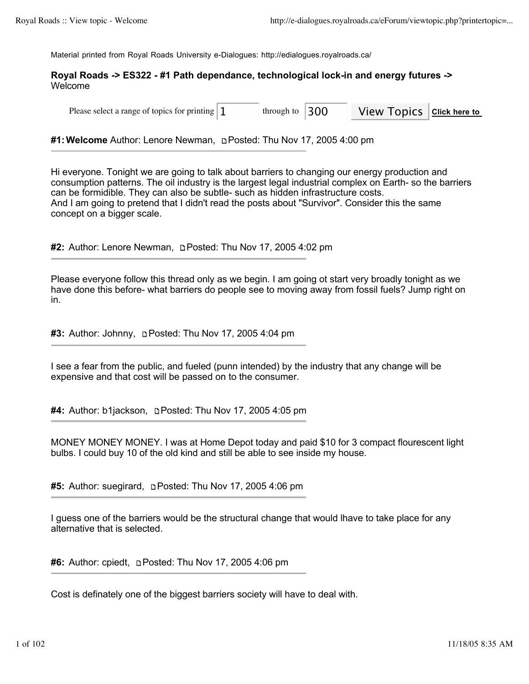Material printed from Royal Roads University e-Dialogues: http://edialogues.royalroads.ca/

# **Royal Roads -> ES322 - #1 Path dependance, technological lock-in and energy futures ->**  Welcome

Please select a range of topics for printing  $\begin{bmatrix} 1 \\ 1 \end{bmatrix}$  through to  $\begin{bmatrix} 300 \\ 1 \end{bmatrix}$  View Topics  $\begin{bmatrix} \text{Click here to} \\ \text{Click here to} \end{bmatrix}$ through to

**#1:Welcome** Author: Lenore Newman, Posted: Thu Nov 17, 2005 4:00 pm

Hi everyone. Tonight we are going to talk about barriers to changing our energy production and consumption patterns. The oil industry is the largest legal industrial complex on Earth- so the barriers can be formidible. They can also be subtle- such as hidden infrastructure costs. And I am going to pretend that I didn't read the posts about "Survivor". Consider this the same concept on a bigger scale.

**#2:** Author: Lenore Newman, Posted: Thu Nov 17, 2005 4:02 pm

Please everyone follow this thread only as we begin. I am going ot start very broadly tonight as we have done this before- what barriers do people see to moving away from fossil fuels? Jump right on in.

**#3:** Author: Johnny, Posted: Thu Nov 17, 2005 4:04 pm

I see a fear from the public, and fueled (punn intended) by the industry that any change will be expensive and that cost will be passed on to the consumer.

**#4:** Author: b1jackson, **pPosted: Thu Nov 17, 2005 4:05 pm** 

MONEY MONEY MONEY. I was at Home Depot today and paid \$10 for 3 compact flourescent light bulbs. I could buy 10 of the old kind and still be able to see inside my house.

**#5:** Author: suegirard, Posted: Thu Nov 17, 2005 4:06 pm

I guess one of the barriers would be the structural change that would lhave to take place for any alternative that is selected.

**#6:** Author: cpiedt, **Depart of the Nov 17, 2005 4:06 pm** 

Cost is definately one of the biggest barriers society will have to deal with.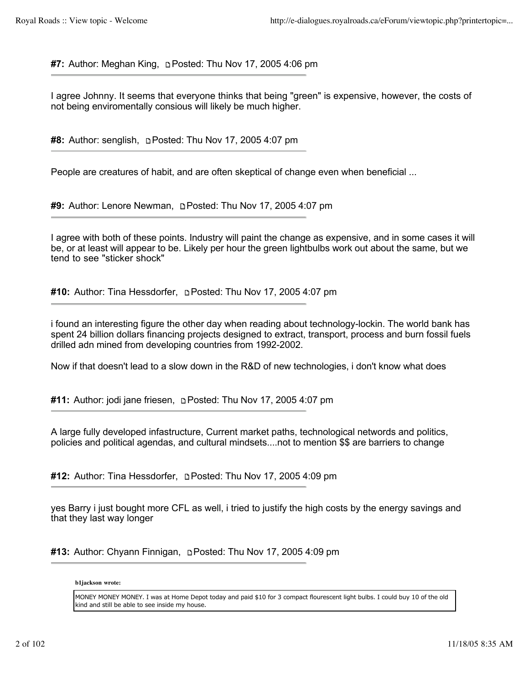**#7:** Author: Meghan King, Posted: Thu Nov 17, 2005 4:06 pm

I agree Johnny. It seems that everyone thinks that being "green" is expensive, however, the costs of not being enviromentally consious will likely be much higher.

**#8:** Author: senglish, **p. Posted: Thu Nov 17, 2005 4:07 pm** 

People are creatures of habit, and are often skeptical of change even when beneficial ...

**#9:** Author: Lenore Newman, Posted: Thu Nov 17, 2005 4:07 pm

I agree with both of these points. Industry will paint the change as expensive, and in some cases it will be, or at least will appear to be. Likely per hour the green lightbulbs work out about the same, but we tend to see "sticker shock"

**#10:** Author: Tina Hessdorfer, **prosted: Thu Nov 17, 2005 4:07 pm** 

i found an interesting figure the other day when reading about technology-lockin. The world bank has spent 24 billion dollars financing projects designed to extract, transport, process and burn fossil fuels drilled adn mined from developing countries from 1992-2002.

Now if that doesn't lead to a slow down in the R&D of new technologies, i don't know what does

#11: Author: jodi jane friesen, **pPosted: Thu Nov 17, 2005 4:07 pm** 

A large fully developed infastructure, Current market paths, technological networds and politics, policies and political agendas, and cultural mindsets....not to mention \$\$ are barriers to change

**#12:** Author: Tina Hessdorfer, **pPosted: Thu Nov 17, 2005 4:09 pm** 

yes Barry i just bought more CFL as well, i tried to justify the high costs by the energy savings and that they last way longer

**#13:** Author: Chyann Finnigan, Posted: Thu Nov 17, 2005 4:09 pm

**b1jackson wrote:**

MONEY MONEY MONEY. I was at Home Depot today and paid \$10 for 3 compact flourescent light bulbs. I could buy 10 of the old kind and still be able to see inside my house.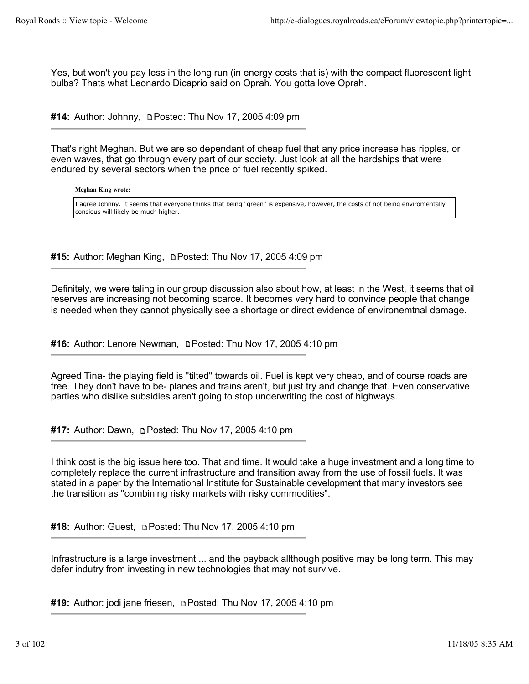Yes, but won't you pay less in the long run (in energy costs that is) with the compact fluorescent light bulbs? Thats what Leonardo Dicaprio said on Oprah. You gotta love Oprah.

#14: Author: Johnny, **Depart Posted: Thu Nov 17, 2005 4:09 pm** 

That's right Meghan. But we are so dependant of cheap fuel that any price increase has ripples, or even waves, that go through every part of our society. Just look at all the hardships that were endured by several sectors when the price of fuel recently spiked.

**Meghan King wrote:**

I agree Johnny. It seems that everyone thinks that being "green" is expensive, however, the costs of not being enviromentally consious will likely be much higher.

#15: Author: Meghan King, **Depart Primers 17, 2005 4:09 pm** 

Definitely, we were taling in our group discussion also about how, at least in the West, it seems that oil reserves are increasing not becoming scarce. It becomes very hard to convince people that change is needed when they cannot physically see a shortage or direct evidence of environemtnal damage.

#16: Author: Lenore Newman, **Depart Posted: Thu Nov 17, 2005 4:10 pm** 

Agreed Tina- the playing field is "tilted" towards oil. Fuel is kept very cheap, and of course roads are free. They don't have to be- planes and trains aren't, but just try and change that. Even conservative parties who dislike subsidies aren't going to stop underwriting the cost of highways.

#17: Author: Dawn, **p. Posted: Thu Nov 17, 2005 4:10 pm** 

I think cost is the big issue here too. That and time. It would take a huge investment and a long time to completely replace the current infrastructure and transition away from the use of fossil fuels. It was stated in a paper by the International Institute for Sustainable development that many investors see the transition as "combining risky markets with risky commodities".

**#18:** Author: Guest, Posted: Thu Nov 17, 2005 4:10 pm

Infrastructure is a large investment ... and the payback allthough positive may be long term. This may defer indutry from investing in new technologies that may not survive.

**#19:** Author: jodi jane friesen, Posted: Thu Nov 17, 2005 4:10 pm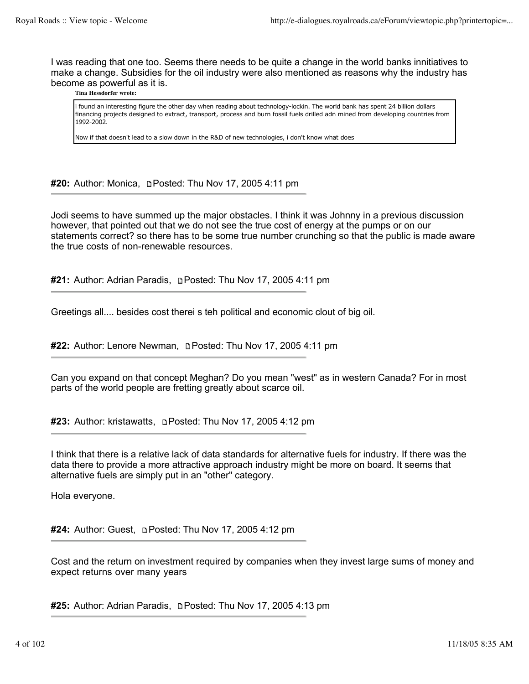I was reading that one too. Seems there needs to be quite a change in the world banks innitiatives to make a change. Subsidies for the oil industry were also mentioned as reasons why the industry has become as powerful as it is.

### **Tina Hessdorfer wrote:**

i found an interesting figure the other day when reading about technology-lockin. The world bank has spent 24 billion dollars financing projects designed to extract, transport, process and burn fossil fuels drilled adn mined from developing countries from 1992-2002.

Now if that doesn't lead to a slow down in the R&D of new technologies, i don't know what does

**#20:** Author: Monica, **pPosted: Thu Nov 17, 2005 4:11 pm** 

Jodi seems to have summed up the major obstacles. I think it was Johnny in a previous discussion however, that pointed out that we do not see the true cost of energy at the pumps or on our statements correct? so there has to be some true number crunching so that the public is made aware the true costs of non-renewable resources.

**#21:** Author: Adrian Paradis, Posted: Thu Nov 17, 2005 4:11 pm

Greetings all.... besides cost therei s teh political and economic clout of big oil.

#22: Author: Lenore Newman, **Depart Posted: Thu Nov 17, 2005 4:11 pm** 

Can you expand on that concept Meghan? Do you mean "west" as in western Canada? For in most parts of the world people are fretting greatly about scarce oil.

**#23:** Author: kristawatts, Posted: Thu Nov 17, 2005 4:12 pm

I think that there is a relative lack of data standards for alternative fuels for industry. If there was the data there to provide a more attractive approach industry might be more on board. It seems that alternative fuels are simply put in an "other" category.

Hola everyone.

**#24:** Author: Guest, Posted: Thu Nov 17, 2005 4:12 pm

Cost and the return on investment required by companies when they invest large sums of money and expect returns over many years

**#25:** Author: Adrian Paradis, **p** Posted: Thu Nov 17, 2005 4:13 pm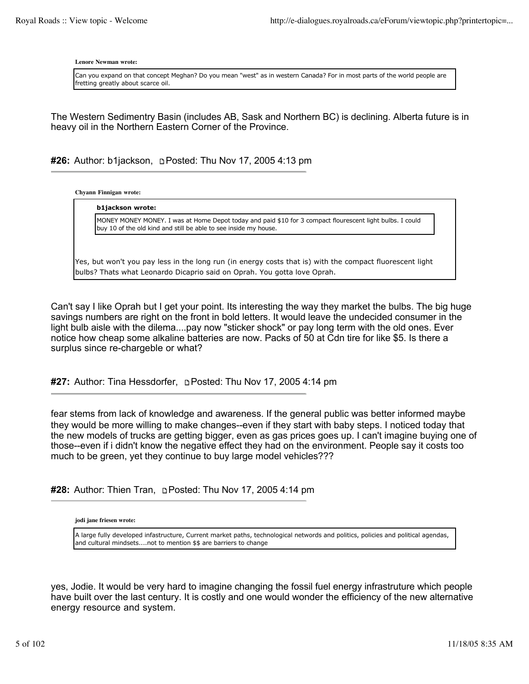**Lenore Newman wrote:**

Can you expand on that concept Meghan? Do you mean "west" as in western Canada? For in most parts of the world people are fretting greatly about scarce oil.

The Western Sedimentry Basin (includes AB, Sask and Northern BC) is declining. Alberta future is in heavy oil in the Northern Eastern Corner of the Province.

#26: Author: b1jackson, **pPosted: Thu Nov 17, 2005 4:13 pm** 

**Chyann Finnigan wrote:**

**b1jackson wrote:** MONEY MONEY MONEY. I was at Home Depot today and paid \$10 for 3 compact flourescent light bulbs. I could buy 10 of the old kind and still be able to see inside my house.

Yes, but won't you pay less in the long run (in energy costs that is) with the compact fluorescent light bulbs? Thats what Leonardo Dicaprio said on Oprah. You gotta love Oprah.

Can't say I like Oprah but I get your point. Its interesting the way they market the bulbs. The big huge savings numbers are right on the front in bold letters. It would leave the undecided consumer in the light bulb aisle with the dilema....pay now "sticker shock" or pay long term with the old ones. Ever notice how cheap some alkaline batteries are now. Packs of 50 at Cdn tire for like \$5. Is there a surplus since re-chargeble or what?

#27: Author: Tina Hessdorfer, **Depart Posted: Thu Nov 17, 2005 4:14 pm** 

fear stems from lack of knowledge and awareness. If the general public was better informed maybe they would be more willing to make changes--even if they start with baby steps. I noticed today that the new models of trucks are getting bigger, even as gas prices goes up. I can't imagine buying one of those--even if i didn't know the negative effect they had on the environment. People say it costs too much to be green, yet they continue to buy large model vehicles???

**#28:** Author: Thien Tran, Posted: Thu Nov 17, 2005 4:14 pm

**jodi jane friesen wrote:**

A large fully developed infastructure, Current market paths, technological networds and politics, policies and political agendas, and cultural mindsets....not to mention \$\$ are barriers to change

yes, Jodie. It would be very hard to imagine changing the fossil fuel energy infrastruture which people have built over the last century. It is costly and one would wonder the efficiency of the new alternative energy resource and system.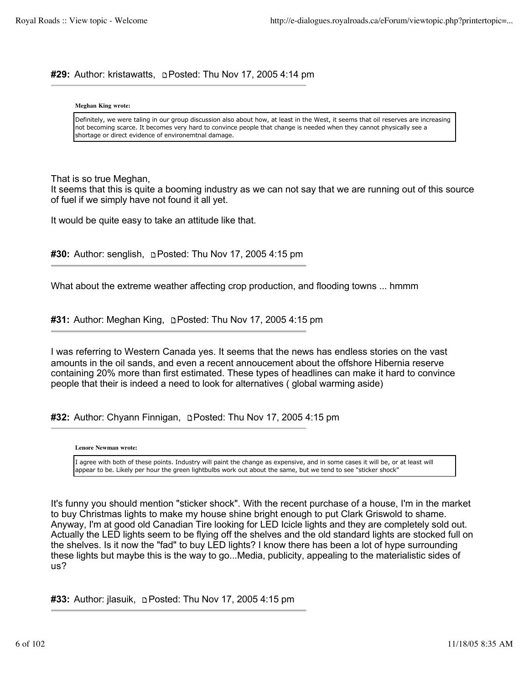# **#29:** Author: kristawatts, Posted: Thu Nov 17, 2005 4:14 pm

### **Meghan King wrote:**

Definitely, we were taling in our group discussion also about how, at least in the West, it seems that oil reserves are increasing not becoming scarce. It becomes very hard to convince people that change is needed when they cannot physically see a shortage or direct evidence of environemtnal damage.

That is so true Meghan,

It seems that this is quite a booming industry as we can not say that we are running out of this source of fuel if we simply have not found it all yet.

It would be quite easy to take an attitude like that.

**#30:** Author: senglish, Posted: Thu Nov 17, 2005 4:15 pm

What about the extreme weather affecting crop production, and flooding towns ... hmmm

**#31:** Author: Meghan King, Posted: Thu Nov 17, 2005 4:15 pm

I was referring to Western Canada yes. It seems that the news has endless stories on the vast amounts in the oil sands, and even a recent annoucement about the offshore Hibernia reserve containing 20% more than first estimated. These types of headlines can make it hard to convince people that their is indeed a need to look for alternatives ( global warming aside)

**#32:** Author: Chyann Finnigan, Posted: Thu Nov 17, 2005 4:15 pm

**Lenore Newman wrote:**

I agree with both of these points. Industry will paint the change as expensive, and in some cases it will be, or at least will appear to be. Likely per hour the green lightbulbs work out about the same, but we tend to see "sticker shock"

It's funny you should mention "sticker shock". With the recent purchase of a house, I'm in the market to buy Christmas lights to make my house shine bright enough to put Clark Griswold to shame. Anyway, I'm at good old Canadian Tire looking for LED Icicle lights and they are completely sold out. Actually the LED lights seem to be flying off the shelves and the old standard lights are stocked full on the shelves. Is it now the "fad" to buy LED lights? I know there has been a lot of hype surrounding these lights but maybe this is the way to go...Media, publicity, appealing to the materialistic sides of us?

**#33:** Author: jlasuik, **Depart Posted: Thu Nov 17, 2005 4:15 pm**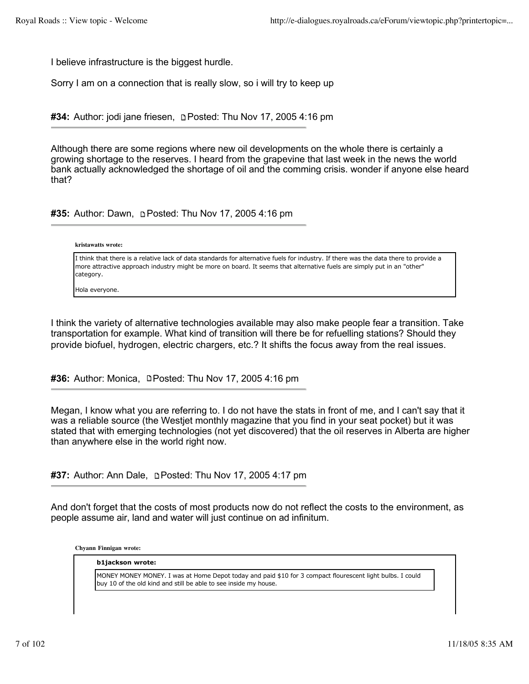I believe infrastructure is the biggest hurdle.

Sorry I am on a connection that is really slow, so i will try to keep up

#34: Author: jodi jane friesen, **pPosted: Thu Nov 17, 2005 4:16 pm** 

Although there are some regions where new oil developments on the whole there is certainly a growing shortage to the reserves. I heard from the grapevine that last week in the news the world bank actually acknowledged the shortage of oil and the comming crisis. wonder if anyone else heard that?

**#35:** Author: Dawn, **pPosted: Thu Nov 17, 2005 4:16 pm** 

#### **kristawatts wrote:**

I think that there is a relative lack of data standards for alternative fuels for industry. If there was the data there to provide a more attractive approach industry might be more on board. It seems that alternative fuels are simply put in an "other" category.

Hola everyone.

I think the variety of alternative technologies available may also make people fear a transition. Take transportation for example. What kind of transition will there be for refuelling stations? Should they provide biofuel, hydrogen, electric chargers, etc.? It shifts the focus away from the real issues.

**#36:** Author: Monica, **Denoted: Thu Nov 17, 2005 4:16 pm** 

Megan, I know what you are referring to. I do not have the stats in front of me, and I can't say that it was a reliable source (the Westjet monthly magazine that you find in your seat pocket) but it was stated that with emerging technologies (not yet discovered) that the oil reserves in Alberta are higher than anywhere else in the world right now.

**#37:** Author: Ann Dale, **p. Posted: Thu Nov 17, 2005 4:17 pm** 

And don't forget that the costs of most products now do not reflect the costs to the environment, as people assume air, land and water will just continue on ad infinitum.

**Chyann Finnigan wrote:**

#### **b1jackson wrote:**

MONEY MONEY MONEY. I was at Home Depot today and paid \$10 for 3 compact flourescent light bulbs. I could buy 10 of the old kind and still be able to see inside my house.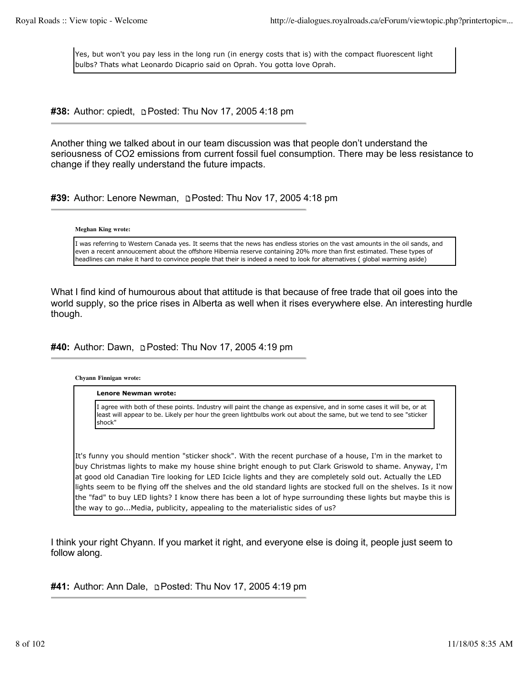Yes, but won't you pay less in the long run (in energy costs that is) with the compact fluorescent light bulbs? Thats what Leonardo Dicaprio said on Oprah. You gotta love Oprah.

**#38:** Author: cpiedt, **Depart Posted: Thu Nov 17, 2005 4:18 pm** 

Another thing we talked about in our team discussion was that people don't understand the seriousness of CO2 emissions from current fossil fuel consumption. There may be less resistance to change if they really understand the future impacts.

#39: Author: Lenore Newman, **Depart Posted: Thu Nov 17, 2005 4:18 pm** 

### **Meghan King wrote:**

I was referring to Western Canada yes. It seems that the news has endless stories on the vast amounts in the oil sands, and even a recent annoucement about the offshore Hibernia reserve containing 20% more than first estimated. These types of headlines can make it hard to convince people that their is indeed a need to look for alternatives ( global warming aside)

What I find kind of humourous about that attitude is that because of free trade that oil goes into the world supply, so the price rises in Alberta as well when it rises everywhere else. An interesting hurdle though.

**#40:** Author: Dawn, **Depart 2001 17, 2005** 4:19 pm

**Chyann Finnigan wrote:**

**Lenore Newman wrote:**

I agree with both of these points. Industry will paint the change as expensive, and in some cases it will be, or at least will appear to be. Likely per hour the green lightbulbs work out about the same, but we tend to see "sticker shock"

It's funny you should mention "sticker shock". With the recent purchase of a house, I'm in the market to buy Christmas lights to make my house shine bright enough to put Clark Griswold to shame. Anyway, I'm at good old Canadian Tire looking for LED Icicle lights and they are completely sold out. Actually the LED lights seem to be flying off the shelves and the old standard lights are stocked full on the shelves. Is it now the "fad" to buy LED lights? I know there has been a lot of hype surrounding these lights but maybe this is the way to go...Media, publicity, appealing to the materialistic sides of us?

I think your right Chyann. If you market it right, and everyone else is doing it, people just seem to follow along.

**#41:** Author: Ann Dale, Posted: Thu Nov 17, 2005 4:19 pm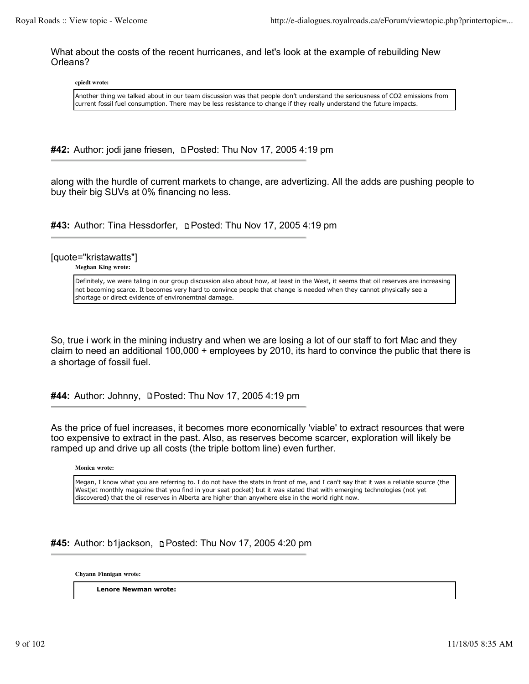What about the costs of the recent hurricanes, and let's look at the example of rebuilding New Orleans?

**cpiedt wrote:**

Another thing we talked about in our team discussion was that people don't understand the seriousness of CO2 emissions from current fossil fuel consumption. There may be less resistance to change if they really understand the future impacts.

**#42:** Author: jodi jane friesen, Posted: Thu Nov 17, 2005 4:19 pm

along with the hurdle of current markets to change, are advertizing. All the adds are pushing people to buy their big SUVs at 0% financing no less.

#43: Author: Tina Hessdorfer, **Depart Primer 17, 2005** 4:19 pm

[quote="kristawatts"]

**Meghan King wrote:**

Definitely, we were taling in our group discussion also about how, at least in the West, it seems that oil reserves are increasing not becoming scarce. It becomes very hard to convince people that change is needed when they cannot physically see a shortage or direct evidence of environemtnal damage.

So, true i work in the mining industry and when we are losing a lot of our staff to fort Mac and they claim to need an additional 100,000 + employees by 2010, its hard to convince the public that there is a shortage of fossil fuel.

#44: Author: Johnny, **DPosted: Thu Nov 17, 2005 4:19 pm** 

As the price of fuel increases, it becomes more economically 'viable' to extract resources that were too expensive to extract in the past. Also, as reserves become scarcer, exploration will likely be ramped up and drive up all costs (the triple bottom line) even further.

**Monica wrote:**

Megan, I know what you are referring to. I do not have the stats in front of me, and I can't say that it was a reliable source (the Westjet monthly magazine that you find in your seat pocket) but it was stated that with emerging technologies (not yet discovered) that the oil reserves in Alberta are higher than anywhere else in the world right now.

**#45:** Author: b1jackson, Posted: Thu Nov 17, 2005 4:20 pm

**Chyann Finnigan wrote:**

**Lenore Newman wrote:**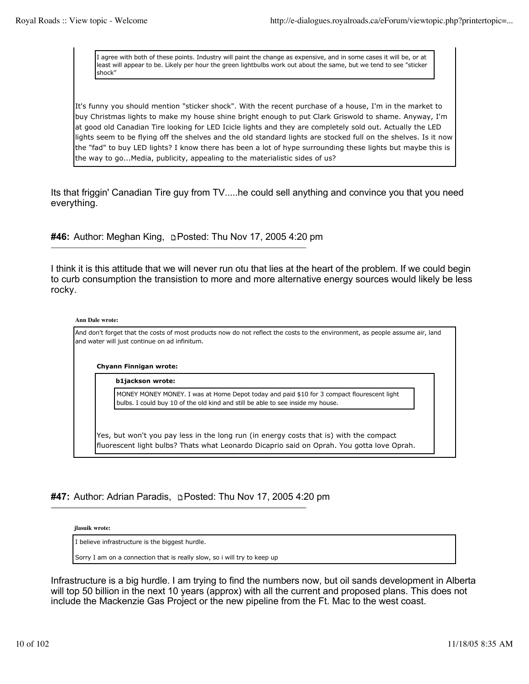I agree with both of these points. Industry will paint the change as expensive, and in some cases it will be, or at least will appear to be. Likely per hour the green lightbulbs work out about the same, but we tend to see "sticker shock"

It's funny you should mention "sticker shock". With the recent purchase of a house, I'm in the market to buy Christmas lights to make my house shine bright enough to put Clark Griswold to shame. Anyway, I'm at good old Canadian Tire looking for LED Icicle lights and they are completely sold out. Actually the LED lights seem to be flying off the shelves and the old standard lights are stocked full on the shelves. Is it now the "fad" to buy LED lights? I know there has been a lot of hype surrounding these lights but maybe this is the way to go...Media, publicity, appealing to the materialistic sides of us?

Its that friggin' Canadian Tire guy from TV.....he could sell anything and convince you that you need everything.

**#46:** Author: Meghan King, Posted: Thu Nov 17, 2005 4:20 pm

I think it is this attitude that we will never run otu that lies at the heart of the problem. If we could begin to curb consumption the transistion to more and more alternative energy sources would likely be less rocky.

#### **Ann Dale wrote:**

And don't forget that the costs of most products now do not reflect the costs to the environment, as people assume air, land and water will just continue on ad infinitum.

### **Chyann Finnigan wrote:**

**b1jackson wrote:**

MONEY MONEY MONEY. I was at Home Depot today and paid \$10 for 3 compact flourescent light bulbs. I could buy 10 of the old kind and still be able to see inside my house.

Yes, but won't you pay less in the long run (in energy costs that is) with the compact fluorescent light bulbs? Thats what Leonardo Dicaprio said on Oprah. You gotta love Oprah.

## **#47:** Author: Adrian Paradis, **p** Posted: Thu Nov 17, 2005 4:20 pm

**jlasuik wrote:**

I believe infrastructure is the biggest hurdle.

Sorry I am on a connection that is really slow, so i will try to keep up

Infrastructure is a big hurdle. I am trying to find the numbers now, but oil sands development in Alberta will top 50 billion in the next 10 years (approx) with all the current and proposed plans. This does not include the Mackenzie Gas Project or the new pipeline from the Ft. Mac to the west coast.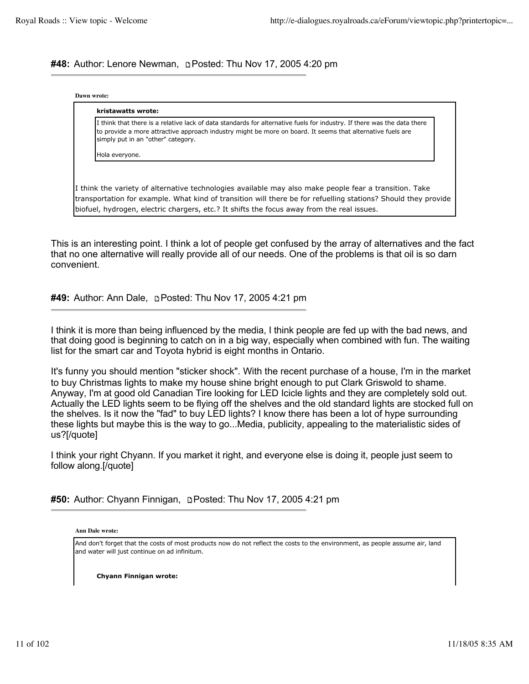**#48:** Author: Lenore Newman, **p** Posted: Thu Nov 17, 2005 4:20 pm

|  | Dawn wrote: |
|--|-------------|
|--|-------------|

| I think that there is a relative lack of data standards for alternative fuels for industry. If there was the data there<br>to provide a more attractive approach industry might be more on board. It seems that alternative fuels are<br>simply put in an "other" category. |
|-----------------------------------------------------------------------------------------------------------------------------------------------------------------------------------------------------------------------------------------------------------------------------|
| Hola everyone.                                                                                                                                                                                                                                                              |
|                                                                                                                                                                                                                                                                             |
| I think the variety of alternative technologies available may also make people fear a transition. Take                                                                                                                                                                      |
| transportation for example. What kind of transition will there be for refuelling stations? Should they provide<br>biofuel, hydrogen, electric chargers, etc.? It shifts the focus away from the real issues.                                                                |

This is an interesting point. I think a lot of people get confused by the array of alternatives and the fact that no one alternative will really provide all of our needs. One of the problems is that oil is so darn convenient.

#49: Author: Ann Dale, **DPosted: Thu Nov 17, 2005 4:21 pm** 

I think it is more than being influenced by the media, I think people are fed up with the bad news, and that doing good is beginning to catch on in a big way, especially when combined with fun. The waiting list for the smart car and Toyota hybrid is eight months in Ontario.

It's funny you should mention "sticker shock". With the recent purchase of a house, I'm in the market to buy Christmas lights to make my house shine bright enough to put Clark Griswold to shame. Anyway, I'm at good old Canadian Tire looking for LED Icicle lights and they are completely sold out. Actually the LED lights seem to be flying off the shelves and the old standard lights are stocked full on the shelves. Is it now the "fad" to buy LED lights? I know there has been a lot of hype surrounding these lights but maybe this is the way to go...Media, publicity, appealing to the materialistic sides of us?[/quote]

I think your right Chyann. If you market it right, and everyone else is doing it, people just seem to follow along.[/quote]

|  |  |  |  | #50: Author: Chyann Finnigan, DPosted: Thu Nov 17, 2005 4:21 pm |  |
|--|--|--|--|-----------------------------------------------------------------|--|
|--|--|--|--|-----------------------------------------------------------------|--|

**Ann Dale wrote:**

And don't forget that the costs of most products now do not reflect the costs to the environment, as people assume air, land and water will just continue on ad infinitum.

**Chyann Finnigan wrote:**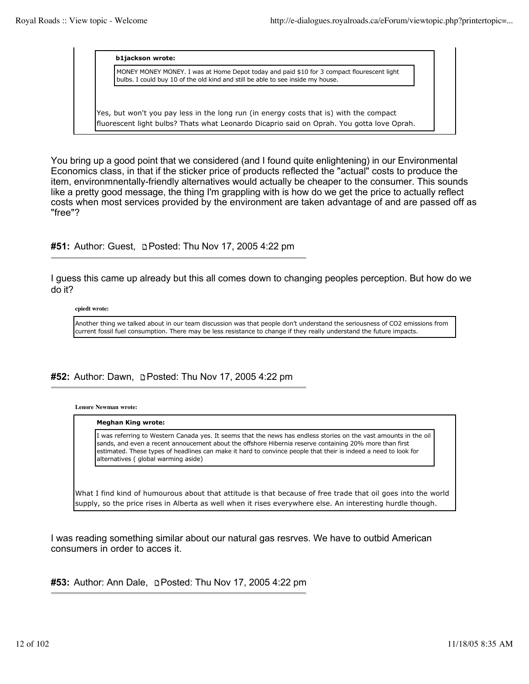### **b1jackson wrote:**

MONEY MONEY MONEY. I was at Home Depot today and paid \$10 for 3 compact flourescent light bulbs. I could buy 10 of the old kind and still be able to see inside my house.

Yes, but won't you pay less in the long run (in energy costs that is) with the compact fluorescent light bulbs? Thats what Leonardo Dicaprio said on Oprah. You gotta love Oprah.

You bring up a good point that we considered (and I found quite enlightening) in our Environmental Economics class, in that if the sticker price of products reflected the "actual" costs to produce the item, environmnentally-friendly alternatives would actually be cheaper to the consumer. This sounds like a pretty good message, the thing I'm grappling with is how do we get the price to actually reflect costs when most services provided by the environment are taken advantage of and are passed off as "free"?

#51: Author: Guest, **DPosted: Thu Nov 17, 2005 4:22 pm** 

I guess this came up already but this all comes down to changing peoples perception. But how do we do it?

**cpiedt wrote:**

Another thing we talked about in our team discussion was that people don't understand the seriousness of CO2 emissions from current fossil fuel consumption. There may be less resistance to change if they really understand the future impacts.

## **#52:** Author: Dawn, Posted: Thu Nov 17, 2005 4:22 pm

**Lenore Newman wrote:**

#### **Meghan King wrote:**

I was referring to Western Canada yes. It seems that the news has endless stories on the vast amounts in the oil sands, and even a recent annoucement about the offshore Hibernia reserve containing 20% more than first estimated. These types of headlines can make it hard to convince people that their is indeed a need to look for alternatives ( global warming aside)

What I find kind of humourous about that attitude is that because of free trade that oil goes into the world supply, so the price rises in Alberta as well when it rises everywhere else. An interesting hurdle though.

I was reading something similar about our natural gas resrves. We have to outbid American consumers in order to acces it.

**#53:** Author: Ann Dale, Posted: Thu Nov 17, 2005 4:22 pm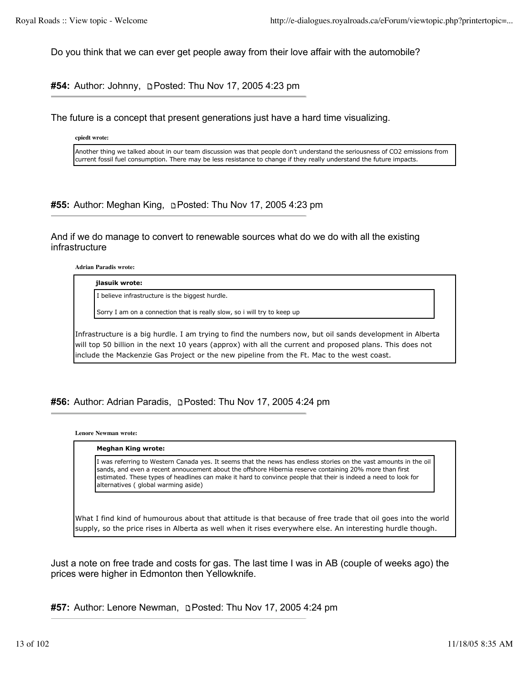Do you think that we can ever get people away from their love affair with the automobile?

**#54:** Author: Johnny, Posted: Thu Nov 17, 2005 4:23 pm

The future is a concept that present generations just have a hard time visualizing.

**cpiedt wrote:**

Another thing we talked about in our team discussion was that people don't understand the seriousness of CO2 emissions from current fossil fuel consumption. There may be less resistance to change if they really understand the future impacts.

**#55:** Author: Meghan King, Posted: Thu Nov 17, 2005 4:23 pm

And if we do manage to convert to renewable sources what do we do with all the existing infrastructure

**Adrian Paradis wrote:**

#### **jlasuik wrote:**

I believe infrastructure is the biggest hurdle.

Sorry I am on a connection that is really slow, so i will try to keep up

Infrastructure is a big hurdle. I am trying to find the numbers now, but oil sands development in Alberta will top 50 billion in the next 10 years (approx) with all the current and proposed plans. This does not include the Mackenzie Gas Project or the new pipeline from the Ft. Mac to the west coast.

#56: Author: Adrian Paradis, **Deparation 156: Author: Adrian Paradis, Deparation 15**, 2005 4:24 pm

**Lenore Newman wrote:**

#### **Meghan King wrote:**

I was referring to Western Canada yes. It seems that the news has endless stories on the vast amounts in the oil sands, and even a recent annoucement about the offshore Hibernia reserve containing 20% more than first estimated. These types of headlines can make it hard to convince people that their is indeed a need to look for alternatives ( global warming aside)

What I find kind of humourous about that attitude is that because of free trade that oil goes into the world supply, so the price rises in Alberta as well when it rises everywhere else. An interesting hurdle though.

Just a note on free trade and costs for gas. The last time I was in AB (couple of weeks ago) the prices were higher in Edmonton then Yellowknife.

**#57:** Author: Lenore Newman, Posted: Thu Nov 17, 2005 4:24 pm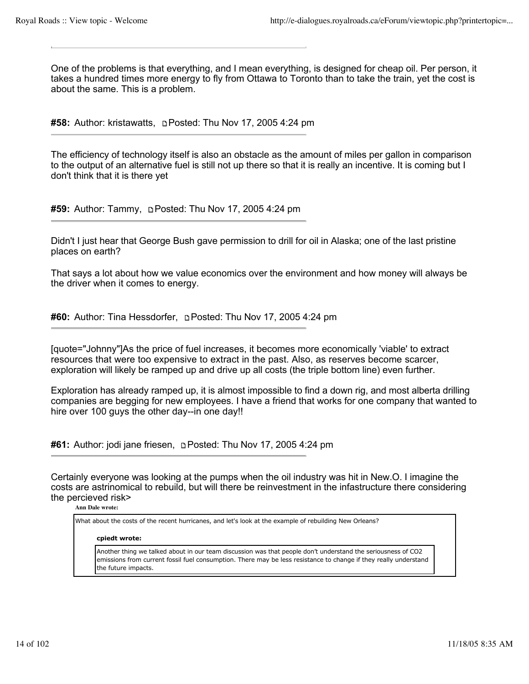One of the problems is that everything, and I mean everything, is designed for cheap oil. Per person, it takes a hundred times more energy to fly from Ottawa to Toronto than to take the train, yet the cost is about the same. This is a problem.

**#58:** Author: kristawatts, Posted: Thu Nov 17, 2005 4:24 pm

The efficiency of technology itself is also an obstacle as the amount of miles per gallon in comparison to the output of an alternative fuel is still not up there so that it is really an incentive. It is coming but I don't think that it is there yet

**#59:** Author: Tammy, Posted: Thu Nov 17, 2005 4:24 pm

Didn't I just hear that George Bush gave permission to drill for oil in Alaska; one of the last pristine places on earth?

That says a lot about how we value economics over the environment and how money will always be the driver when it comes to energy.

**#60:** Author: Tina Hessdorfer, **p**Posted: Thu Nov 17, 2005 4:24 pm

[quote="Johnny"]As the price of fuel increases, it becomes more economically 'viable' to extract resources that were too expensive to extract in the past. Also, as reserves become scarcer, exploration will likely be ramped up and drive up all costs (the triple bottom line) even further.

Exploration has already ramped up, it is almost impossible to find a down rig, and most alberta drilling companies are begging for new employees. I have a friend that works for one company that wanted to hire over 100 guys the other day--in one day!!

**#61:** Author: jodi jane friesen, Posted: Thu Nov 17, 2005 4:24 pm

Certainly everyone was looking at the pumps when the oil industry was hit in New.O. I imagine the costs are astrinomical to rebuild, but will there be reinvestment in the infastructure there considering the percieved risk>

**Ann Dale wrote:**

What about the costs of the recent hurricanes, and let's look at the example of rebuilding New Orleans?

#### **cpiedt wrote:**

Another thing we talked about in our team discussion was that people don't understand the seriousness of CO2 emissions from current fossil fuel consumption. There may be less resistance to change if they really understand the future impacts.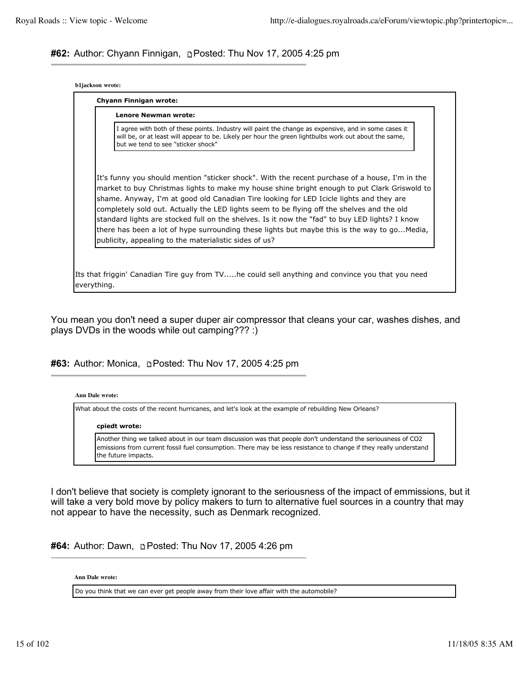## **#62:** Author: Chyann Finnigan, Posted: Thu Nov 17, 2005 4:25 pm

| b1jackson wrote: |  |
|------------------|--|
|------------------|--|

| Lenore Newman wrote:                                                                                                                                                                                                                                                                                                                                                                                                                                                                                                                                                                     |
|------------------------------------------------------------------------------------------------------------------------------------------------------------------------------------------------------------------------------------------------------------------------------------------------------------------------------------------------------------------------------------------------------------------------------------------------------------------------------------------------------------------------------------------------------------------------------------------|
| I agree with both of these points. Industry will paint the change as expensive, and in some cases it<br>will be, or at least will appear to be. Likely per hour the green lightbulbs work out about the same,<br>but we tend to see "sticker shock"                                                                                                                                                                                                                                                                                                                                      |
| It's funny you should mention "sticker shock". With the recent purchase of a house, I'm in the<br>market to buy Christmas lights to make my house shine bright enough to put Clark Griswold to<br>shame. Anyway, I'm at good old Canadian Tire looking for LED Icicle lights and they are<br>completely sold out. Actually the LED lights seem to be flying off the shelves and the old<br>standard lights are stocked full on the shelves. Is it now the "fad" to buy LED lights? I know<br>there has been a lot of hype surrounding these lights but maybe this is the way to goMedia, |

You mean you don't need a super duper air compressor that cleans your car, washes dishes, and plays DVDs in the woods while out camping??? :)

**#63:** Author: Monica, Posted: Thu Nov 17, 2005 4:25 pm

#### **Ann Dale wrote:**

everything.

What about the costs of the recent hurricanes, and let's look at the example of rebuilding New Orleans?

#### **cpiedt wrote:**

Another thing we talked about in our team discussion was that people don't understand the seriousness of CO2 emissions from current fossil fuel consumption. There may be less resistance to change if they really understand the future impacts.

I don't believe that society is complety ignorant to the seriousness of the impact of emmissions, but it will take a very bold move by policy makers to turn to alternative fuel sources in a country that may not appear to have the necessity, such as Denmark recognized.

#64: Author: Dawn, **pPosted: Thu Nov 17, 2005 4:26 pm** 

**Ann Dale wrote:**

Do you think that we can ever get people away from their love affair with the automobile?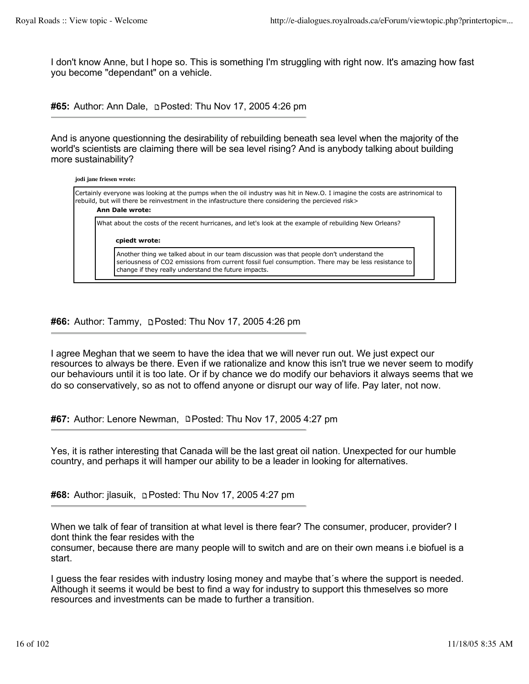I don't know Anne, but I hope so. This is something I'm struggling with right now. It's amazing how fast you become "dependant" on a vehicle.

#65: Author: Ann Dale, **p**Posted: Thu Nov 17, 2005 4:26 pm

And is anyone questionning the desirability of rebuilding beneath sea level when the majority of the world's scientists are claiming there will be sea level rising? And is anybody talking about building more sustainability?

| jodi jane friesen wrote:                                                                                                                                                                                                                                    |  |
|-------------------------------------------------------------------------------------------------------------------------------------------------------------------------------------------------------------------------------------------------------------|--|
| Certainly everyone was looking at the pumps when the oil industry was hit in New.O. I imagine the costs are astrinomical to<br>rebuild, but will there be reinvestment in the infastructure there considering the percieved risk><br><b>Ann Dale wrote:</b> |  |
| What about the costs of the recent hurricanes, and let's look at the example of rebuilding New Orleans?                                                                                                                                                     |  |
| cpiedt wrote:                                                                                                                                                                                                                                               |  |
| Another thing we talked about in our team discussion was that people don't understand the<br>seriousness of CO2 emissions from current fossil fuel consumption. There may be less resistance to<br>change if they really understand the future impacts.     |  |

# **#66:** Author: Tammy, Posted: Thu Nov 17, 2005 4:26 pm

I agree Meghan that we seem to have the idea that we will never run out. We just expect our resources to always be there. Even if we rationalize and know this isn't true we never seem to modify our behaviours until it is too late. Or if by chance we do modify our behaviors it always seems that we do so conservatively, so as not to offend anyone or disrupt our way of life. Pay later, not now.

**#67:** Author: Lenore Newman, **Posted: Thu Nov 17, 2005 4:27 pm** 

Yes, it is rather interesting that Canada will be the last great oil nation. Unexpected for our humble country, and perhaps it will hamper our ability to be a leader in looking for alternatives.

**#68:** Author: jlasuik, **Depart Posted: Thu Nov 17, 2005 4:27 pm** 

When we talk of fear of transition at what level is there fear? The consumer, producer, provider? I dont think the fear resides with the consumer, because there are many people will to switch and are on their own means i.e biofuel is a start.

I guess the fear resides with industry losing money and maybe that´s where the support is needed. Although it seems it would be best to find a way for industry to support this thmeselves so more resources and investments can be made to further a transition.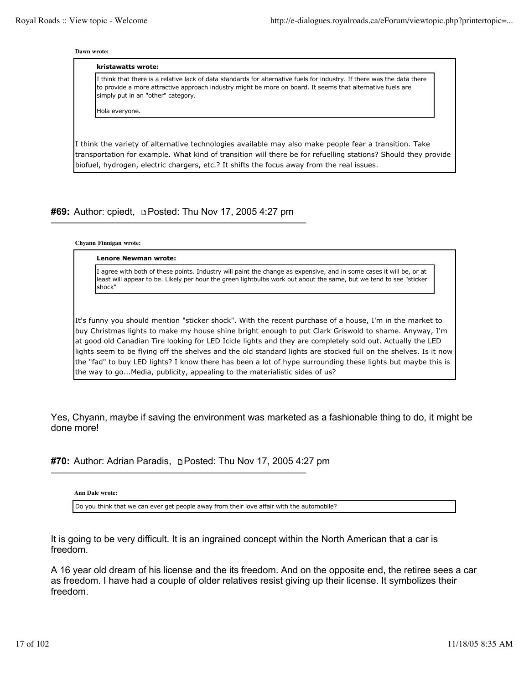**Dawn wrote:**

| simply put in an "other" category. | I think that there is a relative lack of data standards for alternative fuels for industry. If there was the data there<br>to provide a more attractive approach industry might be more on board. It seems that alternative fuels are |
|------------------------------------|---------------------------------------------------------------------------------------------------------------------------------------------------------------------------------------------------------------------------------------|
| Hola everyone.                     |                                                                                                                                                                                                                                       |
|                                    |                                                                                                                                                                                                                                       |
|                                    | I think the variety of alternative technologies available may also make people fear a transition. Take                                                                                                                                |

# **#69:** Author: cpiedt, Posted: Thu Nov 17, 2005 4:27 pm

#### **Chyann Finnigan wrote:**

**Lenore Newman wrote:**

I agree with both of these points. Industry will paint the change as expensive, and in some cases it will be, or at least will appear to be. Likely per hour the green lightbulbs work out about the same, but we tend to see "sticker shock"

It's funny you should mention "sticker shock". With the recent purchase of a house, I'm in the market to buy Christmas lights to make my house shine bright enough to put Clark Griswold to shame. Anyway, I'm at good old Canadian Tire looking for LED Icicle lights and they are completely sold out. Actually the LED lights seem to be flying off the shelves and the old standard lights are stocked full on the shelves. Is it now the "fad" to buy LED lights? I know there has been a lot of hype surrounding these lights but maybe this is the way to go...Media, publicity, appealing to the materialistic sides of us?

Yes, Chyann, maybe if saving the environment was marketed as a fashionable thing to do, it might be done more!

**#70:** Author: Adrian Paradis, Posted: Thu Nov 17, 2005 4:27 pm

**Ann Dale wrote:**

Do you think that we can ever get people away from their love affair with the automobile?

It is going to be very difficult. It is an ingrained concept within the North American that a car is freedom.

A 16 year old dream of his license and the its freedom. And on the opposite end, the retiree sees a car as freedom. I have had a couple of older relatives resist giving up their license. It symbolizes their freedom.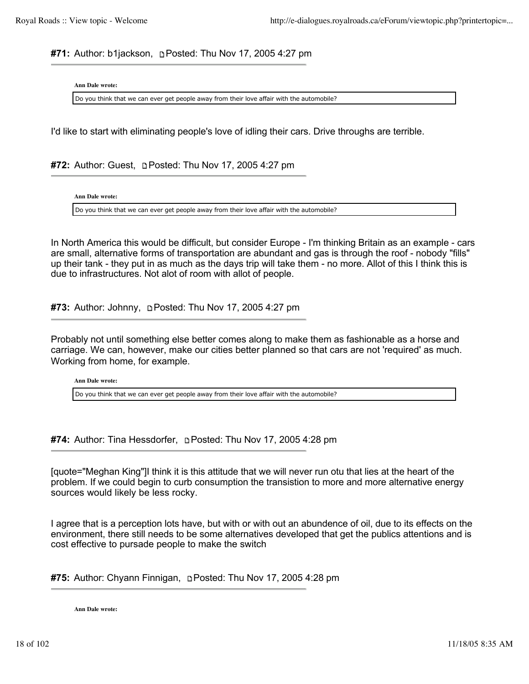**#71:** Author: b1jackson, p Posted: Thu Nov 17, 2005 4:27 pm

**Ann Dale wrote:**

Do you think that we can ever get people away from their love affair with the automobile?

I'd like to start with eliminating people's love of idling their cars. Drive throughs are terrible.

**#72:** Author: Guest, **p. Posted: Thu Nov 17, 2005 4:27 pm** 

**Ann Dale wrote:**

Do you think that we can ever get people away from their love affair with the automobile?

In North America this would be difficult, but consider Europe - I'm thinking Britain as an example - cars are small, alternative forms of transportation are abundant and gas is through the roof - nobody "fills" up their tank - they put in as much as the days trip will take them - no more. Allot of this I think this is due to infrastructures. Not alot of room with allot of people.

**#73:** Author: Johnny, Posted: Thu Nov 17, 2005 4:27 pm

Probably not until something else better comes along to make them as fashionable as a horse and carriage. We can, however, make our cities better planned so that cars are not 'required' as much. Working from home, for example.

**Ann Dale wrote:**

Do you think that we can ever get people away from their love affair with the automobile?

**#74:** Author: Tina Hessdorfer, **pPosted: Thu Nov 17, 2005 4:28 pm** 

[quote="Meghan King"]I think it is this attitude that we will never run otu that lies at the heart of the problem. If we could begin to curb consumption the transistion to more and more alternative energy sources would likely be less rocky.

I agree that is a perception lots have, but with or with out an abundence of oil, due to its effects on the environment, there still needs to be some alternatives developed that get the publics attentions and is cost effective to pursade people to make the switch

**#75:** Author: Chyann Finnigan, Posted: Thu Nov 17, 2005 4:28 pm

**Ann Dale wrote:**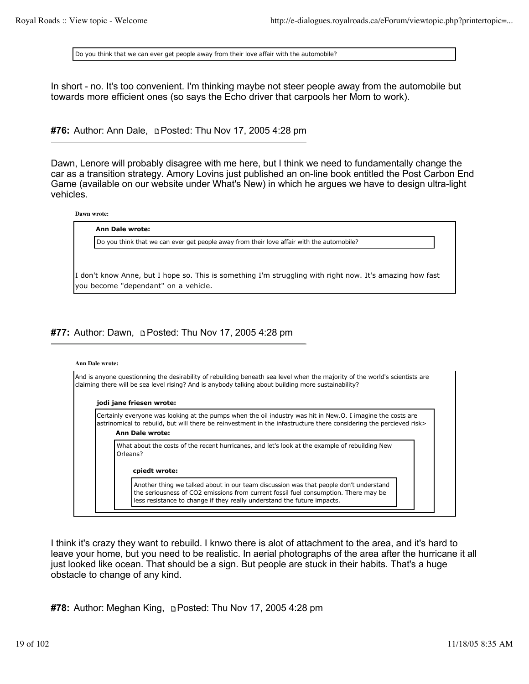Do you think that we can ever get people away from their love affair with the automobile?

In short - no. It's too convenient. I'm thinking maybe not steer people away from the automobile but towards more efficient ones (so says the Echo driver that carpools her Mom to work).

**#76:** Author: Ann Dale, Posted: Thu Nov 17, 2005 4:28 pm

Dawn, Lenore will probably disagree with me here, but I think we need to fundamentally change the car as a transition strategy. Amory Lovins just published an on-line book entitled the Post Carbon End Game (available on our website under What's New) in which he argues we have to design ultra-light vehicles.

**Dawn wrote:**

#### **Ann Dale wrote:**

Do you think that we can ever get people away from their love affair with the automobile?

I don't know Anne, but I hope so. This is something I'm struggling with right now. It's amazing how fast you become "dependant" on a vehicle.

### **#77:** Author: Dawn, **permander Thu Nov 17, 2005 4:28 pm**

#### **Ann Dale wrote:**

And is anyone questionning the desirability of rebuilding beneath sea level when the majority of the world's scientists are claiming there will be sea level rising? And is anybody talking about building more sustainability?

# **jodi jane friesen wrote:**

Certainly everyone was looking at the pumps when the oil industry was hit in New.O. I imagine the costs are astrinomical to rebuild, but will there be reinvestment in the infastructure there considering the percieved risk> **Ann Dale wrote:**

What about the costs of the recent hurricanes, and let's look at the example of rebuilding New Orleans?

#### **cpiedt wrote:**

Another thing we talked about in our team discussion was that people don't understand the seriousness of CO2 emissions from current fossil fuel consumption. There may be less resistance to change if they really understand the future impacts.

I think it's crazy they want to rebuild. I knwo there is alot of attachment to the area, and it's hard to leave your home, but you need to be realistic. In aerial photographs of the area after the hurricane it all just looked like ocean. That should be a sign. But people are stuck in their habits. That's a huge obstacle to change of any kind.

**#78:** Author: Meghan King, Posted: Thu Nov 17, 2005 4:28 pm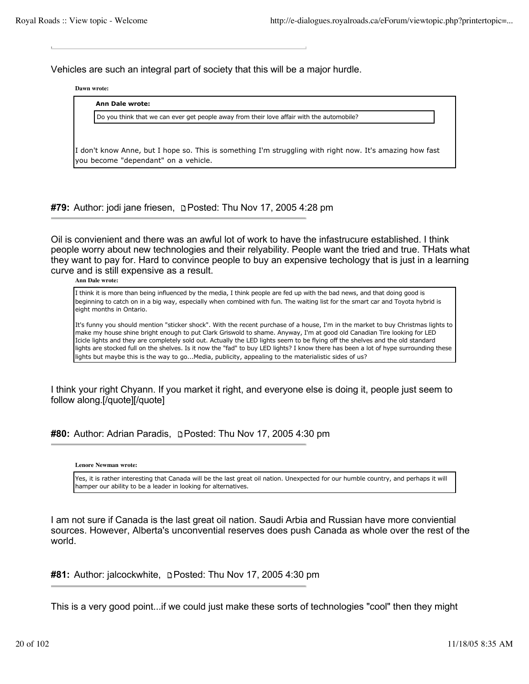Vehicles are such an integral part of society that this will be a major hurdle.

**Dawn wrote:**

### **Ann Dale wrote:**

Do you think that we can ever get people away from their love affair with the automobile?

I don't know Anne, but I hope so. This is something I'm struggling with right now. It's amazing how fast you become "dependant" on a vehicle.

**#79:** Author: jodi jane friesen, Posted: Thu Nov 17, 2005 4:28 pm

Oil is convienient and there was an awful lot of work to have the infastrucure established. I think people worry about new technologies and their relyability. People want the tried and true. THats what they want to pay for. Hard to convince people to buy an expensive techology that is just in a learning curve and is still expensive as a result.

**Ann Dale wrote:**

I think it is more than being influenced by the media, I think people are fed up with the bad news, and that doing good is beginning to catch on in a big way, especially when combined with fun. The waiting list for the smart car and Toyota hybrid is eight months in Ontario.

It's funny you should mention "sticker shock". With the recent purchase of a house, I'm in the market to buy Christmas lights to make my house shine bright enough to put Clark Griswold to shame. Anyway, I'm at good old Canadian Tire looking for LED Icicle lights and they are completely sold out. Actually the LED lights seem to be flying off the shelves and the old standard lights are stocked full on the shelves. Is it now the "fad" to buy LED lights? I know there has been a lot of hype surrounding these lights but maybe this is the way to go...Media, publicity, appealing to the materialistic sides of us?

I think your right Chyann. If you market it right, and everyone else is doing it, people just seem to follow along.[/quote][/quote]

**#80:** Author: Adrian Paradis, **p** Posted: Thu Nov 17, 2005 4:30 pm

**Lenore Newman wrote:**

Yes, it is rather interesting that Canada will be the last great oil nation. Unexpected for our humble country, and perhaps it will hamper our ability to be a leader in looking for alternatives.

I am not sure if Canada is the last great oil nation. Saudi Arbia and Russian have more conviential sources. However, Alberta's unconvential reserves does push Canada as whole over the rest of the world.

**#81:** Author: jalcockwhite, **p** Posted: Thu Nov 17, 2005 4:30 pm

This is a very good point...if we could just make these sorts of technologies "cool" then they might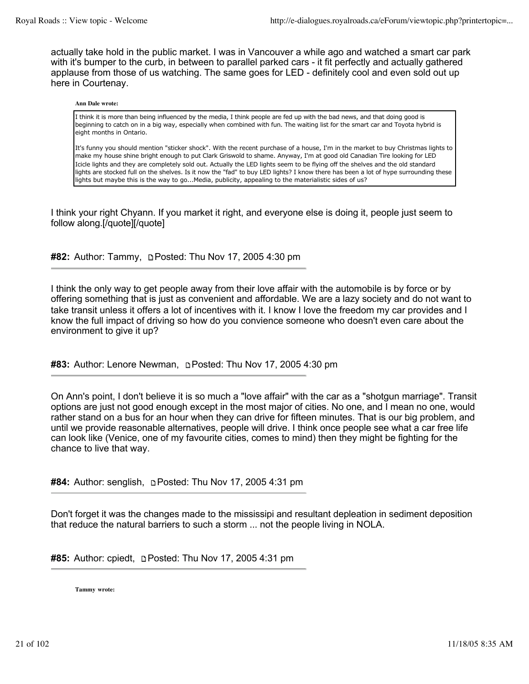actually take hold in the public market. I was in Vancouver a while ago and watched a smart car park with it's bumper to the curb, in between to parallel parked cars - it fit perfectly and actually gathered applause from those of us watching. The same goes for LED - definitely cool and even sold out up here in Courtenay.

#### **Ann Dale wrote:**

I think it is more than being influenced by the media, I think people are fed up with the bad news, and that doing good is beginning to catch on in a big way, especially when combined with fun. The waiting list for the smart car and Toyota hybrid is eight months in Ontario.

It's funny you should mention "sticker shock". With the recent purchase of a house, I'm in the market to buy Christmas lights to make my house shine bright enough to put Clark Griswold to shame. Anyway, I'm at good old Canadian Tire looking for LED Icicle lights and they are completely sold out. Actually the LED lights seem to be flying off the shelves and the old standard lights are stocked full on the shelves. Is it now the "fad" to buy LED lights? I know there has been a lot of hype surrounding these lights but maybe this is the way to go...Media, publicity, appealing to the materialistic sides of us?

I think your right Chyann. If you market it right, and everyone else is doing it, people just seem to follow along.[/quote][/quote]

**#82:** Author: Tammy, Posted: Thu Nov 17, 2005 4:30 pm

I think the only way to get people away from their love affair with the automobile is by force or by offering something that is just as convenient and affordable. We are a lazy society and do not want to take transit unless it offers a lot of incentives with it. I know I love the freedom my car provides and I know the full impact of driving so how do you convience someone who doesn't even care about the environment to give it up?

**#83:** Author: Lenore Newman, **p** Posted: Thu Nov 17, 2005 4:30 pm

On Ann's point, I don't believe it is so much a "love affair" with the car as a "shotgun marriage". Transit options are just not good enough except in the most major of cities. No one, and I mean no one, would rather stand on a bus for an hour when they can drive for fifteen minutes. That is our big problem, and until we provide reasonable alternatives, people will drive. I think once people see what a car free life can look like (Venice, one of my favourite cities, comes to mind) then they might be fighting for the chance to live that way.

#84: Author: senglish, **DPosted: Thu Nov 17, 2005 4:31 pm** 

Don't forget it was the changes made to the mississipi and resultant depleation in sediment deposition that reduce the natural barriers to such a storm ... not the people living in NOLA.

**#85:** Author: cpiedt, **permit and Strip Nov 17, 2005** 4:31 pm

**Tammy wrote:**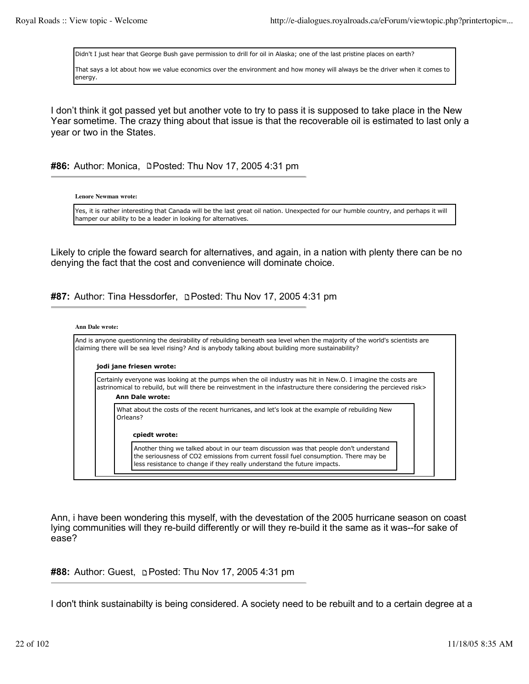Didn't I just hear that George Bush gave permission to drill for oil in Alaska; one of the last pristine places on earth?

That says a lot about how we value economics over the environment and how money will always be the driver when it comes to energy.

I don't think it got passed yet but another vote to try to pass it is supposed to take place in the New Year sometime. The crazy thing about that issue is that the recoverable oil is estimated to last only a year or two in the States.

### #86: Author: Monica, **DPosted: Thu Nov 17, 2005 4:31 pm**

**Lenore Newman wrote:**

Yes, it is rather interesting that Canada will be the last great oil nation. Unexpected for our humble country, and perhaps it will hamper our ability to be a leader in looking for alternatives.

Likely to criple the foward search for alternatives, and again, in a nation with plenty there can be no denying the fact that the cost and convenience will dominate choice.

**#87:** Author: Tina Hessdorfer, p Posted: Thu Nov 17, 2005 4:31 pm

# **Ann Dale wrote:** And is anyone questionning the desirability of rebuilding beneath sea level when the majority of the world's scientists are claiming there will be sea level rising? And is anybody talking about building more sustainability? **jodi jane friesen wrote:** Certainly everyone was looking at the pumps when the oil industry was hit in New.O. I imagine the costs are astrinomical to rebuild, but will there be reinvestment in the infastructure there considering the percieved risk> **Ann Dale wrote:** What about the costs of the recent hurricanes, and let's look at the example of rebuilding New Orleans? **cpiedt wrote:** Another thing we talked about in our team discussion was that people don't understand the seriousness of CO2 emissions from current fossil fuel consumption. There may be less resistance to change if they really understand the future impacts.

Ann, i have been wondering this myself, with the devestation of the 2005 hurricane season on coast lying communities will they re-build differently or will they re-build it the same as it was--for sake of ease?

## **#88:** Author: Guest, **Depart of the Nov 17, 2005 4:31 pm**

I don't think sustainabilty is being considered. A society need to be rebuilt and to a certain degree at a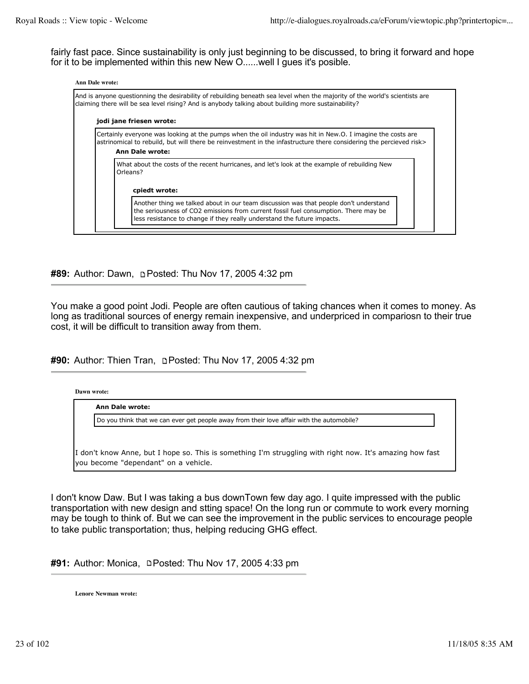fairly fast pace. Since sustainability is only just beginning to be discussed, to bring it forward and hope for it to be implemented within this new New O......well I gues it's posible.

| <b>Ann Dale wrote:</b> | And is anyone questionning the desirability of rebuilding beneath sea level when the majority of the world's scientists are<br>claiming there will be sea level rising? And is anybody talking about building more sustainability?                      |
|------------------------|---------------------------------------------------------------------------------------------------------------------------------------------------------------------------------------------------------------------------------------------------------|
|                        | jodi jane friesen wrote:                                                                                                                                                                                                                                |
|                        | Certainly everyone was looking at the pumps when the oil industry was hit in New.O. I imagine the costs are<br>astrinomical to rebuild, but will there be reinvestment in the infastructure there considering the percieved risk><br>Ann Dale wrote:    |
|                        | What about the costs of the recent hurricanes, and let's look at the example of rebuilding New<br>Orleans?                                                                                                                                              |
|                        | cpiedt wrote:                                                                                                                                                                                                                                           |
|                        | Another thing we talked about in our team discussion was that people don't understand<br>the seriousness of CO2 emissions from current fossil fuel consumption. There may be<br>less resistance to change if they really understand the future impacts. |

**#89:** Author: Dawn, **p.** Posted: Thu Nov 17, 2005 4:32 pm

You make a good point Jodi. People are often cautious of taking chances when it comes to money. As long as traditional sources of energy remain inexpensive, and underpriced in compariosn to their true cost, it will be difficult to transition away from them.

**#90:** Author: Thien Tran, Posted: Thu Nov 17, 2005 4:32 pm

**Dawn wrote:**

**Ann Dale wrote:**

Do you think that we can ever get people away from their love affair with the automobile?

I don't know Anne, but I hope so. This is something I'm struggling with right now. It's amazing how fast you become "dependant" on a vehicle.

I don't know Daw. But I was taking a bus downTown few day ago. I quite impressed with the public transportation with new design and stting space! On the long run or commute to work every morning may be tough to think of. But we can see the improvement in the public services to encourage people to take public transportation; thus, helping reducing GHG effect.

**#91:** Author: Monica, **DPosted: Thu Nov 17, 2005 4:33 pm** 

**Lenore Newman wrote:**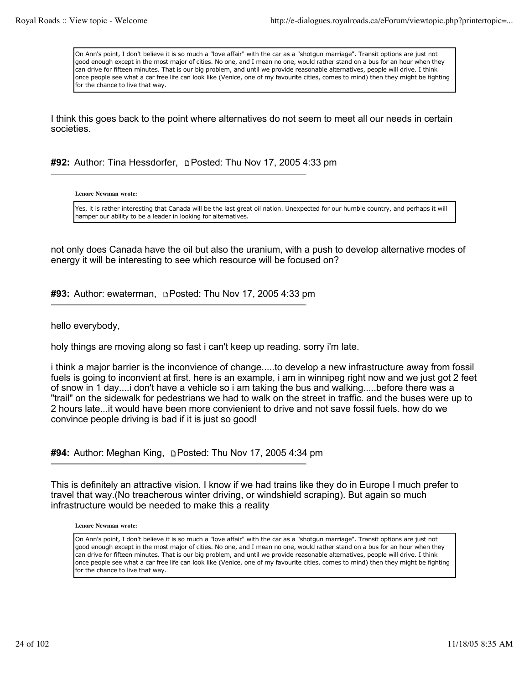On Ann's point, I don't believe it is so much a "love affair" with the car as a "shotgun marriage". Transit options are just not good enough except in the most major of cities. No one, and I mean no one, would rather stand on a bus for an hour when they can drive for fifteen minutes. That is our big problem, and until we provide reasonable alternatives, people will drive. I think once people see what a car free life can look like (Venice, one of my favourite cities, comes to mind) then they might be fighting for the chance to live that way.

I think this goes back to the point where alternatives do not seem to meet all our needs in certain societies.

**#92:** Author: Tina Hessdorfer, **pPosted: Thu Nov 17, 2005 4:33 pm** 

**Lenore Newman wrote:**

Yes, it is rather interesting that Canada will be the last great oil nation. Unexpected for our humble country, and perhaps it will hamper our ability to be a leader in looking for alternatives.

not only does Canada have the oil but also the uranium, with a push to develop alternative modes of energy it will be interesting to see which resource will be focused on?

**#93:** Author: ewaterman, Posted: Thu Nov 17, 2005 4:33 pm

hello everybody,

holy things are moving along so fast i can't keep up reading. sorry i'm late.

i think a major barrier is the inconvience of change.....to develop a new infrastructure away from fossil fuels is going to inconvient at first. here is an example, i am in winnipeg right now and we just got 2 feet of snow in 1 day....i don't have a vehicle so i am taking the bus and walking.....before there was a "trail" on the sidewalk for pedestrians we had to walk on the street in traffic. and the buses were up to 2 hours late...it would have been more convienient to drive and not save fossil fuels. how do we convince people driving is bad if it is just so good!

**#94:** Author: Meghan King, Posted: Thu Nov 17, 2005 4:34 pm

This is definitely an attractive vision. I know if we had trains like they do in Europe I much prefer to travel that way.(No treacherous winter driving, or windshield scraping). But again so much infrastructure would be needed to make this a reality

**Lenore Newman wrote:**

On Ann's point, I don't believe it is so much a "love affair" with the car as a "shotgun marriage". Transit options are just not good enough except in the most major of cities. No one, and I mean no one, would rather stand on a bus for an hour when they can drive for fifteen minutes. That is our big problem, and until we provide reasonable alternatives, people will drive. I think once people see what a car free life can look like (Venice, one of my favourite cities, comes to mind) then they might be fighting for the chance to live that way.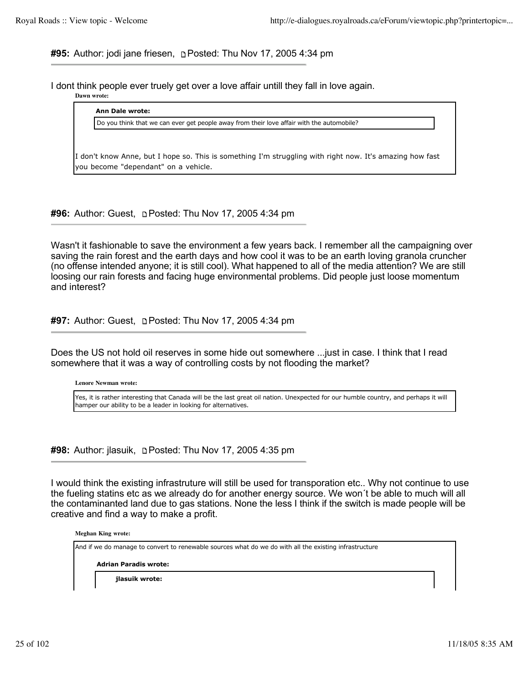**#95:** Author: jodi jane friesen, Posted: Thu Nov 17, 2005 4:34 pm

I dont think people ever truely get over a love affair untill they fall in love again.

**Dawn wrote:**

| Do you think that we can ever get people away from their love affair with the automobile? |  |
|-------------------------------------------------------------------------------------------|--|
|                                                                                           |  |
|                                                                                           |  |

**#96:** Author: Guest, Posted: Thu Nov 17, 2005 4:34 pm

Wasn't it fashionable to save the environment a few years back. I remember all the campaigning over saving the rain forest and the earth days and how cool it was to be an earth loving granola cruncher (no offense intended anyone; it is still cool). What happened to all of the media attention? We are still loosing our rain forests and facing huge environmental problems. Did people just loose momentum and interest?

**#97:** Author: Guest, **p. Posted: Thu Nov 17, 2005 4:34 pm** 

Does the US not hold oil reserves in some hide out somewhere ...just in case. I think that I read somewhere that it was a way of controlling costs by not flooding the market?

**Lenore Newman wrote:**

Yes, it is rather interesting that Canada will be the last great oil nation. Unexpected for our humble country, and perhaps it will hamper our ability to be a leader in looking for alternatives.

**#98:** Author: jlasuik, Posted: Thu Nov 17, 2005 4:35 pm

I would think the existing infrastruture will still be used for transporation etc.. Why not continue to use the fueling statins etc as we already do for another energy source. We won´t be able to much will all the contaminanted land due to gas stations. None the less I think if the switch is made people will be creative and find a way to make a profit.

**Meghan King wrote:**

And if we do manage to convert to renewable sources what do we do with all the existing infrastructure

**Adrian Paradis wrote:**

**jlasuik wrote:**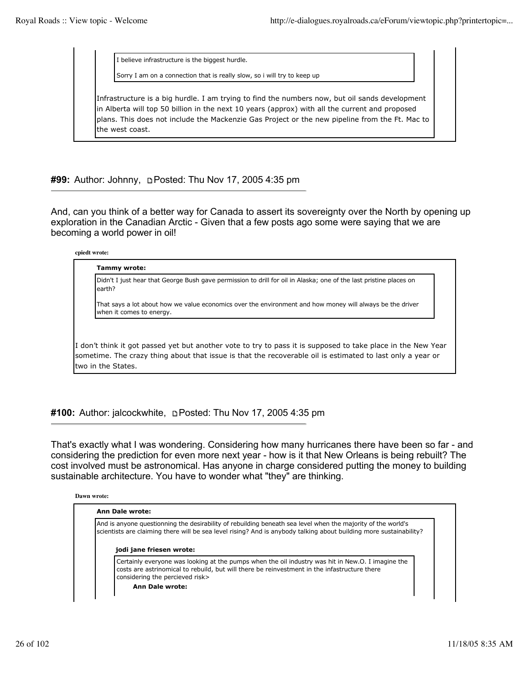I believe infrastructure is the biggest hurdle.

Sorry I am on a connection that is really slow, so i will try to keep up

Infrastructure is a big hurdle. I am trying to find the numbers now, but oil sands development in Alberta will top 50 billion in the next 10 years (approx) with all the current and proposed plans. This does not include the Mackenzie Gas Project or the new pipeline from the Ft. Mac to the west coast.

**#99:** Author: Johnny, Posted: Thu Nov 17, 2005 4:35 pm

And, can you think of a better way for Canada to assert its sovereignty over the North by opening up exploration in the Canadian Arctic - Given that a few posts ago some were saying that we are becoming a world power in oil!

**cpiedt wrote:**

| earth?                   | Didn't I just hear that George Bush gave permission to drill for oil in Alaska; one of the last pristine places on |
|--------------------------|--------------------------------------------------------------------------------------------------------------------|
| when it comes to energy. | That says a lot about how we value economics over the environment and how money will always be the driver          |
|                          |                                                                                                                    |
|                          | I don't think it got passed yet but another vote to try to pass it is supposed to take place in the New Year       |

**#100:** Author: jalcockwhite, Posted: Thu Nov 17, 2005 4:35 pm

That's exactly what I was wondering. Considering how many hurricanes there have been so far - and considering the prediction for even more next year - how is it that New Orleans is being rebuilt? The cost involved must be astronomical. Has anyone in charge considered putting the money to building sustainable architecture. You have to wonder what "they" are thinking.

**Dawn wrote:**

| And is anyone questionning the desirability of rebuilding beneath sea level when the majority of the world's<br>scientists are claiming there will be sea level rising? And is anybody talking about building more sustainability?   |
|--------------------------------------------------------------------------------------------------------------------------------------------------------------------------------------------------------------------------------------|
| jodi jane friesen wrote:                                                                                                                                                                                                             |
|                                                                                                                                                                                                                                      |
| Certainly everyone was looking at the pumps when the oil industry was hit in New.O. I imagine the<br>costs are astrinomical to rebuild, but will there be reinvestment in the infastructure there<br>considering the percieved risk> |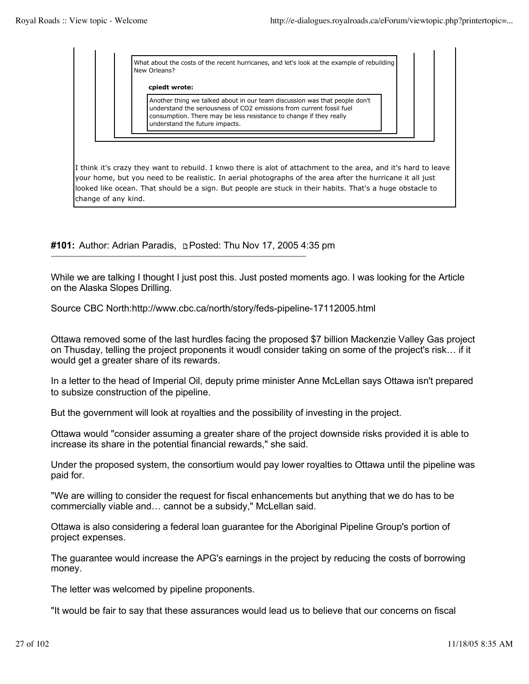What about the costs of the recent hurricanes, and let's look at the example of rebuilding New Orleans?

**cpiedt wrote:**

Another thing we talked about in our team discussion was that people don't understand the seriousness of CO2 emissions from current fossil fuel consumption. There may be less resistance to change if they really understand the future impacts.

I think it's crazy they want to rebuild. I knwo there is alot of attachment to the area, and it's hard to leave your home, but you need to be realistic. In aerial photographs of the area after the hurricane it all just looked like ocean. That should be a sign. But people are stuck in their habits. That's a huge obstacle to change of any kind.

**#101:** Author: Adrian Paradis, **p** Posted: Thu Nov 17, 2005 4:35 pm

While we are talking I thought I just post this. Just posted moments ago. I was looking for the Article on the Alaska Slopes Drilling.

Source CBC North:http://www.cbc.ca/north/story/feds-pipeline-17112005.html

Ottawa removed some of the last hurdles facing the proposed \$7 billion Mackenzie Valley Gas project on Thusday, telling the project proponents it woudl consider taking on some of the project's risk… if it would get a greater share of its rewards.

In a letter to the head of Imperial Oil, deputy prime minister Anne McLellan says Ottawa isn't prepared to subsize construction of the pipeline.

But the government will look at royalties and the possibility of investing in the project.

Ottawa would "consider assuming a greater share of the project downside risks provided it is able to increase its share in the potential financial rewards," she said.

Under the proposed system, the consortium would pay lower royalties to Ottawa until the pipeline was paid for.

"We are willing to consider the request for fiscal enhancements but anything that we do has to be commercially viable and… cannot be a subsidy," McLellan said.

Ottawa is also considering a federal loan guarantee for the Aboriginal Pipeline Group's portion of project expenses.

The guarantee would increase the APG's earnings in the project by reducing the costs of borrowing money.

The letter was welcomed by pipeline proponents.

"It would be fair to say that these assurances would lead us to believe that our concerns on fiscal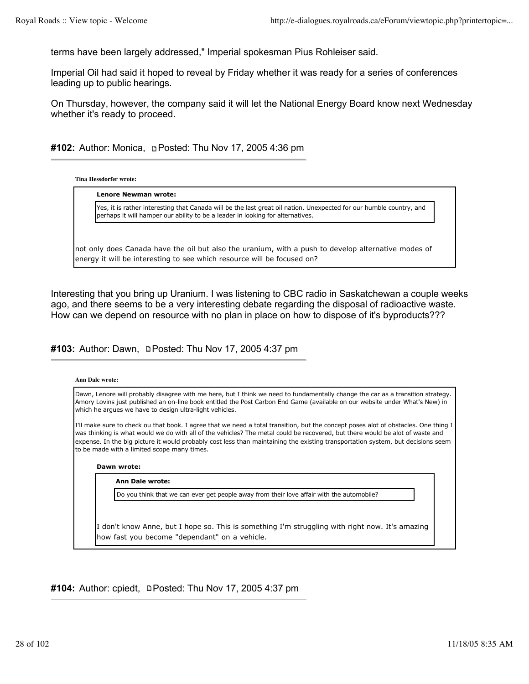terms have been largely addressed," Imperial spokesman Pius Rohleiser said.

Imperial Oil had said it hoped to reveal by Friday whether it was ready for a series of conferences leading up to public hearings.

On Thursday, however, the company said it will let the National Energy Board know next Wednesday whether it's ready to proceed.

**#102:** Author: Monica, **pPosted: Thu Nov 17, 2005 4:36 pm** 

**Tina Hessdorfer wrote:**

| Yes, it is rather interesting that Canada will be the last great oil nation. Unexpected for our humble country, and<br>perhaps it will hamper our ability to be a leader in looking for alternatives. |
|-------------------------------------------------------------------------------------------------------------------------------------------------------------------------------------------------------|
|                                                                                                                                                                                                       |
|                                                                                                                                                                                                       |

Interesting that you bring up Uranium. I was listening to CBC radio in Saskatchewan a couple weeks ago, and there seems to be a very interesting debate regarding the disposal of radioactive waste. How can we depend on resource with no plan in place on how to dispose of it's byproducts???

#103: Author: Dawn, **DPosted: Thu Nov 17, 2005 4:37 pm** 

| <b>Ann Dale wrote:</b>                                                                                                                                                                                                                                                                                                                                                                                                                                                                    |  |
|-------------------------------------------------------------------------------------------------------------------------------------------------------------------------------------------------------------------------------------------------------------------------------------------------------------------------------------------------------------------------------------------------------------------------------------------------------------------------------------------|--|
| Dawn, Lenore will probably disagree with me here, but I think we need to fundamentally change the car as a transition strategy.<br>Amory Lovins just published an on-line book entitled the Post Carbon End Game (available on our website under What's New) in<br>which he arques we have to design ultra-light vehicles.                                                                                                                                                                |  |
| [I'll make sure to check ou that book. I agree that we need a total transition, but the concept poses alot of obstacles. One thing I<br>was thinking is what would we do with all of the vehicles? The metal could be recovered, but there would be alot of waste and<br>expense. In the big picture it would probably cost less than maintaining the existing transportation system, but decisions seem<br>to be made with a limited scope many times.<br>Dawn wrote:<br>Ann Dale wrote: |  |
| Do you think that we can ever get people away from their love affair with the automobile?                                                                                                                                                                                                                                                                                                                                                                                                 |  |
| I don't know Anne, but I hope so. This is something I'm struggling with right now. It's amazing<br>how fast you become "dependant" on a vehicle.                                                                                                                                                                                                                                                                                                                                          |  |

#104: Author: cpiedt, **DPosted: Thu Nov 17, 2005 4:37 pm**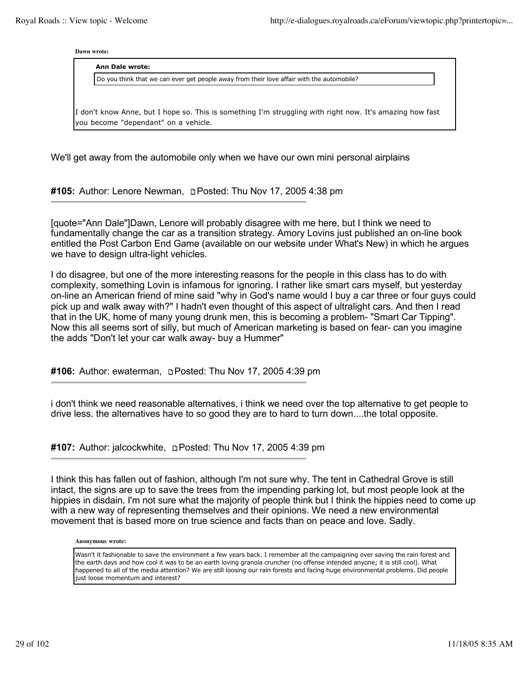**Dawn wrote:**

**Ann Dale wrote:**

Do you think that we can ever get people away from their love affair with the automobile?

I don't know Anne, but I hope so. This is something I'm struggling with right now. It's amazing how fast you become "dependant" on a vehicle.

We'll get away from the automobile only when we have our own mini personal airplains

**#105:** Author: Lenore Newman, Posted: Thu Nov 17, 2005 4:38 pm

[quote="Ann Dale"]Dawn, Lenore will probably disagree with me here, but I think we need to fundamentally change the car as a transition strategy. Amory Lovins just published an on-line book entitled the Post Carbon End Game (available on our website under What's New) in which he argues we have to design ultra-light vehicles.

I do disagree, but one of the more interesting reasons for the people in this class has to do with complexity, something Lovin is infamous for ignoring. I rather like smart cars myself, but yesterday on-line an American friend of mine said "why in God's name would I buy a car three or four guys could pick up and walk away with?" I hadn't even thought of this aspect of ultralight cars. And then I read that in the UK, home of many young drunk men, this is becoming a problem- "Smart Car Tipping". Now this all seems sort of silly, but much of American marketing is based on fear- can you imagine the adds "Don't let your car walk away- buy a Hummer"

**#106:** Author: ewaterman, Posted: Thu Nov 17, 2005 4:39 pm

i don't think we need reasonable alternatives, i think we need over the top alternative to get people to drive less. the alternatives have to so good they are to hard to turn down....the total opposite.

**#107:** Author: jalcockwhite, Posted: Thu Nov 17, 2005 4:39 pm

I think this has fallen out of fashion, although I'm not sure why. The tent in Cathedral Grove is still intact, the signs are up to save the trees from the impending parking lot, but most people look at the hippies in disdain. I'm not sure what the majority of people think but I think the hippies need to come up with a new way of representing themselves and their opinions. We need a new environmental movement that is based more on true science and facts than on peace and love. Sadly.

#### **Anonymous wrote:**

Wasn't it fashionable to save the environment a few years back. I remember all the campaigning over saving the rain forest and the earth days and how cool it was to be an earth loving granola cruncher (no offense intended anyone; it is still cool). What happened to all of the media attention? We are still loosing our rain forests and facing huge environmental problems. Did people just loose momentum and interest?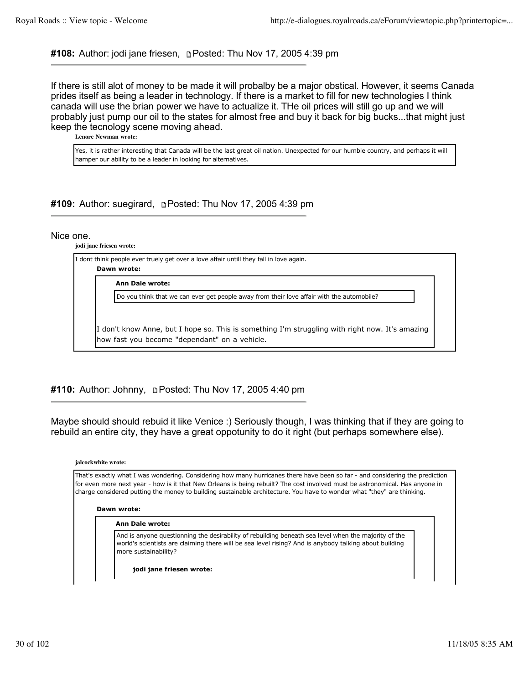# **#108:** Author: jodi jane friesen, Posted: Thu Nov 17, 2005 4:39 pm

If there is still alot of money to be made it will probalby be a major obstical. However, it seems Canada prides itself as being a leader in technology. If there is a market to fill for new technologies I think canada will use the brian power we have to actualize it. THe oil prices will still go up and we will probably just pump our oil to the states for almost free and buy it back for big bucks...that might just keep the tecnology scene moving ahead.

**Lenore Newman wrote:**

Yes, it is rather interesting that Canada will be the last great oil nation. Unexpected for our humble country, and perhaps it will hamper our ability to be a leader in looking for alternatives.

# #109: Author: suegirard, **DPosted: Thu Nov 17, 2005 4:39 pm**

# Nice one.

**jodi jane friesen wrote:**

I dont think people ever truely get over a love affair untill they fall in love again. **Dawn wrote:**

**Ann Dale wrote:**

Do you think that we can ever get people away from their love affair with the automobile?

I don't know Anne, but I hope so. This is something I'm struggling with right now. It's amazing how fast you become "dependant" on a vehicle.

# **#110:** Author: Johnny, Posted: Thu Nov 17, 2005 4:40 pm

Maybe should should rebuid it like Venice :) Seriously though, I was thinking that if they are going to rebuild an entire city, they have a great oppotunity to do it right (but perhaps somewhere else).

**jalcockwhite wrote:**

That's exactly what I was wondering. Considering how many hurricanes there have been so far - and considering the prediction for even more next year - how is it that New Orleans is being rebuilt? The cost involved must be astronomical. Has anyone in charge considered putting the money to building sustainable architecture. You have to wonder what "they" are thinking.

#### **Dawn wrote:**

#### **Ann Dale wrote:**

And is anyone questionning the desirability of rebuilding beneath sea level when the majority of the world's scientists are claiming there will be sea level rising? And is anybody talking about building more sustainability?

**jodi jane friesen wrote:**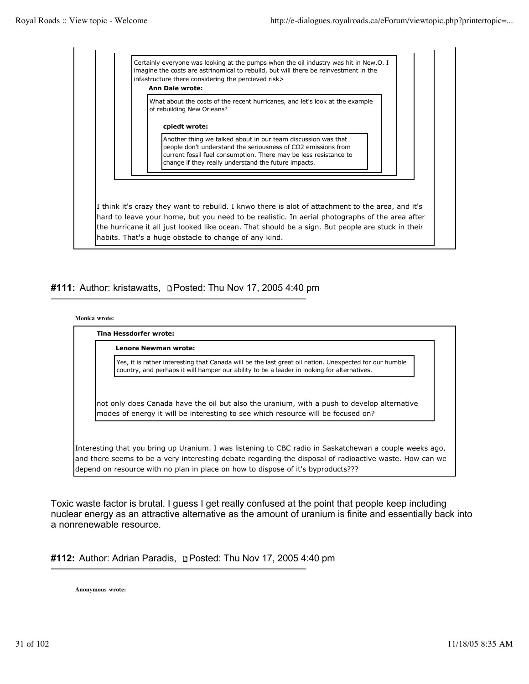

# #111: Author: kristawatts, **n**Posted: Thu Nov 17, 2005 4:40 pm

#### **Monica wrote:**

| Lenore Newman wrote:                                                                                                                                                                                  |
|-------------------------------------------------------------------------------------------------------------------------------------------------------------------------------------------------------|
| Yes, it is rather interesting that Canada will be the last great oil nation. Unexpected for our humble<br>country, and perhaps it will hamper our ability to be a leader in looking for alternatives. |
| not only does Canada have the oil but also the uranium, with a push to develop alternative                                                                                                            |

depend on resource with no plan in place on how to dispose of it's byproducts???

Toxic waste factor is brutal. I guess I get really confused at the point that people keep including nuclear energy as an attractive alternative as the amount of uranium is finite and essentially back into a nonrenewable resource.

| #112: Author: Adrian Paradis, ne Posted: Thu Nov 17, 2005 4:40 pm |  |  |
|-------------------------------------------------------------------|--|--|
|-------------------------------------------------------------------|--|--|

**Anonymous wrote:**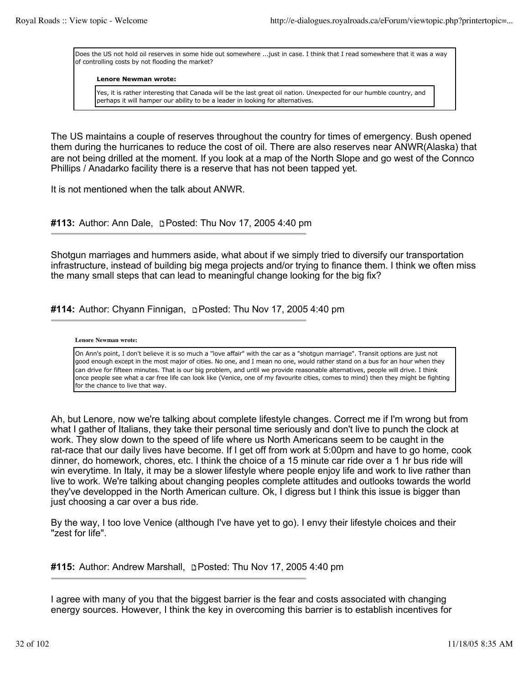Does the US not hold oil reserves in some hide out somewhere ...just in case. I think that I read somewhere that it was a way of controlling costs by not flooding the market?

#### **Lenore Newman wrote:**

Yes, it is rather interesting that Canada will be the last great oil nation. Unexpected for our humble country, and perhaps it will hamper our ability to be a leader in looking for alternatives.

The US maintains a couple of reserves throughout the country for times of emergency. Bush opened them during the hurricanes to reduce the cost of oil. There are also reserves near ANWR(Alaska) that are not being drilled at the moment. If you look at a map of the North Slope and go west of the Connco Phillips / Anadarko facility there is a reserve that has not been tapped yet.

It is not mentioned when the talk about ANWR.

## #113: Author: Ann Dale, **n**Posted: Thu Nov 17, 2005 4:40 pm

Shotgun marriages and hummers aside, what about if we simply tried to diversify our transportation infrastructure, instead of building big mega projects and/or trying to finance them. I think we often miss the many small steps that can lead to meaningful change looking for the big fix?

# **#114:** Author: Chyann Finnigan, Posted: Thu Nov 17, 2005 4:40 pm

#### **Lenore Newman wrote:**

On Ann's point, I don't believe it is so much a "love affair" with the car as a "shotgun marriage". Transit options are just not good enough except in the most major of cities. No one, and I mean no one, would rather stand on a bus for an hour when they can drive for fifteen minutes. That is our big problem, and until we provide reasonable alternatives, people will drive. I think once people see what a car free life can look like (Venice, one of my favourite cities, comes to mind) then they might be fighting for the chance to live that way.

Ah, but Lenore, now we're talking about complete lifestyle changes. Correct me if I'm wrong but from what I gather of Italians, they take their personal time seriously and don't live to punch the clock at work. They slow down to the speed of life where us North Americans seem to be caught in the rat-race that our daily lives have become. If I get off from work at 5:00pm and have to go home, cook dinner, do homework, chores, etc. I think the choice of a 15 minute car ride over a 1 hr bus ride will win everytime. In Italy, it may be a slower lifestyle where people enjoy life and work to live rather than live to work. We're talking about changing peoples complete attitudes and outlooks towards the world they've developped in the North American culture. Ok, I digress but I think this issue is bigger than just choosing a car over a bus ride.

By the way, I too love Venice (although I've have yet to go). I envy their lifestyle choices and their "zest for life".

**#115:** Author: Andrew Marshall, Posted: Thu Nov 17, 2005 4:40 pm

I agree with many of you that the biggest barrier is the fear and costs associated with changing energy sources. However, I think the key in overcoming this barrier is to establish incentives for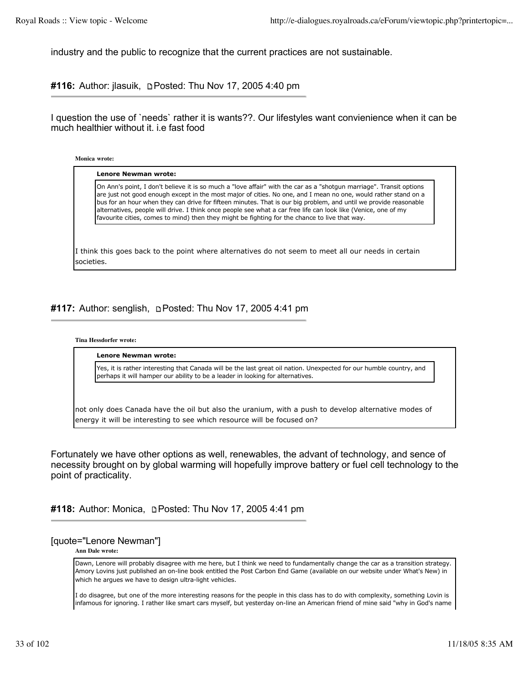industry and the public to recognize that the current practices are not sustainable.

#116: Author: jlasuik, **DPosted: Thu Nov 17, 2005 4:40 pm** 

I question the use of `needs` rather it is wants??. Our lifestyles want convienience when it can be much healthier without it. i.e fast food

**Monica wrote:**

societies.

| On Ann's point, I don't believe it is so much a "love affair" with the car as a "shotgun marriage". Transit options<br>are just not good enough except in the most major of cities. No one, and I mean no one, would rather stand on a<br>bus for an hour when they can drive for fifteen minutes. That is our big problem, and until we provide reasonable<br>alternatives, people will drive. I think once people see what a car free life can look like (Venice, one of my<br>favourite cities, comes to mind) then they might be fighting for the chance to live that way. |
|--------------------------------------------------------------------------------------------------------------------------------------------------------------------------------------------------------------------------------------------------------------------------------------------------------------------------------------------------------------------------------------------------------------------------------------------------------------------------------------------------------------------------------------------------------------------------------|
|                                                                                                                                                                                                                                                                                                                                                                                                                                                                                                                                                                                |

#117: Author: senglish, **DPosted: Thu Nov 17, 2005 4:41 pm** 

#### **Tina Hessdorfer wrote:**

**Lenore Newman wrote:**

Yes, it is rather interesting that Canada will be the last great oil nation. Unexpected for our humble country, and perhaps it will hamper our ability to be a leader in looking for alternatives.

not only does Canada have the oil but also the uranium, with a push to develop alternative modes of energy it will be interesting to see which resource will be focused on?

Fortunately we have other options as well, renewables, the advant of technology, and sence of necessity brought on by global warming will hopefully improve battery or fuel cell technology to the point of practicality.

**#118:** Author: Monica, Posted: Thu Nov 17, 2005 4:41 pm

# [quote="Lenore Newman"]

**Ann Dale wrote:**

Dawn, Lenore will probably disagree with me here, but I think we need to fundamentally change the car as a transition strategy. Amory Lovins just published an on-line book entitled the Post Carbon End Game (available on our website under What's New) in which he argues we have to design ultra-light vehicles.

I do disagree, but one of the more interesting reasons for the people in this class has to do with complexity, something Lovin is infamous for ignoring. I rather like smart cars myself, but yesterday on-line an American friend of mine said "why in God's name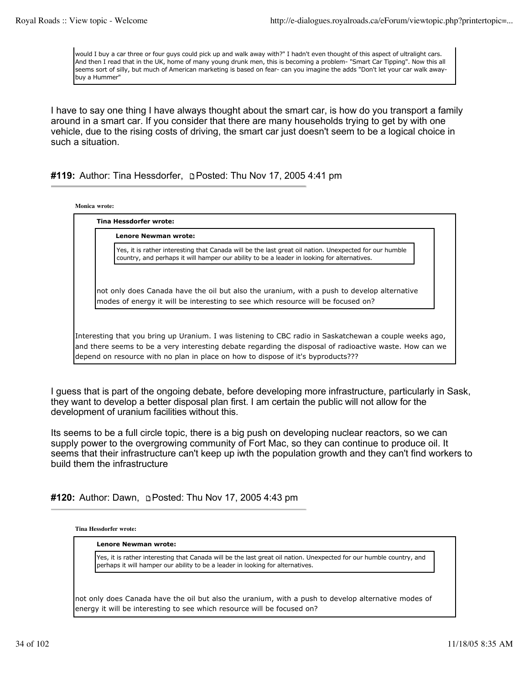would I buy a car three or four guys could pick up and walk away with?" I hadn't even thought of this aspect of ultralight cars. And then I read that in the UK, home of many young drunk men, this is becoming a problem- "Smart Car Tipping". Now this all seems sort of silly, but much of American marketing is based on fear- can you imagine the adds "Don't let your car walk awaybuy a Hummer"

I have to say one thing I have always thought about the smart car, is how do you transport a family around in a smart car. If you consider that there are many households trying to get by with one vehicle, due to the rising costs of driving, the smart car just doesn't seem to be a logical choice in such a situation.

# **#119:** Author: Tina Hessdorfer, Posted: Thu Nov 17, 2005 4:41 pm

| <b>Lenore Newman wrote:</b>                                                                                                                                                                           |
|-------------------------------------------------------------------------------------------------------------------------------------------------------------------------------------------------------|
| Yes, it is rather interesting that Canada will be the last great oil nation. Unexpected for our humble<br>country, and perhaps it will hamper our ability to be a leader in looking for alternatives. |
|                                                                                                                                                                                                       |
| not only does Canada have the oil but also the uranium, with a push to develop alternative                                                                                                            |
| modes of energy it will be interesting to see which resource will be focused on?                                                                                                                      |

I guess that is part of the ongoing debate, before developing more infrastructure, particularly in Sask, they want to develop a better disposal plan first. I am certain the public will not allow for the development of uranium facilities without this.

Its seems to be a full circle topic, there is a big push on developing nuclear reactors, so we can supply power to the overgrowing community of Fort Mac, so they can continue to produce oil. It seems that their infrastructure can't keep up iwth the population growth and they can't find workers to build them the infrastructure

#120: Author: Dawn, **DPosted: Thu Nov 17, 2005 4:43 pm** 

**Tina Hessdorfer wrote:**

## **Lenore Newman wrote:**

Yes, it is rather interesting that Canada will be the last great oil nation. Unexpected for our humble country, and perhaps it will hamper our ability to be a leader in looking for alternatives.

not only does Canada have the oil but also the uranium, with a push to develop alternative modes of energy it will be interesting to see which resource will be focused on?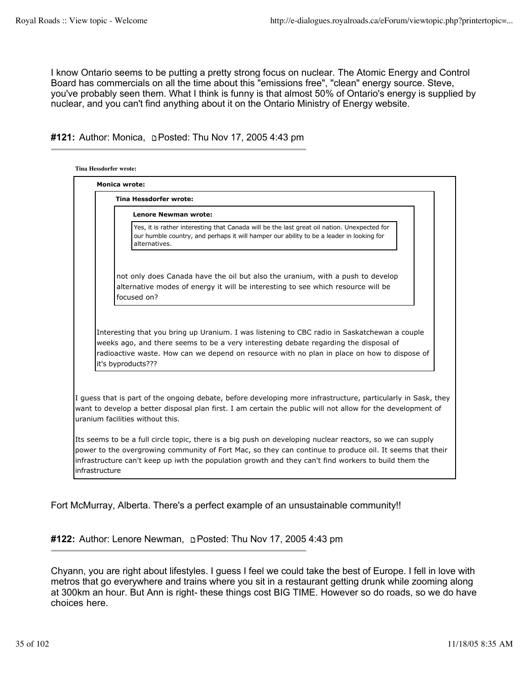I know Ontario seems to be putting a pretty strong focus on nuclear. The Atomic Energy and Control Board has commercials on all the time about this "emissions free", "clean" energy source. Steve, you've probably seen them. What I think is funny is that almost 50% of Ontario's energy is supplied by nuclear, and you can't find anything about it on the Ontario Ministry of Energy website.

# #121: Author: Monica, **DPosted: Thu Nov 17, 2005 4:43 pm**

| <b>Monica wrote:</b>                                                                                                                                                                                                                                                                                                            |  |  |  |  |
|---------------------------------------------------------------------------------------------------------------------------------------------------------------------------------------------------------------------------------------------------------------------------------------------------------------------------------|--|--|--|--|
| <b>Tina Hessdorfer wrote:</b>                                                                                                                                                                                                                                                                                                   |  |  |  |  |
| <b>Lenore Newman wrote:</b>                                                                                                                                                                                                                                                                                                     |  |  |  |  |
| Yes, it is rather interesting that Canada will be the last great oil nation. Unexpected for<br>our humble country, and perhaps it will hamper our ability to be a leader in looking for<br>alternatives.                                                                                                                        |  |  |  |  |
| not only does Canada have the oil but also the uranium, with a push to develop<br>alternative modes of energy it will be interesting to see which resource will be<br>focused on?                                                                                                                                               |  |  |  |  |
| Interesting that you bring up Uranium. I was listening to CBC radio in Saskatchewan a couple<br>weeks ago, and there seems to be a very interesting debate regarding the disposal of<br>radioactive waste. How can we depend on resource with no plan in place on how to dispose of<br>it's byproducts???                       |  |  |  |  |
| I guess that is part of the ongoing debate, before developing more infrastructure, particularly in Sask, they<br>want to develop a better disposal plan first. I am certain the public will not allow for the development of<br>uranium facilities without this.                                                                |  |  |  |  |
| Its seems to be a full circle topic, there is a big push on developing nuclear reactors, so we can supply<br>power to the overgrowing community of Fort Mac, so they can continue to produce oil. It seems that their<br>linfrastructure can't keep up iwth the population growth and they can't find workers to build them the |  |  |  |  |

Fort McMurray, Alberta. There's a perfect example of an unsustainable community!!

#122: Author: Lenore Newman, **pPosted: Thu Nov 17, 2005 4:43 pm** 

Chyann, you are right about lifestyles. I guess I feel we could take the best of Europe. I fell in love with metros that go everywhere and trains where you sit in a restaurant getting drunk while zooming along at 300km an hour. But Ann is right- these things cost BIG TIME. However so do roads, so we do have choices here.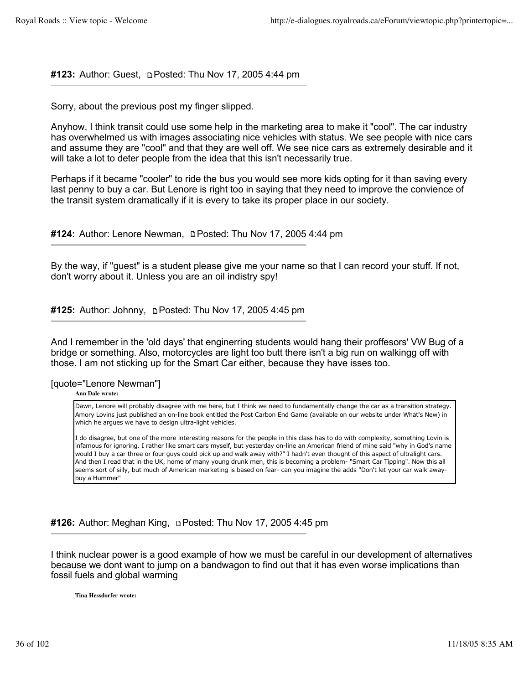# **#123:** Author: Guest, **pendity Control**: Thu Nov 17, 2005 4:44 pm

Sorry, about the previous post my finger slipped.

Anyhow, I think transit could use some help in the marketing area to make it "cool". The car industry has overwhelmed us with images associating nice vehicles with status. We see people with nice cars and assume they are "cool" and that they are well off. We see nice cars as extremely desirable and it will take a lot to deter people from the idea that this isn't necessarily true.

Perhaps if it became "cooler" to ride the bus you would see more kids opting for it than saving every last penny to buy a car. But Lenore is right too in saying that they need to improve the convience of the transit system dramatically if it is every to take its proper place in our society.

**#124:** Author: Lenore Newman, **Posted: Thu Nov 17, 2005 4:44 pm** 

By the way, if "guest" is a student please give me your name so that I can record your stuff. If not, don't worry about it. Unless you are an oil indistry spy!

#125: Author: Johnny, **Denatal: Thu Nov 17, 2005 4:45 pm** 

And I remember in the 'old days' that enginerring students would hang their proffesors' VW Bug of a bridge or something. Also, motorcycles are light too butt there isn't a big run on walkingg off with those. I am not sticking up for the Smart Car either, because they have isses too.

# [quote="Lenore Newman"]

**Ann Dale wrote:**

Dawn, Lenore will probably disagree with me here, but I think we need to fundamentally change the car as a transition strategy. Amory Lovins just published an on-line book entitled the Post Carbon End Game (available on our website under What's New) in which he argues we have to design ultra-light vehicles.

I do disagree, but one of the more interesting reasons for the people in this class has to do with complexity, something Lovin is infamous for ignoring. I rather like smart cars myself, but yesterday on-line an American friend of mine said "why in God's name would I buy a car three or four guys could pick up and walk away with?" I hadn't even thought of this aspect of ultralight cars. And then I read that in the UK, home of many young drunk men, this is becoming a problem- "Smart Car Tipping". Now this all seems sort of silly, but much of American marketing is based on fear- can you imagine the adds "Don't let your car walk awaybuy a Hummer"

**#126:** Author: Meghan King, Posted: Thu Nov 17, 2005 4:45 pm

I think nuclear power is a good example of how we must be careful in our development of alternatives because we dont want to jump on a bandwagon to find out that it has even worse implications than fossil fuels and global warming

**Tina Hessdorfer wrote:**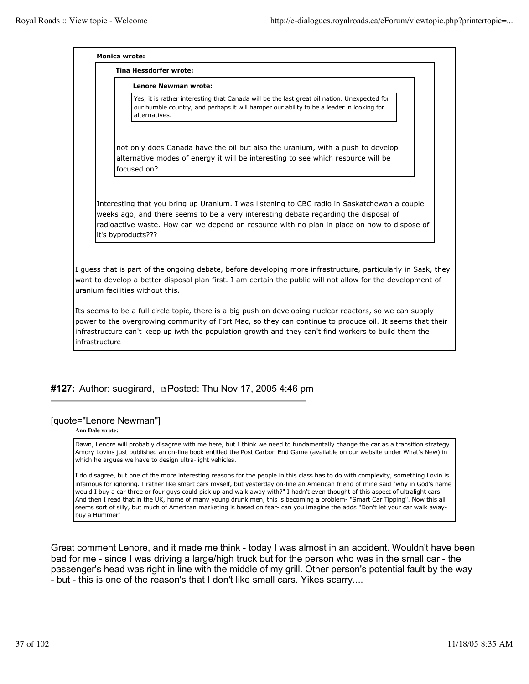**Monica wrote: Tina Hessdorfer wrote:**

**Lenore Newman wrote:**

Yes, it is rather interesting that Canada will be the last great oil nation. Unexpected for our humble country, and perhaps it will hamper our ability to be a leader in looking for alternatives.

not only does Canada have the oil but also the uranium, with a push to develop alternative modes of energy it will be interesting to see which resource will be focused on?

Interesting that you bring up Uranium. I was listening to CBC radio in Saskatchewan a couple weeks ago, and there seems to be a very interesting debate regarding the disposal of radioactive waste. How can we depend on resource with no plan in place on how to dispose of it's byproducts???

I guess that is part of the ongoing debate, before developing more infrastructure, particularly in Sask, they want to develop a better disposal plan first. I am certain the public will not allow for the development of uranium facilities without this.

Its seems to be a full circle topic, there is a big push on developing nuclear reactors, so we can supply power to the overgrowing community of Fort Mac, so they can continue to produce oil. It seems that their infrastructure can't keep up iwth the population growth and they can't find workers to build them the infrastructure

# #127: Author: suegirard, **DPosted: Thu Nov 17, 2005 4:46 pm**

### [quote="Lenore Newman"]

**Ann Dale wrote:**

Dawn, Lenore will probably disagree with me here, but I think we need to fundamentally change the car as a transition strategy. Amory Lovins just published an on-line book entitled the Post Carbon End Game (available on our website under What's New) in which he argues we have to design ultra-light vehicles.

I do disagree, but one of the more interesting reasons for the people in this class has to do with complexity, something Lovin is infamous for ignoring. I rather like smart cars myself, but yesterday on-line an American friend of mine said "why in God's name would I buy a car three or four guys could pick up and walk away with?" I hadn't even thought of this aspect of ultralight cars. And then I read that in the UK, home of many young drunk men, this is becoming a problem- "Smart Car Tipping". Now this all seems sort of silly, but much of American marketing is based on fear- can you imagine the adds "Don't let your car walk awaybuy a Hummer"

Great comment Lenore, and it made me think - today I was almost in an accident. Wouldn't have been bad for me - since I was driving a large/high truck but for the person who was in the small car - the passenger's head was right in line with the middle of my grill. Other person's potential fault by the way - but - this is one of the reason's that I don't like small cars. Yikes scarry....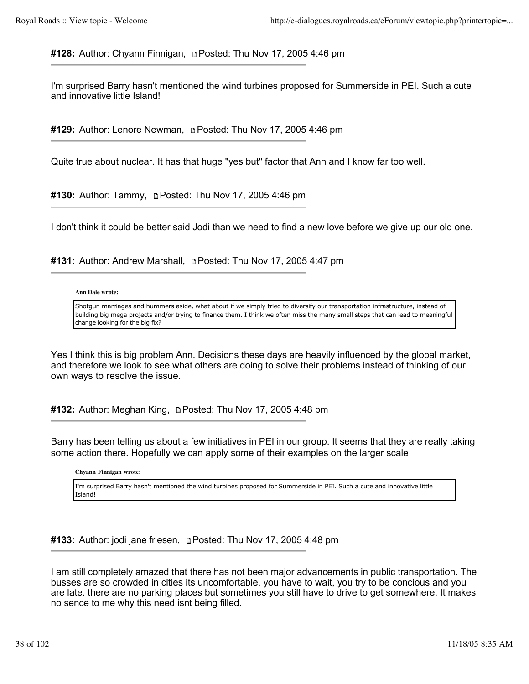**#128:** Author: Chyann Finnigan, Posted: Thu Nov 17, 2005 4:46 pm

I'm surprised Barry hasn't mentioned the wind turbines proposed for Summerside in PEI. Such a cute and innovative little Island!

**#129:** Author: Lenore Newman, Posted: Thu Nov 17, 2005 4:46 pm

Quite true about nuclear. It has that huge "yes but" factor that Ann and I know far too well.

**#130:** Author: Tammy, Posted: Thu Nov 17, 2005 4:46 pm

I don't think it could be better said Jodi than we need to find a new love before we give up our old one.

**#131:** Author: Andrew Marshall, Posted: Thu Nov 17, 2005 4:47 pm

### **Ann Dale wrote:**

Shotgun marriages and hummers aside, what about if we simply tried to diversify our transportation infrastructure, instead of building big mega projects and/or trying to finance them. I think we often miss the many small steps that can lead to meaningful change looking for the big fix?

Yes I think this is big problem Ann. Decisions these days are heavily influenced by the global market, and therefore we look to see what others are doing to solve their problems instead of thinking of our own ways to resolve the issue.

**#132:** Author: Meghan King, Posted: Thu Nov 17, 2005 4:48 pm

Barry has been telling us about a few initiatives in PEI in our group. It seems that they are really taking some action there. Hopefully we can apply some of their examples on the larger scale

**Chyann Finnigan wrote:**

I'm surprised Barry hasn't mentioned the wind turbines proposed for Summerside in PEI. Such a cute and innovative little Island!

**#133:** Author: jodi jane friesen, **pendity 17, 2005** 4:48 pm

I am still completely amazed that there has not been major advancements in public transportation. The busses are so crowded in cities its uncomfortable, you have to wait, you try to be concious and you are late. there are no parking places but sometimes you still have to drive to get somewhere. It makes no sence to me why this need isnt being filled.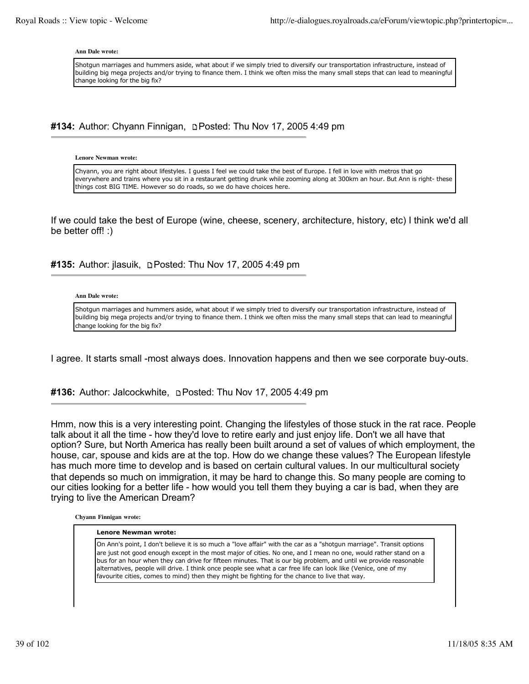#### **Ann Dale wrote:**

Shotgun marriages and hummers aside, what about if we simply tried to diversify our transportation infrastructure, instead of building big mega projects and/or trying to finance them. I think we often miss the many small steps that can lead to meaningful change looking for the big fix?

#134: Author: Chyann Finnigan, **Depart of the Nov 17, 2005 4:49 pm** 

**Lenore Newman wrote:**

Chyann, you are right about lifestyles. I guess I feel we could take the best of Europe. I fell in love with metros that go everywhere and trains where you sit in a restaurant getting drunk while zooming along at 300km an hour. But Ann is right- these things cost BIG TIME. However so do roads, so we do have choices here.

If we could take the best of Europe (wine, cheese, scenery, architecture, history, etc) I think we'd all be better off! :)

**#135:** Author: jlasuik, **Depart Posted: Thu Nov 17, 2005 4:49 pm** 

#### **Ann Dale wrote:**

Shotgun marriages and hummers aside, what about if we simply tried to diversify our transportation infrastructure, instead of building big mega projects and/or trying to finance them. I think we often miss the many small steps that can lead to meaningful change looking for the big fix?

I agree. It starts small -most always does. Innovation happens and then we see corporate buy-outs.

**#136:** Author: Jalcockwhite, Posted: Thu Nov 17, 2005 4:49 pm

Hmm, now this is a very interesting point. Changing the lifestyles of those stuck in the rat race. People talk about it all the time - how they'd love to retire early and just enjoy life. Don't we all have that option? Sure, but North America has really been built around a set of values of which employment, the house, car, spouse and kids are at the top. How do we change these values? The European lifestyle has much more time to develop and is based on certain cultural values. In our multicultural society that depends so much on immigration, it may be hard to change this. So many people are coming to our cities looking for a better life - how would you tell them they buying a car is bad, when they are trying to live the American Dream?

**Chyann Finnigan wrote:**

#### **Lenore Newman wrote:**

On Ann's point, I don't believe it is so much a "love affair" with the car as a "shotgun marriage". Transit options are just not good enough except in the most major of cities. No one, and I mean no one, would rather stand on a bus for an hour when they can drive for fifteen minutes. That is our big problem, and until we provide reasonable alternatives, people will drive. I think once people see what a car free life can look like (Venice, one of my favourite cities, comes to mind) then they might be fighting for the chance to live that way.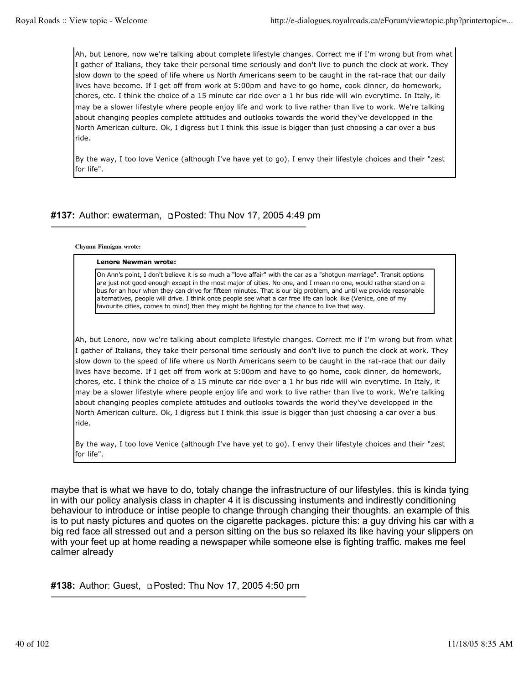Ah, but Lenore, now we're talking about complete lifestyle changes. Correct me if I'm wrong but from what I gather of Italians, they take their personal time seriously and don't live to punch the clock at work. They slow down to the speed of life where us North Americans seem to be caught in the rat-race that our daily lives have become. If I get off from work at 5:00pm and have to go home, cook dinner, do homework, chores, etc. I think the choice of a 15 minute car ride over a 1 hr bus ride will win everytime. In Italy, it may be a slower lifestyle where people enjoy life and work to live rather than live to work. We're talking about changing peoples complete attitudes and outlooks towards the world they've developped in the North American culture. Ok, I digress but I think this issue is bigger than just choosing a car over a bus ride.

By the way, I too love Venice (although I've have yet to go). I envy their lifestyle choices and their "zest for life".

# **#137:** Author: ewaterman, Posted: Thu Nov 17, 2005 4:49 pm

#### **Chyann Finnigan wrote:**

#### **Lenore Newman wrote:**

On Ann's point, I don't believe it is so much a "love affair" with the car as a "shotgun marriage". Transit options are just not good enough except in the most major of cities. No one, and I mean no one, would rather stand on a bus for an hour when they can drive for fifteen minutes. That is our big problem, and until we provide reasonable alternatives, people will drive. I think once people see what a car free life can look like (Venice, one of my favourite cities, comes to mind) then they might be fighting for the chance to live that way.

Ah, but Lenore, now we're talking about complete lifestyle changes. Correct me if I'm wrong but from what I gather of Italians, they take their personal time seriously and don't live to punch the clock at work. They slow down to the speed of life where us North Americans seem to be caught in the rat-race that our daily lives have become. If I get off from work at 5:00pm and have to go home, cook dinner, do homework, chores, etc. I think the choice of a 15 minute car ride over a 1 hr bus ride will win everytime. In Italy, it may be a slower lifestyle where people enjoy life and work to live rather than live to work. We're talking about changing peoples complete attitudes and outlooks towards the world they've developped in the North American culture. Ok, I digress but I think this issue is bigger than just choosing a car over a bus ride.

By the way, I too love Venice (although I've have yet to go). I envy their lifestyle choices and their "zest for life".

maybe that is what we have to do, totaly change the infrastructure of our lifestyles. this is kinda tying in with our policy analysis class in chapter 4 it is discussing instuments and indirestly conditioning behaviour to introduce or intise people to change through changing their thoughts. an example of this is to put nasty pictures and quotes on the cigarette packages. picture this: a guy driving his car with a big red face all stressed out and a person sitting on the bus so relaxed its like having your slippers on with your feet up at home reading a newspaper while someone else is fighting traffic. makes me feel calmer already

**#138:** Author: Guest, **p Posted: Thu Nov 17, 2005 4:50 pm**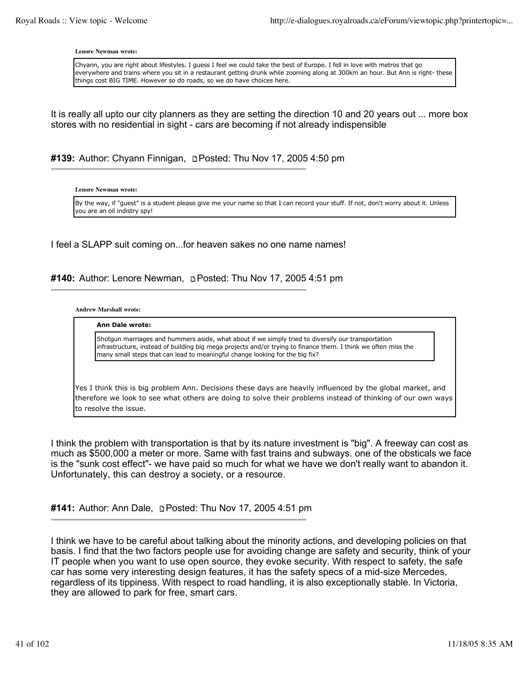**Lenore Newman wrote:**

Chyann, you are right about lifestyles. I guess I feel we could take the best of Europe. I fell in love with metros that go everywhere and trains where you sit in a restaurant getting drunk while zooming along at 300km an hour. But Ann is right- these things cost BIG TIME. However so do roads, so we do have choices here.

It is really all upto our city planners as they are setting the direction 10 and 20 years out ... more box stores with no residential in sight - cars are becoming if not already indispensible

**#139:** Author: Chyann Finnigan, Posted: Thu Nov 17, 2005 4:50 pm

**Lenore Newman wrote:**

By the way, if "guest" is a student please give me your name so that I can record your stuff. If not, don't worry about it. Unless you are an oil indistry spy!

I feel a SLAPP suit coming on...for heaven sakes no one name names!

### **#140:** Author: Lenore Newman, Posted: Thu Nov 17, 2005 4:51 pm

**Andrew Marshall wrote:**

#### **Ann Dale wrote:**

Shotgun marriages and hummers aside, what about if we simply tried to diversify our transportation infrastructure, instead of building big mega projects and/or trying to finance them. I think we often miss the many small steps that can lead to meaningful change looking for the big fix?

Yes I think this is big problem Ann. Decisions these days are heavily influenced by the global market, and therefore we look to see what others are doing to solve their problems instead of thinking of our own ways to resolve the issue.

I think the problem with transportation is that by its nature investment is "big". A freeway can cost as much as \$500,000 a meter or more. Same with fast trains and subways. one of the obsticals we face is the "sunk cost effect"- we have paid so much for what we have we don't really want to abandon it. Unfortunately, this can destroy a society, or a resource.

**#141:** Author: Ann Dale, Posted: Thu Nov 17, 2005 4:51 pm

I think we have to be careful about talking about the minority actions, and developing policies on that basis. I find that the two factors people use for avoiding change are safety and security, think of your IT people when you want to use open source, they evoke security. With respect to safety, the safe car has some very interesting design features, it has the safety specs of a mid-size Mercedes, regardless of its tippiness. With respect to road handling, it is also exceptionally stable. In Victoria, they are allowed to park for free, smart cars.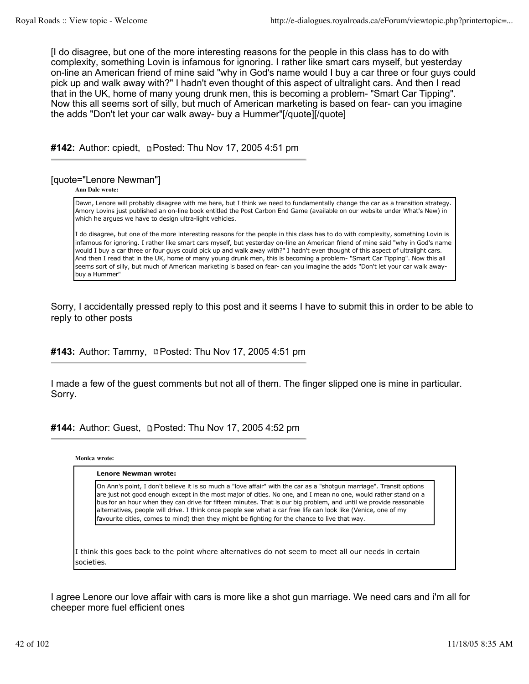[I do disagree, but one of the more interesting reasons for the people in this class has to do with complexity, something Lovin is infamous for ignoring. I rather like smart cars myself, but yesterday on-line an American friend of mine said "why in God's name would I buy a car three or four guys could pick up and walk away with?" I hadn't even thought of this aspect of ultralight cars. And then I read that in the UK, home of many young drunk men, this is becoming a problem- "Smart Car Tipping". Now this all seems sort of silly, but much of American marketing is based on fear- can you imagine the adds "Don't let your car walk away- buy a Hummer"[/quote][/quote]

**#142:** Author: cpiedt, **p. Posted: Thu Nov 17, 2005 4:51 pm** 

# [quote="Lenore Newman"]

**Ann Dale wrote:**

Dawn, Lenore will probably disagree with me here, but I think we need to fundamentally change the car as a transition strategy. Amory Lovins just published an on-line book entitled the Post Carbon End Game (available on our website under What's New) in which he argues we have to design ultra-light vehicles.

I do disagree, but one of the more interesting reasons for the people in this class has to do with complexity, something Lovin is infamous for ignoring. I rather like smart cars myself, but yesterday on-line an American friend of mine said "why in God's name would I buy a car three or four guys could pick up and walk away with?" I hadn't even thought of this aspect of ultralight cars. And then I read that in the UK, home of many young drunk men, this is becoming a problem- "Smart Car Tipping". Now this all seems sort of silly, but much of American marketing is based on fear- can you imagine the adds "Don't let your car walk awaybuy a Hummer"

Sorry, I accidentally pressed reply to this post and it seems I have to submit this in order to be able to reply to other posts

**#143:** Author: Tammy, **Posted: Thu Nov 17, 2005 4:51 pm** 

I made a few of the guest comments but not all of them. The finger slipped one is mine in particular. Sorry.

#144: Author: Guest, **DPosted: Thu Nov 17, 2005 4:52 pm** 

**Monica wrote:**

# **Lenore Newman wrote:** On Ann's point, I don't believe it is so much a "love affair" with the car as a "shotgun marriage". Transit options are just not good enough except in the most major of cities. No one, and I mean no one, would rather stand on a bus for an hour when they can drive for fifteen minutes. That is our big problem, and until we provide reasonable alternatives, people will drive. I think once people see what a car free life can look like (Venice, one of my favourite cities, comes to mind) then they might be fighting for the chance to live that way.

I think this goes back to the point where alternatives do not seem to meet all our needs in certain societies.

I agree Lenore our love affair with cars is more like a shot gun marriage. We need cars and i'm all for cheeper more fuel efficient ones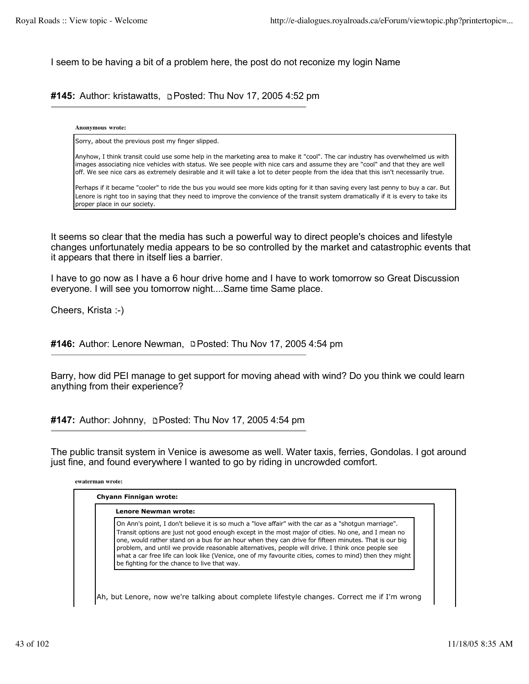I seem to be having a bit of a problem here, the post do not reconize my login Name

**#145:** Author: kristawatts, Posted: Thu Nov 17, 2005 4:52 pm

**Anonymous wrote:**

Sorry, about the previous post my finger slipped.

Anyhow, I think transit could use some help in the marketing area to make it "cool". The car industry has overwhelmed us with images associating nice vehicles with status. We see people with nice cars and assume they are "cool" and that they are well off. We see nice cars as extremely desirable and it will take a lot to deter people from the idea that this isn't necessarily true.

Perhaps if it became "cooler" to ride the bus you would see more kids opting for it than saving every last penny to buy a car. But Lenore is right too in saying that they need to improve the convience of the transit system dramatically if it is every to take its proper place in our society.

It seems so clear that the media has such a powerful way to direct people's choices and lifestyle changes unfortunately media appears to be so controlled by the market and catastrophic events that it appears that there in itself lies a barrier.

I have to go now as I have a 6 hour drive home and I have to work tomorrow so Great Discussion everyone. I will see you tomorrow night....Same time Same place.

Cheers, Krista :-)

#146: Author: Lenore Newman, **Depart Prosted:** Thu Nov 17, 2005 4:54 pm

Barry, how did PEI manage to get support for moving ahead with wind? Do you think we could learn anything from their experience?

**#147:** Author: Johnny, Posted: Thu Nov 17, 2005 4:54 pm

The public transit system in Venice is awesome as well. Water taxis, ferries, Gondolas. I got around just fine, and found everywhere I wanted to go by riding in uncrowded comfort.

| ewaterman wrote: |  |
|------------------|--|
|                  |  |

| Lenore Newman wrote:                                                                                                                                                                                                                                                                                                                                                                                                                                                                                                                                                              |
|-----------------------------------------------------------------------------------------------------------------------------------------------------------------------------------------------------------------------------------------------------------------------------------------------------------------------------------------------------------------------------------------------------------------------------------------------------------------------------------------------------------------------------------------------------------------------------------|
| On Ann's point, I don't believe it is so much a "love affair" with the car as a "shotgun marriage".<br>Transit options are just not good enough except in the most major of cities. No one, and I mean no<br>one, would rather stand on a bus for an hour when they can drive for fifteen minutes. That is our big<br>problem, and until we provide reasonable alternatives, people will drive. I think once people see<br>what a car free life can look like (Venice, one of my favourite cities, comes to mind) then they might<br>be fighting for the chance to live that way. |

Ah, but Lenore, now we're talking about complete lifestyle changes. Correct me if I'm wrong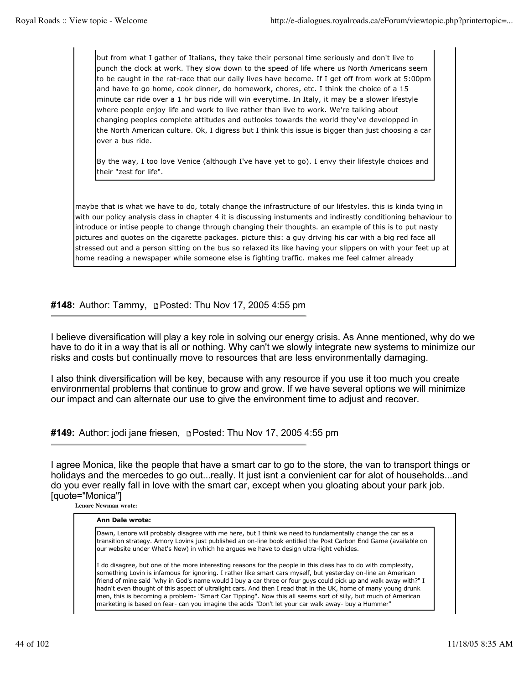but from what I gather of Italians, they take their personal time seriously and don't live to punch the clock at work. They slow down to the speed of life where us North Americans seem to be caught in the rat-race that our daily lives have become. If I get off from work at 5:00pm and have to go home, cook dinner, do homework, chores, etc. I think the choice of a 15 minute car ride over a 1 hr bus ride will win everytime. In Italy, it may be a slower lifestyle where people enjoy life and work to live rather than live to work. We're talking about changing peoples complete attitudes and outlooks towards the world they've developped in the North American culture. Ok, I digress but I think this issue is bigger than just choosing a car over a bus ride.

By the way, I too love Venice (although I've have yet to go). I envy their lifestyle choices and their "zest for life".

maybe that is what we have to do, totaly change the infrastructure of our lifestyles. this is kinda tying in with our policy analysis class in chapter 4 it is discussing instuments and indirestly conditioning behaviour to introduce or intise people to change through changing their thoughts. an example of this is to put nasty pictures and quotes on the cigarette packages. picture this: a guy driving his car with a big red face all stressed out and a person sitting on the bus so relaxed its like having your slippers on with your feet up at home reading a newspaper while someone else is fighting traffic. makes me feel calmer already

**#148:** Author: Tammy, **pPosted: Thu Nov 17, 2005 4:55 pm** 

I believe diversification will play a key role in solving our energy crisis. As Anne mentioned, why do we have to do it in a way that is all or nothing. Why can't we slowly integrate new systems to minimize our risks and costs but continually move to resources that are less environmentally damaging.

I also think diversification will be key, because with any resource if you use it too much you create environmental problems that continue to grow and grow. If we have several options we will minimize our impact and can alternate our use to give the environment time to adjust and recover.

**#149:** Author: jodi jane friesen, Posted: Thu Nov 17, 2005 4:55 pm

I agree Monica, like the people that have a smart car to go to the store, the van to transport things or holidays and the mercedes to go out...really. It just isnt a convienient car for alot of households...and do you ever really fall in love with the smart car, except when you gloating about your park job. [quote="Monica"]

**Lenore Newman wrote:**

| <b>Ann Dale wrote:</b> |  |
|------------------------|--|
|------------------------|--|

Dawn, Lenore will probably disagree with me here, but I think we need to fundamentally change the car as a transition strategy. Amory Lovins just published an on-line book entitled the Post Carbon End Game (available on our website under What's New) in which he argues we have to design ultra-light vehicles.

I do disagree, but one of the more interesting reasons for the people in this class has to do with complexity, something Lovin is infamous for ignoring. I rather like smart cars myself, but yesterday on-line an American friend of mine said "why in God's name would I buy a car three or four guys could pick up and walk away with?" I hadn't even thought of this aspect of ultralight cars. And then I read that in the UK, home of many young drunk men, this is becoming a problem- "Smart Car Tipping". Now this all seems sort of silly, but much of American marketing is based on fear- can you imagine the adds "Don't let your car walk away- buy a Hummer"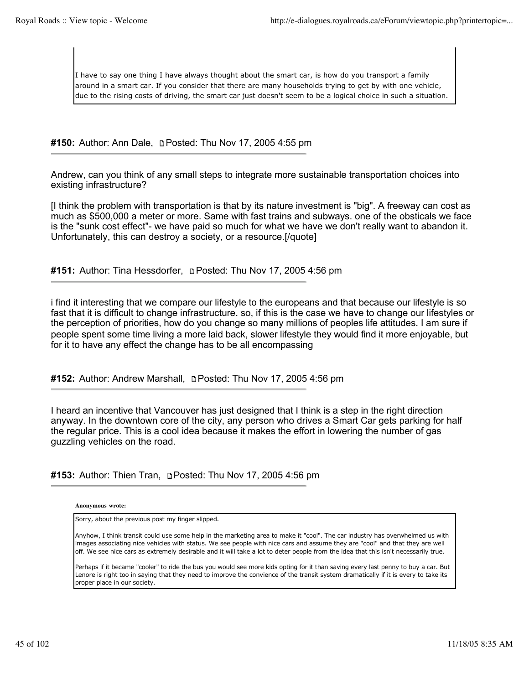I have to say one thing I have always thought about the smart car, is how do you transport a family around in a smart car. If you consider that there are many households trying to get by with one vehicle, due to the rising costs of driving, the smart car just doesn't seem to be a logical choice in such a situation.

**#150:** Author: Ann Dale, Posted: Thu Nov 17, 2005 4:55 pm

Andrew, can you think of any small steps to integrate more sustainable transportation choices into existing infrastructure?

[I think the problem with transportation is that by its nature investment is "big". A freeway can cost as much as \$500,000 a meter or more. Same with fast trains and subways. one of the obsticals we face is the "sunk cost effect"- we have paid so much for what we have we don't really want to abandon it. Unfortunately, this can destroy a society, or a resource.[/quote]

# **#151:** Author: Tina Hessdorfer, Posted: Thu Nov 17, 2005 4:56 pm

i find it interesting that we compare our lifestyle to the europeans and that because our lifestyle is so fast that it is difficult to change infrastructure. so, if this is the case we have to change our lifestyles or the perception of priorities, how do you change so many millions of peoples life attitudes. I am sure if people spent some time living a more laid back, slower lifestyle they would find it more enjoyable, but for it to have any effect the change has to be all encompassing

**#152:** Author: Andrew Marshall, Posted: Thu Nov 17, 2005 4:56 pm

I heard an incentive that Vancouver has just designed that I think is a step in the right direction anyway. In the downtown core of the city, any person who drives a Smart Car gets parking for half the regular price. This is a cool idea because it makes the effort in lowering the number of gas guzzling vehicles on the road.

**#153:** Author: Thien Tran, Posted: Thu Nov 17, 2005 4:56 pm

**Anonymous wrote:**

Sorry, about the previous post my finger slipped.

Anyhow, I think transit could use some help in the marketing area to make it "cool". The car industry has overwhelmed us with images associating nice vehicles with status. We see people with nice cars and assume they are "cool" and that they are well off. We see nice cars as extremely desirable and it will take a lot to deter people from the idea that this isn't necessarily true.

Perhaps if it became "cooler" to ride the bus you would see more kids opting for it than saving every last penny to buy a car. But Lenore is right too in saying that they need to improve the convience of the transit system dramatically if it is every to take its proper place in our society.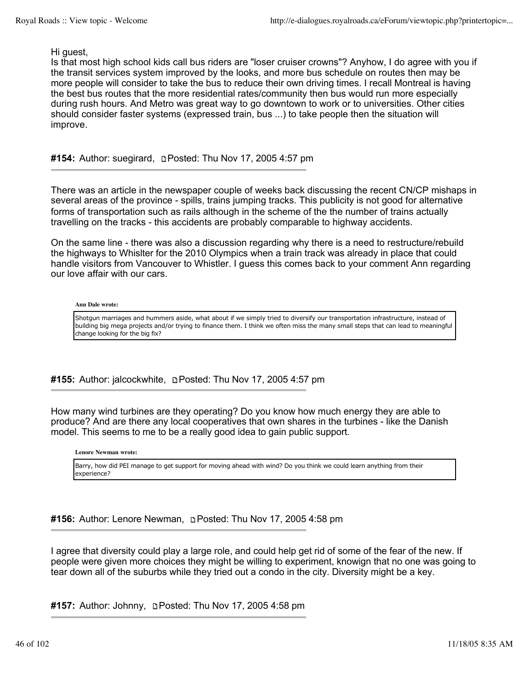Hi guest,

Is that most high school kids call bus riders are "loser cruiser crowns"? Anyhow, I do agree with you if the transit services system improved by the looks, and more bus schedule on routes then may be more people will consider to take the bus to reduce their own driving times. I recall Montreal is having the best bus routes that the more residential rates/community then bus would run more especially during rush hours. And Metro was great way to go downtown to work or to universities. Other cities should consider faster systems (expressed train, bus ...) to take people then the situation will improve.

# **#154:** Author: suegirard, Posted: Thu Nov 17, 2005 4:57 pm

There was an article in the newspaper couple of weeks back discussing the recent CN/CP mishaps in several areas of the province - spills, trains jumping tracks. This publicity is not good for alternative forms of transportation such as rails although in the scheme of the the number of trains actually travelling on the tracks - this accidents are probably comparable to highway accidents.

On the same line - there was also a discussion regarding why there is a need to restructure/rebuild the highways to Whislter for the 2010 Olympics when a train track was already in place that could handle visitors from Vancouver to Whistler. I guess this comes back to your comment Ann regarding our love affair with our cars.

#### **Ann Dale wrote:**

Shotgun marriages and hummers aside, what about if we simply tried to diversify our transportation infrastructure, instead of building big mega projects and/or trying to finance them. I think we often miss the many small steps that can lead to meaningful change looking for the big fix?

**#155:** Author: jalcockwhite, Posted: Thu Nov 17, 2005 4:57 pm

How many wind turbines are they operating? Do you know how much energy they are able to produce? And are there any local cooperatives that own shares in the turbines - like the Danish model. This seems to me to be a really good idea to gain public support.

**Lenore Newman wrote:**

Barry, how did PEI manage to get support for moving ahead with wind? Do you think we could learn anything from their experience?

**#156:** Author: Lenore Newman, Posted: Thu Nov 17, 2005 4:58 pm

I agree that diversity could play a large role, and could help get rid of some of the fear of the new. If people were given more choices they might be willing to experiment, knowign that no one was going to tear down all of the suburbs while they tried out a condo in the city. Diversity might be a key.

**#157:** Author: Johnny, Posted: Thu Nov 17, 2005 4:58 pm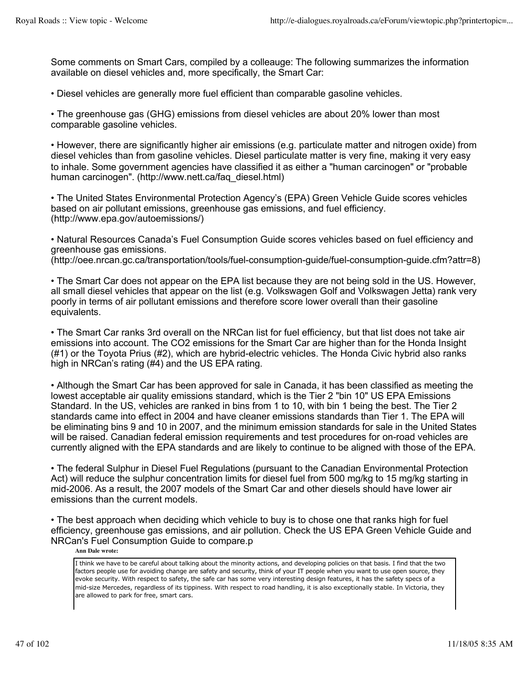Some comments on Smart Cars, compiled by a colleauge: The following summarizes the information available on diesel vehicles and, more specifically, the Smart Car:

• Diesel vehicles are generally more fuel efficient than comparable gasoline vehicles.

• The greenhouse gas (GHG) emissions from diesel vehicles are about 20% lower than most comparable gasoline vehicles.

• However, there are significantly higher air emissions (e.g. particulate matter and nitrogen oxide) from diesel vehicles than from gasoline vehicles. Diesel particulate matter is very fine, making it very easy to inhale. Some government agencies have classified it as either a "human carcinogen" or "probable human carcinogen". (http://www.nett.ca/faq\_diesel.html)

• The United States Environmental Protection Agency's (EPA) Green Vehicle Guide scores vehicles based on air pollutant emissions, greenhouse gas emissions, and fuel efficiency. (http://www.epa.gov/autoemissions/)

• Natural Resources Canada's Fuel Consumption Guide scores vehicles based on fuel efficiency and greenhouse gas emissions.

(http://oee.nrcan.gc.ca/transportation/tools/fuel-consumption-guide/fuel-consumption-guide.cfm?attr=8)

• The Smart Car does not appear on the EPA list because they are not being sold in the US. However, all small diesel vehicles that appear on the list (e.g. Volkswagen Golf and Volkswagen Jetta) rank very poorly in terms of air pollutant emissions and therefore score lower overall than their gasoline equivalents.

• The Smart Car ranks 3rd overall on the NRCan list for fuel efficiency, but that list does not take air emissions into account. The CO2 emissions for the Smart Car are higher than for the Honda Insight (#1) or the Toyota Prius (#2), which are hybrid-electric vehicles. The Honda Civic hybrid also ranks high in NRCan's rating (#4) and the US EPA rating.

• Although the Smart Car has been approved for sale in Canada, it has been classified as meeting the lowest acceptable air quality emissions standard, which is the Tier 2 "bin 10" US EPA Emissions Standard. In the US, vehicles are ranked in bins from 1 to 10, with bin 1 being the best. The Tier 2 standards came into effect in 2004 and have cleaner emissions standards than Tier 1. The EPA will be eliminating bins 9 and 10 in 2007, and the minimum emission standards for sale in the United States will be raised. Canadian federal emission requirements and test procedures for on-road vehicles are currently aligned with the EPA standards and are likely to continue to be aligned with those of the EPA.

• The federal Sulphur in Diesel Fuel Regulations (pursuant to the Canadian Environmental Protection Act) will reduce the sulphur concentration limits for diesel fuel from 500 mg/kg to 15 mg/kg starting in mid-2006. As a result, the 2007 models of the Smart Car and other diesels should have lower air emissions than the current models.

• The best approach when deciding which vehicle to buy is to chose one that ranks high for fuel efficiency, greenhouse gas emissions, and air pollution. Check the US EPA Green Vehicle Guide and NRCan's Fuel Consumption Guide to compare.p

**Ann Dale wrote:**

I think we have to be careful about talking about the minority actions, and developing policies on that basis. I find that the two factors people use for avoiding change are safety and security, think of your IT people when you want to use open source, they evoke security. With respect to safety, the safe car has some very interesting design features, it has the safety specs of a mid-size Mercedes, regardless of its tippiness. With respect to road handling, it is also exceptionally stable. In Victoria, they are allowed to park for free, smart cars.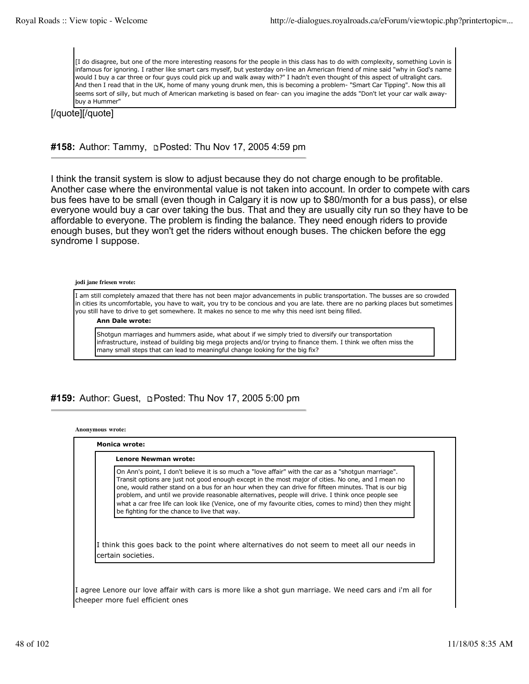[I do disagree, but one of the more interesting reasons for the people in this class has to do with complexity, something Lovin is infamous for ignoring. I rather like smart cars myself, but yesterday on-line an American friend of mine said "why in God's name would I buy a car three or four guys could pick up and walk away with?" I hadn't even thought of this aspect of ultralight cars. And then I read that in the UK, home of many young drunk men, this is becoming a problem- "Smart Car Tipping". Now this all seems sort of silly, but much of American marketing is based on fear- can you imagine the adds "Don't let your car walk awaybuy a Hummer"

[/quote][/quote]

# #158: Author: Tammy, **Depart of Thu Nov 17, 2005 4:59 pm**

I think the transit system is slow to adjust because they do not charge enough to be profitable. Another case where the environmental value is not taken into account. In order to compete with cars bus fees have to be small (even though in Calgary it is now up to \$80/month for a bus pass), or else everyone would buy a car over taking the bus. That and they are usually city run so they have to be affordable to everyone. The problem is finding the balance. They need enough riders to provide enough buses, but they won't get the riders without enough buses. The chicken before the egg syndrome I suppose.

### **jodi jane friesen wrote:**

I am still completely amazed that there has not been major advancements in public transportation. The busses are so crowded in cities its uncomfortable, you have to wait, you try to be concious and you are late. there are no parking places but sometimes you still have to drive to get somewhere. It makes no sence to me why this need isnt being filled.

#### **Ann Dale wrote:**

Shotgun marriages and hummers aside, what about if we simply tried to diversify our transportation infrastructure, instead of building big mega projects and/or trying to finance them. I think we often miss the many small steps that can lead to meaningful change looking for the big fix?

# **#159:** Author: Guest, Posted: Thu Nov 17, 2005 5:00 pm

**Anonymous wrote:**

| Lenore Newman wrote:                                                                                                                                                                                                                                                                                                                                                                                                                                                                                                                                                              |
|-----------------------------------------------------------------------------------------------------------------------------------------------------------------------------------------------------------------------------------------------------------------------------------------------------------------------------------------------------------------------------------------------------------------------------------------------------------------------------------------------------------------------------------------------------------------------------------|
| On Ann's point, I don't believe it is so much a "love affair" with the car as a "shotgun marriage".<br>Transit options are just not good enough except in the most major of cities. No one, and I mean no<br>one, would rather stand on a bus for an hour when they can drive for fifteen minutes. That is our big<br>problem, and until we provide reasonable alternatives, people will drive. I think once people see<br>what a car free life can look like (Venice, one of my favourite cities, comes to mind) then they might<br>be fighting for the chance to live that way. |
| I think this goes back to the point where alternatives do not seem to meet all our needs in<br>certain societies.                                                                                                                                                                                                                                                                                                                                                                                                                                                                 |

I agree Lenore our love affair with cars is more like a shot gun marriage. We need cars and i'm all for cheeper more fuel efficient ones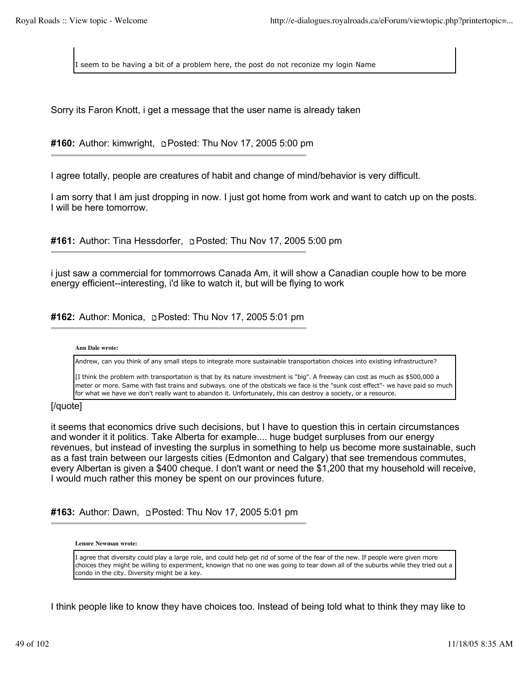I seem to be having a bit of a problem here, the post do not reconize my login Name

Sorry its Faron Knott, i get a message that the user name is already taken

**#160:** Author: kimwright, Posted: Thu Nov 17, 2005 5:00 pm

I agree totally, people are creatures of habit and change of mind/behavior is very difficult.

I am sorry that I am just dropping in now. I just got home from work and want to catch up on the posts. I will be here tomorrow.

**#161:** Author: Tina Hessdorfer, **pPosted: Thu Nov 17, 2005 5:00 pm** 

i just saw a commercial for tommorrows Canada Am, it will show a Canadian couple how to be more energy efficient--interesting, i'd like to watch it, but will be flying to work

#162: Author: Monica, **Depart of the Nov 17, 2005 5:01 pm** 

### **Ann Dale wrote:**

Andrew, can you think of any small steps to integrate more sustainable transportation choices into existing infrastructure?

[I think the problem with transportation is that by its nature investment is "big". A freeway can cost as much as \$500,000 a meter or more. Same with fast trains and subways. one of the obsticals we face is the "sunk cost effect"- we have paid so much for what we have we don't really want to abandon it. Unfortunately, this can destroy a society, or a resource.

# [/quote]

it seems that economics drive such decisions, but I have to question this in certain circumstances and wonder it it politics. Take Alberta for example.... huge budget surpluses from our energy revenues, but instead of investing the surplus in something to help us become more sustainable, such as a fast train between our largests cities (Edmonton and Calgary) that see tremendous commutes, every Albertan is given a \$400 cheque. I don't want or need the \$1,200 that my household will receive, I would much rather this money be spent on our provinces future.

**#163:** Author: Dawn, **pPosted: Thu Nov 17, 2005 5:01 pm** 

### **Lenore Newman wrote:**

I agree that diversity could play a large role, and could help get rid of some of the fear of the new. If people were given more choices they might be willing to experiment, knowign that no one was going to tear down all of the suburbs while they tried out a condo in the city. Diversity might be a key.

I think people like to know they have choices too. Instead of being told what to think they may like to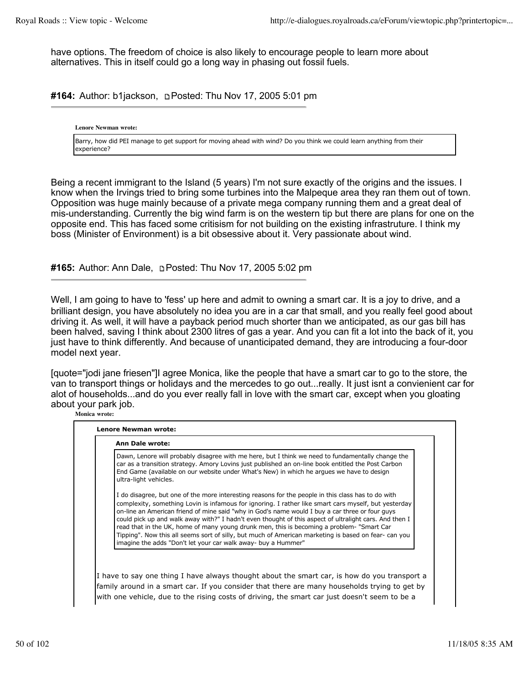have options. The freedom of choice is also likely to encourage people to learn more about alternatives. This in itself could go a long way in phasing out fossil fuels.

**#164:** Author: b1jackson, Posted: Thu Nov 17, 2005 5:01 pm

**Lenore Newman wrote:**

Barry, how did PEI manage to get support for moving ahead with wind? Do you think we could learn anything from their experience?

Being a recent immigrant to the Island (5 years) I'm not sure exactly of the origins and the issues. I know when the Irvings tried to bring some turbines into the Malpeque area they ran them out of town. Opposition was huge mainly because of a private mega company running them and a great deal of mis-understanding. Currently the big wind farm is on the western tip but there are plans for one on the opposite end. This has faced some critisism for not building on the existing infrastruture. I think my boss (Minister of Environment) is a bit obsessive about it. Very passionate about wind.

**#165:** Author: Ann Dale, Posted: Thu Nov 17, 2005 5:02 pm

Well, I am going to have to 'fess' up here and admit to owning a smart car. It is a joy to drive, and a brilliant design, you have absolutely no idea you are in a car that small, and you really feel good about driving it. As well, it will have a payback period much shorter than we anticipated, as our gas bill has been halved, saving I think about 2300 litres of gas a year. And you can fit a lot into the back of it, you just have to think differently. And because of unanticipated demand, they are introducing a four-door model next year.

[quote="jodi jane friesen"]I agree Monica, like the people that have a smart car to go to the store, the van to transport things or holidays and the mercedes to go out...really. It just isnt a convienient car for alot of households...and do you ever really fall in love with the smart car, except when you gloating about your park job.

**Monica wrote:**

| <b>Ann Dale wrote:</b>                                                                                                                                                                                                                                                                                                                                                                                                                                                                                                                                                                                                                                                                        |
|-----------------------------------------------------------------------------------------------------------------------------------------------------------------------------------------------------------------------------------------------------------------------------------------------------------------------------------------------------------------------------------------------------------------------------------------------------------------------------------------------------------------------------------------------------------------------------------------------------------------------------------------------------------------------------------------------|
| Dawn, Lenore will probably disagree with me here, but I think we need to fundamentally change the<br>car as a transition strategy. Amory Lovins just published an on-line book entitled the Post Carbon<br>End Game (available on our website under What's New) in which he argues we have to design<br>ultra-light vehicles.                                                                                                                                                                                                                                                                                                                                                                 |
| I do disagree, but one of the more interesting reasons for the people in this class has to do with<br>complexity, something Lovin is infamous for ignoring. I rather like smart cars myself, but yesterday<br>on-line an American friend of mine said "why in God's name would I buy a car three or four guys<br>could pick up and walk away with?" I hadn't even thought of this aspect of ultralight cars. And then I<br>read that in the UK, home of many young drunk men, this is becoming a problem- "Smart Car<br>Tipping". Now this all seems sort of silly, but much of American marketing is based on fear- can you<br>imagine the adds "Don't let your car walk away- buy a Hummer" |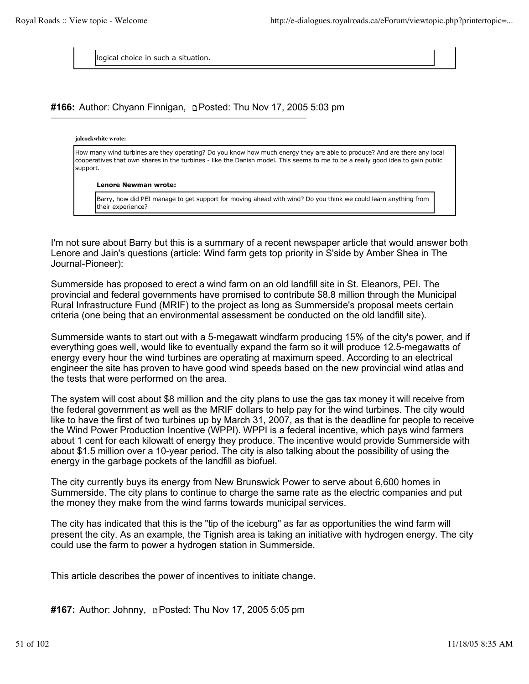logical choice in such a situation.

# **#166:** Author: Chyann Finnigan, Posted: Thu Nov 17, 2005 5:03 pm

#### **jalcockwhite wrote:**

How many wind turbines are they operating? Do you know how much energy they are able to produce? And are there any local cooperatives that own shares in the turbines - like the Danish model. This seems to me to be a really good idea to gain public support.

#### **Lenore Newman wrote:**

Barry, how did PEI manage to get support for moving ahead with wind? Do you think we could learn anything from their experience?

I'm not sure about Barry but this is a summary of a recent newspaper article that would answer both Lenore and Jain's questions (article: Wind farm gets top priority in S'side by Amber Shea in The Journal-Pioneer):

Summerside has proposed to erect a wind farm on an old landfill site in St. Eleanors, PEI. The provincial and federal governments have promised to contribute \$8.8 million through the Municipal Rural Infrastructure Fund (MRIF) to the project as long as Summerside's proposal meets certain criteria (one being that an environmental assessment be conducted on the old landfill site).

Summerside wants to start out with a 5-megawatt windfarm producing 15% of the city's power, and if everything goes well, would like to eventually expand the farm so it will produce 12.5-megawatts of energy every hour the wind turbines are operating at maximum speed. According to an electrical engineer the site has proven to have good wind speeds based on the new provincial wind atlas and the tests that were performed on the area.

The system will cost about \$8 million and the city plans to use the gas tax money it will receive from the federal government as well as the MRIF dollars to help pay for the wind turbines. The city would like to have the first of two turbines up by March 31, 2007, as that is the deadline for people to receive the Wind Power Production Incentive (WPPI). WPPI is a federal incentive, which pays wind farmers about 1 cent for each kilowatt of energy they produce. The incentive would provide Summerside with about \$1.5 million over a 10-year period. The city is also talking about the possibility of using the energy in the garbage pockets of the landfill as biofuel.

The city currently buys its energy from New Brunswick Power to serve about 6,600 homes in Summerside. The city plans to continue to charge the same rate as the electric companies and put the money they make from the wind farms towards municipal services.

The city has indicated that this is the "tip of the iceburg" as far as opportunities the wind farm will present the city. As an example, the Tignish area is taking an initiative with hydrogen energy. The city could use the farm to power a hydrogen station in Summerside.

This article describes the power of incentives to initiate change.

**#167:** Author: Johnny, Posted: Thu Nov 17, 2005 5:05 pm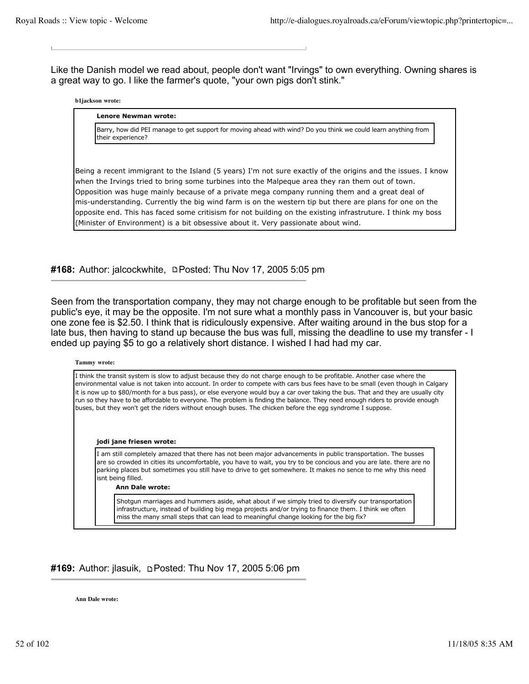Like the Danish model we read about, people don't want "Irvings" to own everything. Owning shares is a great way to go. I like the farmer's quote, "your own pigs don't stink."

#### **b1jackson wrote:**

#### **Lenore Newman wrote:**

Barry, how did PEI manage to get support for moving ahead with wind? Do you think we could learn anything from their experience?

Being a recent immigrant to the Island (5 years) I'm not sure exactly of the origins and the issues. I know when the Irvings tried to bring some turbines into the Malpeque area they ran them out of town. Opposition was huge mainly because of a private mega company running them and a great deal of mis-understanding. Currently the big wind farm is on the western tip but there are plans for one on the opposite end. This has faced some critisism for not building on the existing infrastruture. I think my boss (Minister of Environment) is a bit obsessive about it. Very passionate about wind.

#168: Author: jalcockwhite, **DPosted: Thu Nov 17, 2005 5:05 pm** 

Seen from the transportation company, they may not charge enough to be profitable but seen from the public's eye, it may be the opposite. I'm not sure what a monthly pass in Vancouver is, but your basic one zone fee is \$2.50. I think that is ridiculously expensive. After waiting around in the bus stop for a late bus, then having to stand up because the bus was full, missing the deadline to use my transfer - I ended up paying \$5 to go a relatively short distance. I wished I had had my car.

#### **Tammy wrote:**

I think the transit system is slow to adjust because they do not charge enough to be profitable. Another case where the environmental value is not taken into account. In order to compete with cars bus fees have to be small (even though in Calgary it is now up to \$80/month for a bus pass), or else everyone would buy a car over taking the bus. That and they are usually city run so they have to be affordable to everyone. The problem is finding the balance. They need enough riders to provide enough buses, but they won't get the riders without enough buses. The chicken before the egg syndrome I suppose.

#### **jodi jane friesen wrote:**

I am still completely amazed that there has not been major advancements in public transportation. The busses are so crowded in cities its uncomfortable, you have to wait, you try to be concious and you are late. there are no parking places but sometimes you still have to drive to get somewhere. It makes no sence to me why this need isnt being filled.

#### **Ann Dale wrote:**

Shotgun marriages and hummers aside, what about if we simply tried to diversify our transportation infrastructure, instead of building big mega projects and/or trying to finance them. I think we often miss the many small steps that can lead to meaningful change looking for the big fix?

### **#169:** Author: jlasuik, Posted: Thu Nov 17, 2005 5:06 pm

**Ann Dale wrote:**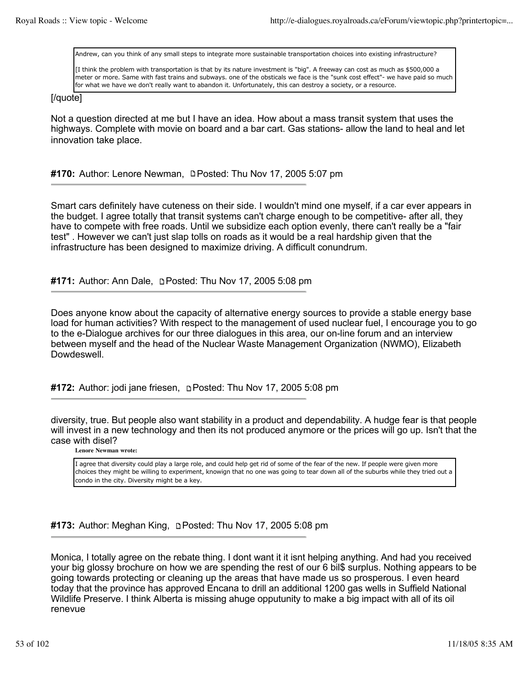Andrew, can you think of any small steps to integrate more sustainable transportation choices into existing infrastructure?

[I think the problem with transportation is that by its nature investment is "big". A freeway can cost as much as \$500,000 a meter or more. Same with fast trains and subways. one of the obsticals we face is the "sunk cost effect"- we have paid so much for what we have we don't really want to abandon it. Unfortunately, this can destroy a society, or a resource.

### [/quote]

Not a question directed at me but I have an idea. How about a mass transit system that uses the highways. Complete with movie on board and a bar cart. Gas stations- allow the land to heal and let innovation take place.

# **#170:** Author: Lenore Newman, Posted: Thu Nov 17, 2005 5:07 pm

Smart cars definitely have cuteness on their side. I wouldn't mind one myself, if a car ever appears in the budget. I agree totally that transit systems can't charge enough to be competitive- after all, they have to compete with free roads. Until we subsidize each option evenly, there can't really be a "fair test" . However we can't just slap tolls on roads as it would be a real hardship given that the infrastructure has been designed to maximize driving. A difficult conundrum.

# **#171:** Author: Ann Dale, Posted: Thu Nov 17, 2005 5:08 pm

Does anyone know about the capacity of alternative energy sources to provide a stable energy base load for human activities? With respect to the management of used nuclear fuel, I encourage you to go to the e-Dialogue archives for our three dialogues in this area, our on-line forum and an interview between myself and the head of the Nuclear Waste Management Organization (NWMO), Elizabeth Dowdeswell.

### **#172:** Author: jodi jane friesen, **p**Posted: Thu Nov 17, 2005 5:08 pm

diversity, true. But people also want stability in a product and dependability. A hudge fear is that people will invest in a new technology and then its not produced anymore or the prices will go up. Isn't that the case with disel?

**Lenore Newman wrote:**

I agree that diversity could play a large role, and could help get rid of some of the fear of the new. If people were given more choices they might be willing to experiment, knowign that no one was going to tear down all of the suburbs while they tried out a condo in the city. Diversity might be a key.

**#173:** Author: Meghan King, Posted: Thu Nov 17, 2005 5:08 pm

Monica, I totally agree on the rebate thing. I dont want it it isnt helping anything. And had you received your big glossy brochure on how we are spending the rest of our 6 bil\$ surplus. Nothing appears to be going towards protecting or cleaning up the areas that have made us so prosperous. I even heard today that the province has approved Encana to drill an additional 1200 gas wells in Suffield National Wildlife Preserve. I think Alberta is missing ahuge opputunity to make a big impact with all of its oil renevue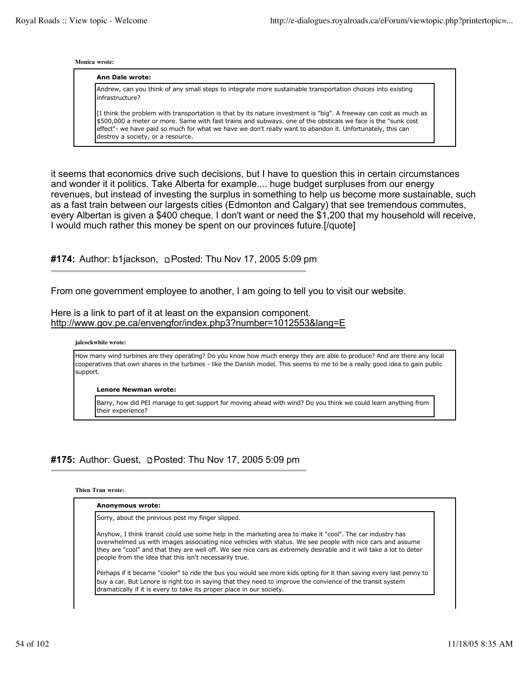#### **Monica wrote:**

#### **Ann Dale wrote:**

Andrew, can you think of any small steps to integrate more sustainable transportation choices into existing infrastructure?

[I think the problem with transportation is that by its nature investment is "big". A freeway can cost as much as \$500,000 a meter or more. Same with fast trains and subways. one of the obsticals we face is the "sunk cost effect"- we have paid so much for what we have we don't really want to abandon it. Unfortunately, this can destroy a society, or a resource.

it seems that economics drive such decisions, but I have to question this in certain circumstances and wonder it it politics. Take Alberta for example.... huge budget surpluses from our energy revenues, but instead of investing the surplus in something to help us become more sustainable, such as a fast train between our largests cities (Edmonton and Calgary) that see tremendous commutes, every Albertan is given a \$400 cheque. I don't want or need the \$1,200 that my household will receive, I would much rather this money be spent on our provinces future.[/quote]

#174: Author: b1jackson, **pPosted: Thu Nov 17, 2005 5:09 pm** 

From one government employee to another, I am going to tell you to visit our website.

Here is a link to part of it at least on the expansion component. http://www.gov.pe.ca/envengfor/index.php3?number=1012553&lang=E

### **jalcockwhite wrote:**

How many wind turbines are they operating? Do you know how much energy they are able to produce? And are there any local cooperatives that own shares in the turbines - like the Danish model. This seems to me to be a really good idea to gain public support.

**Lenore Newman wrote:**

Barry, how did PEI manage to get support for moving ahead with wind? Do you think we could learn anything from their experience?

# **#175:** Author: Guest, Posted: Thu Nov 17, 2005 5:09 pm

### **Thien Tran wrote:**

| Anonymous wrote: |                                                                                                                                                                                                                                                                                                                                                                                                         |
|------------------|---------------------------------------------------------------------------------------------------------------------------------------------------------------------------------------------------------------------------------------------------------------------------------------------------------------------------------------------------------------------------------------------------------|
|                  | Sorry, about the previous post my finger slipped.                                                                                                                                                                                                                                                                                                                                                       |
|                  | Anyhow, I think transit could use some help in the marketing area to make it "cool". The car industry has<br>overwhelmed us with images associating nice vehicles with status. We see people with nice cars and assume<br>they are "cool" and that they are well off. We see nice cars as extremely desirable and it will take a lot to deter<br>people from the idea that this isn't necessarily true. |
|                  | Perhaps if it became "cooler" to ride the bus you would see more kids opting for it than saving every last penny to<br>buy a car. But Lenore is right too in saying that they need to improve the convience of the transit system<br>dramatically if it is every to take its proper place in our society.                                                                                               |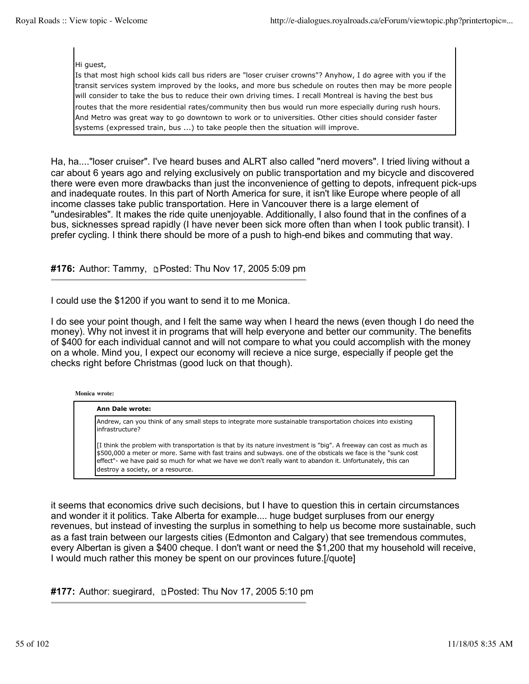Hi guest,

Is that most high school kids call bus riders are "loser cruiser crowns"? Anyhow, I do agree with you if the transit services system improved by the looks, and more bus schedule on routes then may be more people will consider to take the bus to reduce their own driving times. I recall Montreal is having the best bus routes that the more residential rates/community then bus would run more especially during rush hours. And Metro was great way to go downtown to work or to universities. Other cities should consider faster systems (expressed train, bus ...) to take people then the situation will improve.

Ha, ha...."loser cruiser". I've heard buses and ALRT also called "nerd movers". I tried living without a car about 6 years ago and relying exclusively on public transportation and my bicycle and discovered there were even more drawbacks than just the inconvenience of getting to depots, infrequent pick-ups and inadequate routes. In this part of North America for sure, it isn't like Europe where people of all income classes take public transportation. Here in Vancouver there is a large element of "undesirables". It makes the ride quite unenjoyable. Additionally, I also found that in the confines of a bus, sicknesses spread rapidly (I have never been sick more often than when I took public transit). I prefer cycling. I think there should be more of a push to high-end bikes and commuting that way.

# **#176:** Author: Tammy, **Depart Posted: Thu Nov 17, 2005 5:09 pm**

I could use the \$1200 if you want to send it to me Monica.

I do see your point though, and I felt the same way when I heard the news (even though I do need the money). Why not invest it in programs that will help everyone and better our community. The benefits of \$400 for each individual cannot and will not compare to what you could accomplish with the money on a whole. Mind you, I expect our economy will recieve a nice surge, especially if people get the checks right before Christmas (good luck on that though).

**Monica wrote:**

### **Ann Dale wrote:** Andrew, can you think of any small steps to integrate more sustainable transportation choices into existing infrastructure? [I think the problem with transportation is that by its nature investment is "big". A freeway can cost as much as \$500,000 a meter or more. Same with fast trains and subways. one of the obsticals we face is the "sunk cost effect"- we have paid so much for what we have we don't really want to abandon it. Unfortunately, this can destroy a society, or a resource.

it seems that economics drive such decisions, but I have to question this in certain circumstances and wonder it it politics. Take Alberta for example.... huge budget surpluses from our energy revenues, but instead of investing the surplus in something to help us become more sustainable, such as a fast train between our largests cities (Edmonton and Calgary) that see tremendous commutes, every Albertan is given a \$400 cheque. I don't want or need the \$1,200 that my household will receive, I would much rather this money be spent on our provinces future.[/quote]

**#177:** Author: suegirard, Posted: Thu Nov 17, 2005 5:10 pm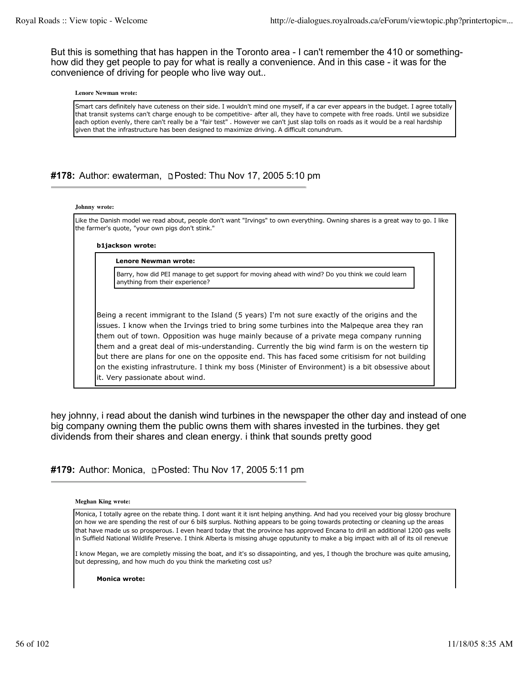But this is something that has happen in the Toronto area - I can't remember the 410 or somethinghow did they get people to pay for what is really a convenience. And in this case - it was for the convenience of driving for people who live way out..

#### **Lenore Newman wrote:**

Smart cars definitely have cuteness on their side. I wouldn't mind one myself, if a car ever appears in the budget. I agree totally that transit systems can't charge enough to be competitive- after all, they have to compete with free roads. Until we subsidize each option evenly, there can't really be a "fair test" . However we can't just slap tolls on roads as it would be a real hardship given that the infrastructure has been designed to maximize driving. A difficult conundrum.

# **#178:** Author: ewaterman, Posted: Thu Nov 17, 2005 5:10 pm

#### **Johnny wrote:**

Like the Danish model we read about, people don't want "Irvings" to own everything. Owning shares is a great way to go. I like the farmer's quote, "your own pigs don't stink."

#### **b1jackson wrote:**

#### **Lenore Newman wrote:**

Barry, how did PEI manage to get support for moving ahead with wind? Do you think we could learn anything from their experience?

Being a recent immigrant to the Island (5 years) I'm not sure exactly of the origins and the issues. I know when the Irvings tried to bring some turbines into the Malpeque area they ran them out of town. Opposition was huge mainly because of a private mega company running them and a great deal of mis-understanding. Currently the big wind farm is on the western tip but there are plans for one on the opposite end. This has faced some critisism for not building on the existing infrastruture. I think my boss (Minister of Environment) is a bit obsessive about it. Very passionate about wind.

hey johnny, i read about the danish wind turbines in the newspaper the other day and instead of one big company owning them the public owns them with shares invested in the turbines. they get dividends from their shares and clean energy. i think that sounds pretty good

### **#179:** Author: Monica, Posted: Thu Nov 17, 2005 5:11 pm

#### **Meghan King wrote:**

Monica, I totally agree on the rebate thing. I dont want it it isnt helping anything. And had you received your big glossy brochure on how we are spending the rest of our 6 bil\$ surplus. Nothing appears to be going towards protecting or cleaning up the areas that have made us so prosperous. I even heard today that the province has approved Encana to drill an additional 1200 gas wells in Suffield National Wildlife Preserve. I think Alberta is missing ahuge opputunity to make a big impact with all of its oil renevue

I know Megan, we are completly missing the boat, and it's so dissapointing, and yes, I though the brochure was quite amusing, but depressing, and how much do you think the marketing cost us?

**Monica wrote:**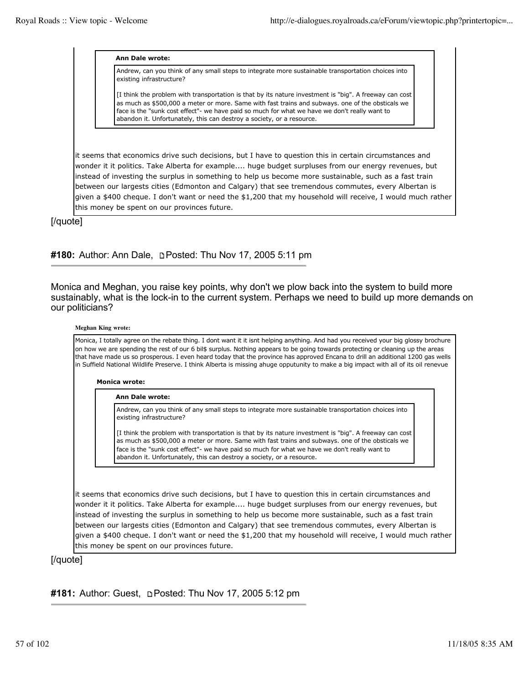#### **Ann Dale wrote:**

Andrew, can you think of any small steps to integrate more sustainable transportation choices into existing infrastructure?

[I think the problem with transportation is that by its nature investment is "big". A freeway can cost as much as \$500,000 a meter or more. Same with fast trains and subways. one of the obsticals we face is the "sunk cost effect"- we have paid so much for what we have we don't really want to abandon it. Unfortunately, this can destroy a society, or a resource.

it seems that economics drive such decisions, but I have to question this in certain circumstances and wonder it it politics. Take Alberta for example.... huge budget surpluses from our energy revenues, but instead of investing the surplus in something to help us become more sustainable, such as a fast train between our largests cities (Edmonton and Calgary) that see tremendous commutes, every Albertan is given a \$400 cheque. I don't want or need the \$1,200 that my household will receive, I would much rather this money be spent on our provinces future.

[/quote]

### **#180:** Author: Ann Dale, Posted: Thu Nov 17, 2005 5:11 pm

Monica and Meghan, you raise key points, why don't we plow back into the system to build more sustainably, what is the lock-in to the current system. Perhaps we need to build up more demands on our politicians?

#### **Meghan King wrote:**

Monica, I totally agree on the rebate thing. I dont want it it isnt helping anything. And had you received your big glossy brochure on how we are spending the rest of our 6 bil\$ surplus. Nothing appears to be going towards protecting or cleaning up the areas that have made us so prosperous. I even heard today that the province has approved Encana to drill an additional 1200 gas wells in Suffield National Wildlife Preserve. I think Alberta is missing ahuge opputunity to make a big impact with all of its oil renevue

#### **Monica wrote:**

#### **Ann Dale wrote:**

Andrew, can you think of any small steps to integrate more sustainable transportation choices into existing infrastructure?

[I think the problem with transportation is that by its nature investment is "big". A freeway can cost as much as \$500,000 a meter or more. Same with fast trains and subways. one of the obsticals we face is the "sunk cost effect"- we have paid so much for what we have we don't really want to abandon it. Unfortunately, this can destroy a society, or a resource.

it seems that economics drive such decisions, but I have to question this in certain circumstances and wonder it it politics. Take Alberta for example.... huge budget surpluses from our energy revenues, but instead of investing the surplus in something to help us become more sustainable, such as a fast train between our largests cities (Edmonton and Calgary) that see tremendous commutes, every Albertan is given a \$400 cheque. I don't want or need the \$1,200 that my household will receive, I would much rather this money be spent on our provinces future.

### [/quote]

# #181: Author: Guest, **DPosted: Thu Nov 17, 2005 5:12 pm**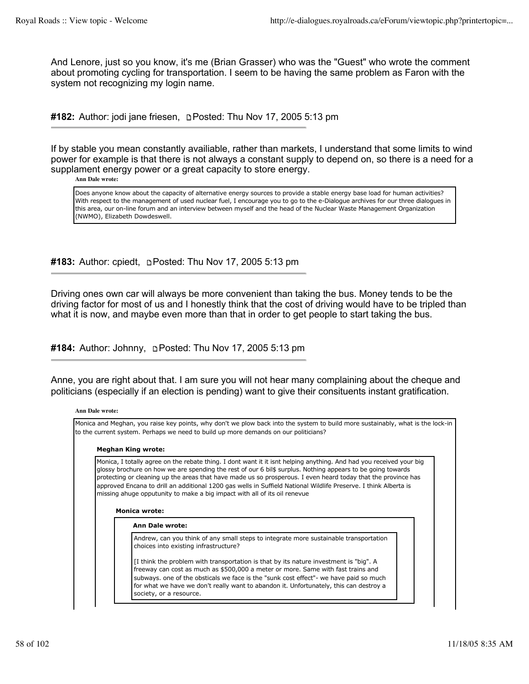And Lenore, just so you know, it's me (Brian Grasser) who was the "Guest" who wrote the comment about promoting cycling for transportation. I seem to be having the same problem as Faron with the system not recognizing my login name.

#182: Author: jodi jane friesen, **Depart Posted: Thu Nov 17, 2005 5:13 pm** 

If by stable you mean constantly availiable, rather than markets, I understand that some limits to wind power for example is that there is not always a constant supply to depend on, so there is a need for a supplament energy power or a great capacity to store energy.

**Ann Dale wrote:**

Does anyone know about the capacity of alternative energy sources to provide a stable energy base load for human activities? With respect to the management of used nuclear fuel, I encourage you to go to the e-Dialogue archives for our three dialogues in this area, our on-line forum and an interview between myself and the head of the Nuclear Waste Management Organization (NWMO), Elizabeth Dowdeswell.

#183: Author: cpiedt, **pPosted: Thu Nov 17, 2005 5:13 pm** 

Driving ones own car will always be more convenient than taking the bus. Money tends to be the driving factor for most of us and I honestly think that the cost of driving would have to be tripled than what it is now, and maybe even more than that in order to get people to start taking the bus.

**#184:** Author: Johnny, Posted: Thu Nov 17, 2005 5:13 pm

Anne, you are right about that. I am sure you will not hear many complaining about the cheque and politicians (especially if an election is pending) want to give their consituents instant gratification.

#### **Ann Dale wrote:**

Monica and Meghan, you raise key points, why don't we plow back into the system to build more sustainably, what is the lock-in to the current system. Perhaps we need to build up more demands on our politicians?

#### **Meghan King wrote:**

Monica, I totally agree on the rebate thing. I dont want it it isnt helping anything. And had you received your big glossy brochure on how we are spending the rest of our 6 bil\$ surplus. Nothing appears to be going towards protecting or cleaning up the areas that have made us so prosperous. I even heard today that the province has approved Encana to drill an additional 1200 gas wells in Suffield National Wildlife Preserve. I think Alberta is missing ahuge opputunity to make a big impact with all of its oil renevue

#### **Monica wrote:**

**Ann Dale wrote:**

Andrew, can you think of any small steps to integrate more sustainable transportation choices into existing infrastructure?

[I think the problem with transportation is that by its nature investment is "big". A freeway can cost as much as \$500,000 a meter or more. Same with fast trains and subways. one of the obsticals we face is the "sunk cost effect"- we have paid so much for what we have we don't really want to abandon it. Unfortunately, this can destroy a society, or a resource.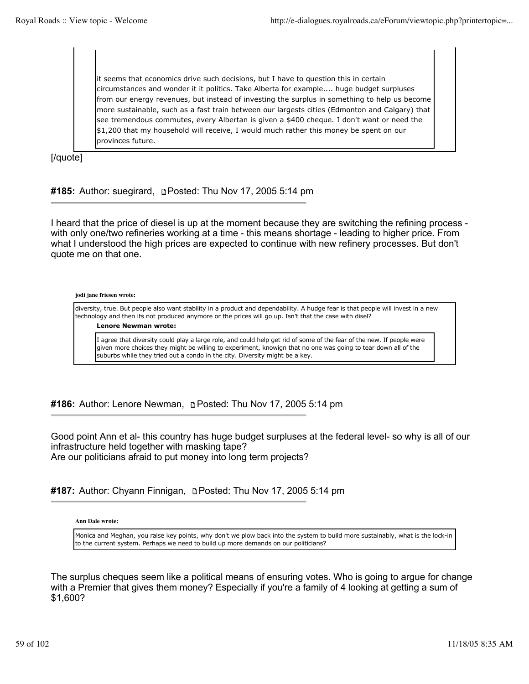it seems that economics drive such decisions, but I have to question this in certain circumstances and wonder it it politics. Take Alberta for example.... huge budget surpluses from our energy revenues, but instead of investing the surplus in something to help us become more sustainable, such as a fast train between our largests cities (Edmonton and Calgary) that see tremendous commutes, every Albertan is given a \$400 cheque. I don't want or need the \$1,200 that my household will receive, I would much rather this money be spent on our provinces future.

[/quote]

#185: Author: suegirard, **DPosted: Thu Nov 17, 2005 5:14 pm** 

I heard that the price of diesel is up at the moment because they are switching the refining process with only one/two refineries working at a time - this means shortage - leading to higher price. From what I understood the high prices are expected to continue with new refinery processes. But don't quote me on that one.

#### **jodi jane friesen wrote:**

diversity, true. But people also want stability in a product and dependability. A hudge fear is that people will invest in a new technology and then its not produced anymore or the prices will go up. Isn't that the case with disel?

**Lenore Newman wrote:**

I agree that diversity could play a large role, and could help get rid of some of the fear of the new. If people were given more choices they might be willing to experiment, knowign that no one was going to tear down all of the suburbs while they tried out a condo in the city. Diversity might be a key.

**#186:** Author: Lenore Newman, **pPosted: Thu Nov 17, 2005 5:14 pm** 

Good point Ann et al- this country has huge budget surpluses at the federal level- so why is all of our infrastructure held together with masking tape? Are our politicians afraid to put money into long term projects?

**#187:** Author: Chyann Finnigan, Posted: Thu Nov 17, 2005 5:14 pm

#### **Ann Dale wrote:**

Monica and Meghan, you raise key points, why don't we plow back into the system to build more sustainably, what is the lock-in to the current system. Perhaps we need to build up more demands on our politicians?

The surplus cheques seem like a political means of ensuring votes. Who is going to argue for change with a Premier that gives them money? Especially if you're a family of 4 looking at getting a sum of \$1,600?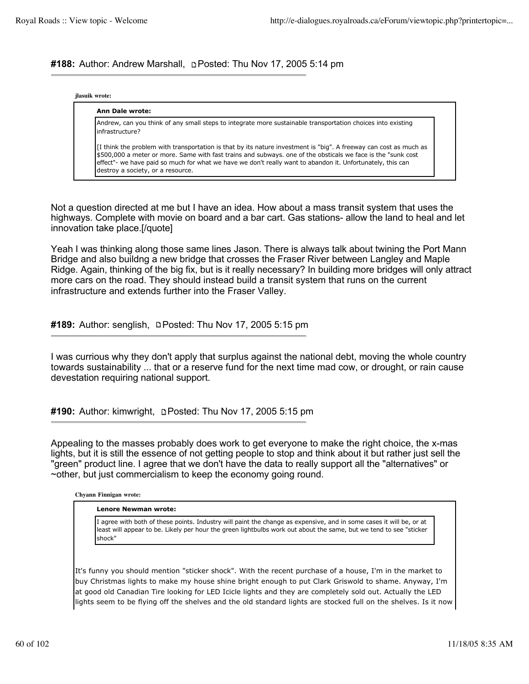**#188:** Author: Andrew Marshall, Posted: Thu Nov 17, 2005 5:14 pm

### **jlasuik wrote:**

# **Ann Dale wrote:**

Andrew, can you think of any small steps to integrate more sustainable transportation choices into existing infrastructure?

[I think the problem with transportation is that by its nature investment is "big". A freeway can cost as much as \$500,000 a meter or more. Same with fast trains and subways. one of the obsticals we face is the "sunk cost effect"- we have paid so much for what we have we don't really want to abandon it. Unfortunately, this can destroy a society, or a resource.

Not a question directed at me but I have an idea. How about a mass transit system that uses the highways. Complete with movie on board and a bar cart. Gas stations- allow the land to heal and let innovation take place.[/quote]

Yeah I was thinking along those same lines Jason. There is always talk about twining the Port Mann Bridge and also buildng a new bridge that crosses the Fraser River between Langley and Maple Ridge. Again, thinking of the big fix, but is it really necessary? In building more bridges will only attract more cars on the road. They should instead build a transit system that runs on the current infrastructure and extends further into the Fraser Valley.

**#189:** Author: senglish, **Depart of the Nov 17, 2005 5:15 pm** 

I was currious why they don't apply that surplus against the national debt, moving the whole country towards sustainability ... that or a reserve fund for the next time mad cow, or drought, or rain cause devestation requiring national support.

**#190:** Author: kimwright, **Depart of the Nov 17, 2005 5:15 pm** 

Appealing to the masses probably does work to get everyone to make the right choice, the x-mas lights, but it is still the essence of not getting people to stop and think about it but rather just sell the "green" product line. I agree that we don't have the data to really support all the "alternatives" or ~other, but just commercialism to keep the economy going round.

**Chyann Finnigan wrote:**

### **Lenore Newman wrote:**

I agree with both of these points. Industry will paint the change as expensive, and in some cases it will be, or at least will appear to be. Likely per hour the green lightbulbs work out about the same, but we tend to see "sticker shock"

It's funny you should mention "sticker shock". With the recent purchase of a house, I'm in the market to buy Christmas lights to make my house shine bright enough to put Clark Griswold to shame. Anyway, I'm at good old Canadian Tire looking for LED Icicle lights and they are completely sold out. Actually the LED lights seem to be flying off the shelves and the old standard lights are stocked full on the shelves. Is it now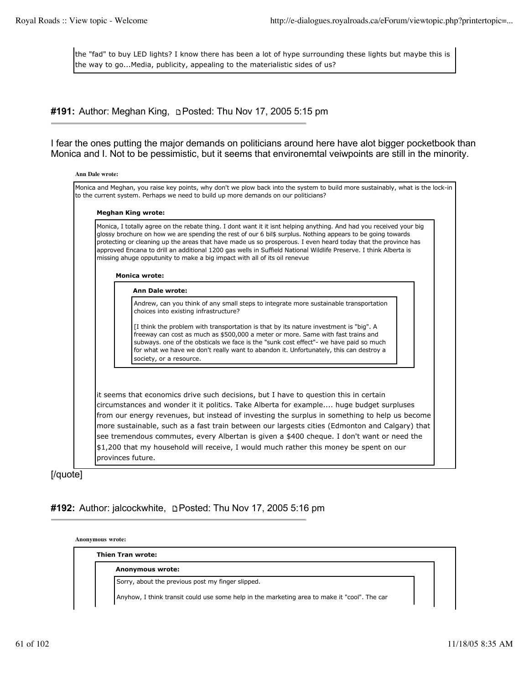the "fad" to buy LED lights? I know there has been a lot of hype surrounding these lights but maybe this is the way to go...Media, publicity, appealing to the materialistic sides of us?

# #191: Author: Meghan King, **p**Posted: Thu Nov 17, 2005 5:15 pm

I fear the ones putting the major demands on politicians around here have alot bigger pocketbook than Monica and I. Not to be pessimistic, but it seems that environemtal veiwpoints are still in the minority.

| <b>Meghan King wrote:</b>                                                                                                                                                                                                                                                                                                                                                                                                                                                                                                                            |
|------------------------------------------------------------------------------------------------------------------------------------------------------------------------------------------------------------------------------------------------------------------------------------------------------------------------------------------------------------------------------------------------------------------------------------------------------------------------------------------------------------------------------------------------------|
| Monica, I totally agree on the rebate thing. I dont want it it isnt helping anything. And had you received your big<br>glossy brochure on how we are spending the rest of our 6 bil\$ surplus. Nothing appears to be going towards<br>protecting or cleaning up the areas that have made us so prosperous. I even heard today that the province has<br>approved Encana to drill an additional 1200 gas wells in Suffield National Wildlife Preserve. I think Alberta is<br>missing ahuge opputunity to make a big impact with all of its oil renevue |
| <b>Monica wrote:</b>                                                                                                                                                                                                                                                                                                                                                                                                                                                                                                                                 |
| <b>Ann Dale wrote:</b>                                                                                                                                                                                                                                                                                                                                                                                                                                                                                                                               |
| Andrew, can you think of any small steps to integrate more sustainable transportation<br>choices into existing infrastructure?                                                                                                                                                                                                                                                                                                                                                                                                                       |
| [I think the problem with transportation is that by its nature investment is "big". A<br>freeway can cost as much as \$500,000 a meter or more. Same with fast trains and<br>subways. one of the obsticals we face is the "sunk cost effect"- we have paid so much<br>for what we have we don't really want to abandon it. Unfortunately, this can destroy a<br>society, or a resource.                                                                                                                                                              |
|                                                                                                                                                                                                                                                                                                                                                                                                                                                                                                                                                      |
| it seems that economics drive such decisions, but I have to question this in certain<br>circumstances and wonder it it politics. Take Alberta for example huge budget surpluses<br>from our energy revenues, but instead of investing the surplus in something to help us become                                                                                                                                                                                                                                                                     |
|                                                                                                                                                                                                                                                                                                                                                                                                                                                                                                                                                      |

[/quote]

# **#192:** Author: jalcockwhite, Posted: Thu Nov 17, 2005 5:16 pm

**Anonymous wrote:**

**Thien Tran wrote:**

**Anonymous wrote:**

Sorry, about the previous post my finger slipped.

Anyhow, I think transit could use some help in the marketing area to make it "cool". The car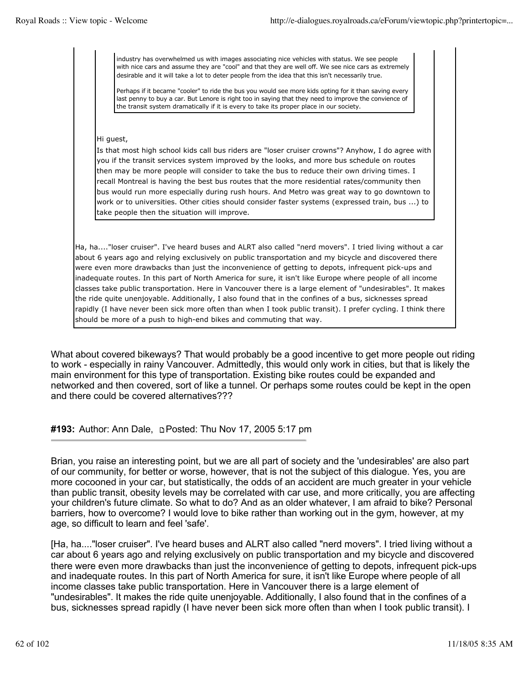industry has overwhelmed us with images associating nice vehicles with status. We see people with nice cars and assume they are "cool" and that they are well off. We see nice cars as extremely desirable and it will take a lot to deter people from the idea that this isn't necessarily true.

Perhaps if it became "cooler" to ride the bus you would see more kids opting for it than saving every last penny to buy a car. But Lenore is right too in saying that they need to improve the convience of the transit system dramatically if it is every to take its proper place in our society.

### Hi guest,

Is that most high school kids call bus riders are "loser cruiser crowns"? Anyhow, I do agree with you if the transit services system improved by the looks, and more bus schedule on routes then may be more people will consider to take the bus to reduce their own driving times. I recall Montreal is having the best bus routes that the more residential rates/community then bus would run more especially during rush hours. And Metro was great way to go downtown to work or to universities. Other cities should consider faster systems (expressed train, bus ...) to take people then the situation will improve.

Ha, ha...."loser cruiser". I've heard buses and ALRT also called "nerd movers". I tried living without a car about 6 years ago and relying exclusively on public transportation and my bicycle and discovered there were even more drawbacks than just the inconvenience of getting to depots, infrequent pick-ups and inadequate routes. In this part of North America for sure, it isn't like Europe where people of all income classes take public transportation. Here in Vancouver there is a large element of "undesirables". It makes the ride quite unenjoyable. Additionally, I also found that in the confines of a bus, sicknesses spread rapidly (I have never been sick more often than when I took public transit). I prefer cycling. I think there should be more of a push to high-end bikes and commuting that way.

What about covered bikeways? That would probably be a good incentive to get more people out riding to work - especially in rainy Vancouver. Admittedly, this would only work in cities, but that is likely the main environment for this type of transportation. Existing bike routes could be expanded and networked and then covered, sort of like a tunnel. Or perhaps some routes could be kept in the open and there could be covered alternatives???

# **#193:** Author: Ann Dale, Posted: Thu Nov 17, 2005 5:17 pm

Brian, you raise an interesting point, but we are all part of society and the 'undesirables' are also part of our community, for better or worse, however, that is not the subject of this dialogue. Yes, you are more cocooned in your car, but statistically, the odds of an accident are much greater in your vehicle than public transit, obesity levels may be correlated with car use, and more critically, you are affecting your children's future climate. So what to do? And as an older whatever, I am afraid to bike? Personal barriers, how to overcome? I would love to bike rather than working out in the gym, however, at my age, so difficult to learn and feel 'safe'.

[Ha, ha...."loser cruiser". I've heard buses and ALRT also called "nerd movers". I tried living without a car about 6 years ago and relying exclusively on public transportation and my bicycle and discovered there were even more drawbacks than just the inconvenience of getting to depots, infrequent pick-ups and inadequate routes. In this part of North America for sure, it isn't like Europe where people of all income classes take public transportation. Here in Vancouver there is a large element of "undesirables". It makes the ride quite unenjoyable. Additionally, I also found that in the confines of a bus, sicknesses spread rapidly (I have never been sick more often than when I took public transit). I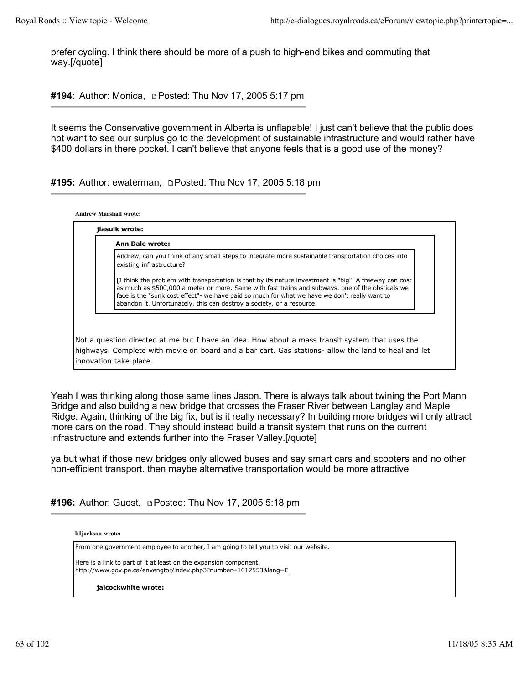**Andrew Marshall wrote:**

prefer cycling. I think there should be more of a push to high-end bikes and commuting that way.[/quote]

**#194:** Author: Monica, **Depart of the Nov 17, 2005 5:17 pm** 

It seems the Conservative government in Alberta is unflapable! I just can't believe that the public does not want to see our surplus go to the development of sustainable infrastructure and would rather have \$400 dollars in there pocket. I can't believe that anyone feels that is a good use of the money?

**#195:** Author: ewaterman, Posted: Thu Nov 17, 2005 5:18 pm

| Andrew, can you think of any small steps to integrate more sustainable transportation choices into<br>existing infrastructure?                                                                                                                                                                                                                                                       |
|--------------------------------------------------------------------------------------------------------------------------------------------------------------------------------------------------------------------------------------------------------------------------------------------------------------------------------------------------------------------------------------|
|                                                                                                                                                                                                                                                                                                                                                                                      |
| [I think the problem with transportation is that by its nature investment is "big". A freeway can cost<br>as much as \$500,000 a meter or more. Same with fast trains and subways, one of the obsticals we<br>face is the "sunk cost effect"- we have paid so much for what we have we don't really want to<br>abandon it. Unfortunately, this can destroy a society, or a resource. |

Yeah I was thinking along those same lines Jason. There is always talk about twining the Port Mann Bridge and also buildng a new bridge that crosses the Fraser River between Langley and Maple Ridge. Again, thinking of the big fix, but is it really necessary? In building more bridges will only attract more cars on the road. They should instead build a transit system that runs on the current infrastructure and extends further into the Fraser Valley.[/quote]

ya but what if those new bridges only allowed buses and say smart cars and scooters and no other non-efficient transport. then maybe alternative transportation would be more attractive

**#196:** Author: Guest, Posted: Thu Nov 17, 2005 5:18 pm

**b1jackson wrote:**

From one government employee to another, I am going to tell you to visit our website.

Here is a link to part of it at least on the expansion component. http://www.gov.pe.ca/envengfor/index.php3?number=1012553&lang=E

**jalcockwhite wrote:**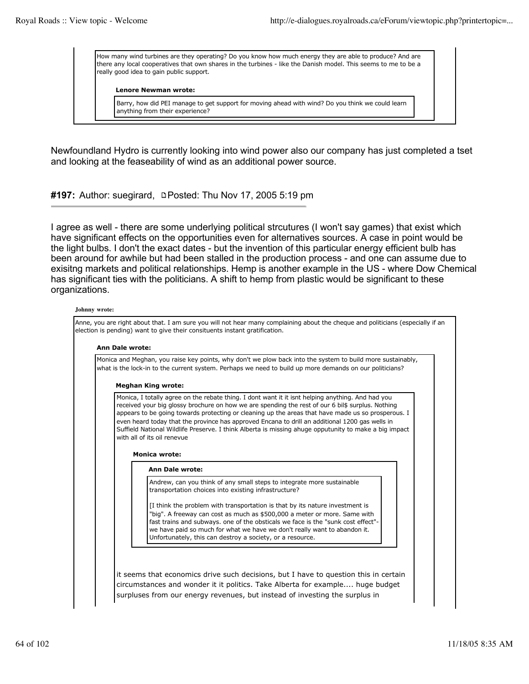How many wind turbines are they operating? Do you know how much energy they are able to produce? And are there any local cooperatives that own shares in the turbines - like the Danish model. This seems to me to be a really good idea to gain public support.

### **Lenore Newman wrote:**

Barry, how did PEI manage to get support for moving ahead with wind? Do you think we could learn anything from their experience?

Newfoundland Hydro is currently looking into wind power also our company has just completed a tset and looking at the feaseability of wind as an additional power source.

#197: Author: suegirard, **DPosted: Thu Nov 17, 2005 5:19 pm** 

I agree as well - there are some underlying political strcutures (I won't say games) that exist which have significant effects on the opportunities even for alternatives sources. A case in point would be the light bulbs. I don't the exact dates - but the invention of this particular energy efficient bulb has been around for awhile but had been stalled in the production process - and one can assume due to exisitng markets and political relationships. Hemp is another example in the US - where Dow Chemical has significant ties with the politicians. A shift to hemp from plastic would be significant to these organizations.

#### **Johnny wrote:**

| Monica and Meghan, you raise key points, why don't we plow back into the system to build more sustainably,<br>what is the lock-in to the current system. Perhaps we need to build up more demands on our politicians?                                                                                                                                                                                                                                                                                                                                   |
|---------------------------------------------------------------------------------------------------------------------------------------------------------------------------------------------------------------------------------------------------------------------------------------------------------------------------------------------------------------------------------------------------------------------------------------------------------------------------------------------------------------------------------------------------------|
| <b>Meghan King wrote:</b>                                                                                                                                                                                                                                                                                                                                                                                                                                                                                                                               |
| Monica, I totally agree on the rebate thing. I dont want it it isnt helping anything. And had you<br>received your big glossy brochure on how we are spending the rest of our 6 bil\$ surplus. Nothing<br>appears to be going towards protecting or cleaning up the areas that have made us so prosperous. I<br>even heard today that the province has approved Encana to drill an additional 1200 gas wells in<br>Suffield National Wildlife Preserve. I think Alberta is missing ahuge opputunity to make a big impact<br>with all of its oil renevue |
| <b>Monica wrote:</b>                                                                                                                                                                                                                                                                                                                                                                                                                                                                                                                                    |
| Ann Dale wrote:                                                                                                                                                                                                                                                                                                                                                                                                                                                                                                                                         |
| Andrew, can you think of any small steps to integrate more sustainable<br>transportation choices into existing infrastructure?                                                                                                                                                                                                                                                                                                                                                                                                                          |
| [I think the problem with transportation is that by its nature investment is<br>"big". A freeway can cost as much as \$500,000 a meter or more. Same with<br>fast trains and subways. one of the obsticals we face is the "sunk cost effect"-<br>we have paid so much for what we have we don't really want to abandon it.<br>Unfortunately, this can destroy a society, or a resource.                                                                                                                                                                 |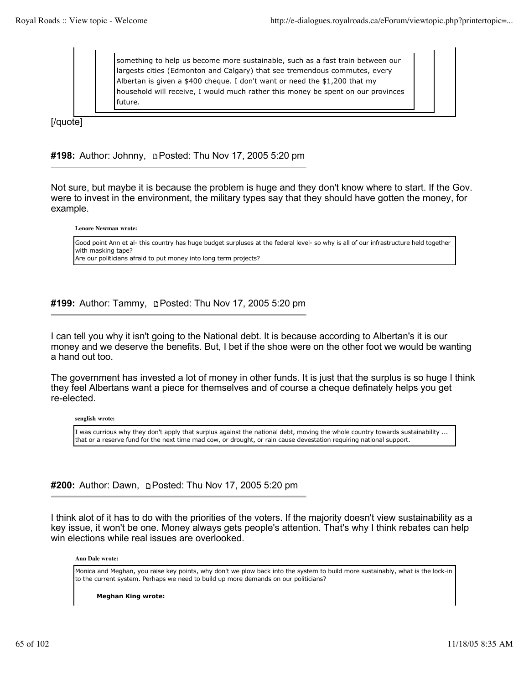something to help us become more sustainable, such as a fast train between our largests cities (Edmonton and Calgary) that see tremendous commutes, every Albertan is given a \$400 cheque. I don't want or need the \$1,200 that my household will receive, I would much rather this money be spent on our provinces future.

[/quote]

# **#198:** Author: Johnny, Posted: Thu Nov 17, 2005 5:20 pm

Not sure, but maybe it is because the problem is huge and they don't know where to start. If the Gov. were to invest in the environment, the military types say that they should have gotten the money, for example.

**Lenore Newman wrote:**

Good point Ann et al- this country has huge budget surpluses at the federal level- so why is all of our infrastructure held together with masking tape? Are our politicians afraid to put money into long term projects?

# **#199:** Author: Tammy, Posted: Thu Nov 17, 2005 5:20 pm

I can tell you why it isn't going to the National debt. It is because according to Albertan's it is our money and we deserve the benefits. But, I bet if the shoe were on the other foot we would be wanting a hand out too.

The government has invested a lot of money in other funds. It is just that the surplus is so huge I think they feel Albertans want a piece for themselves and of course a cheque definately helps you get re-elected.

**senglish wrote:**

I was currious why they don't apply that surplus against the national debt, moving the whole country towards sustainability ... that or a reserve fund for the next time mad cow, or drought, or rain cause devestation requiring national support.

# **#200:** Author: Dawn, Posted: Thu Nov 17, 2005 5:20 pm

I think alot of it has to do with the priorities of the voters. If the majority doesn't view sustainability as a key issue, it won't be one. Money always gets people's attention. That's why I think rebates can help win elections while real issues are overlooked.

**Ann Dale wrote:**

Monica and Meghan, you raise key points, why don't we plow back into the system to build more sustainably, what is the lock-in to the current system. Perhaps we need to build up more demands on our politicians?

**Meghan King wrote:**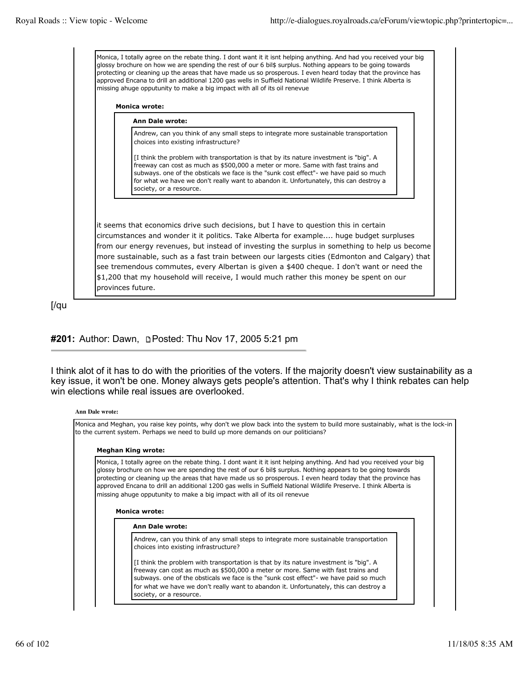Monica, I totally agree on the rebate thing. I dont want it it isnt helping anything. And had you received your big glossy brochure on how we are spending the rest of our 6 bil\$ surplus. Nothing appears to be going towards protecting or cleaning up the areas that have made us so prosperous. I even heard today that the province has approved Encana to drill an additional 1200 gas wells in Suffield National Wildlife Preserve. I think Alberta is missing ahuge opputunity to make a big impact with all of its oil renevue

### **Monica wrote:**

#### **Ann Dale wrote:**

Andrew, can you think of any small steps to integrate more sustainable transportation choices into existing infrastructure?

[I think the problem with transportation is that by its nature investment is "big". A freeway can cost as much as \$500,000 a meter or more. Same with fast trains and subways. one of the obsticals we face is the "sunk cost effect"- we have paid so much for what we have we don't really want to abandon it. Unfortunately, this can destroy a society, or a resource.

it seems that economics drive such decisions, but I have to question this in certain circumstances and wonder it it politics. Take Alberta for example.... huge budget surpluses from our energy revenues, but instead of investing the surplus in something to help us become more sustainable, such as a fast train between our largests cities (Edmonton and Calgary) that see tremendous commutes, every Albertan is given a \$400 cheque. I don't want or need the \$1,200 that my household will receive, I would much rather this money be spent on our provinces future.

[/qu

# **#201:** Author: Dawn, **p-** Posted: Thu Nov 17, 2005 5:21 pm

I think alot of it has to do with the priorities of the voters. If the majority doesn't view sustainability as a key issue, it won't be one. Money always gets people's attention. That's why I think rebates can help win elections while real issues are overlooked.

#### **Ann Dale wrote:**

Monica and Meghan, you raise key points, why don't we plow back into the system to build more sustainably, what is the lock-in to the current system. Perhaps we need to build up more demands on our politicians?

#### **Meghan King wrote:**

Monica, I totally agree on the rebate thing. I dont want it it isnt helping anything. And had you received your big glossy brochure on how we are spending the rest of our 6 bil\$ surplus. Nothing appears to be going towards protecting or cleaning up the areas that have made us so prosperous. I even heard today that the province has approved Encana to drill an additional 1200 gas wells in Suffield National Wildlife Preserve. I think Alberta is missing ahuge opputunity to make a big impact with all of its oil renevue

#### **Monica wrote:**

#### **Ann Dale wrote:**

Andrew, can you think of any small steps to integrate more sustainable transportation choices into existing infrastructure?

[I think the problem with transportation is that by its nature investment is "big". A freeway can cost as much as \$500,000 a meter or more. Same with fast trains and subways. one of the obsticals we face is the "sunk cost effect"- we have paid so much for what we have we don't really want to abandon it. Unfortunately, this can destroy a society, or a resource.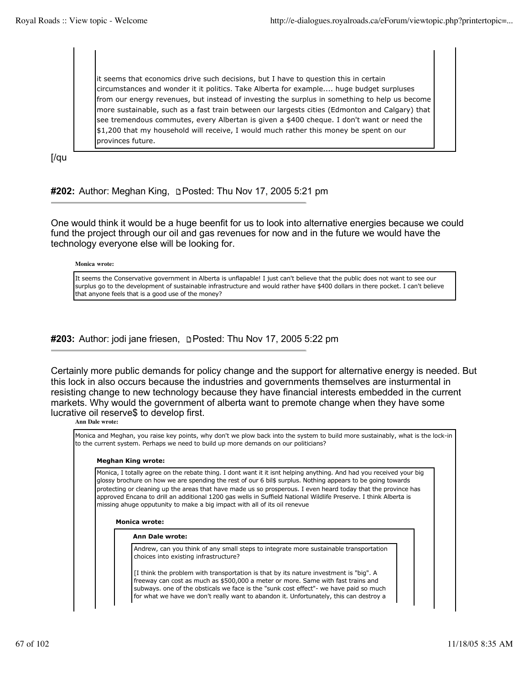it seems that economics drive such decisions, but I have to question this in certain circumstances and wonder it it politics. Take Alberta for example.... huge budget surpluses from our energy revenues, but instead of investing the surplus in something to help us become more sustainable, such as a fast train between our largests cities (Edmonton and Calgary) that see tremendous commutes, every Albertan is given a \$400 cheque. I don't want or need the \$1,200 that my household will receive, I would much rather this money be spent on our provinces future.

[/qu

**#202:** Author: Meghan King, Posted: Thu Nov 17, 2005 5:21 pm

One would think it would be a huge beenfit for us to look into alternative energies because we could fund the project through our oil and gas revenues for now and in the future we would have the technology everyone else will be looking for.

**Monica wrote:**

It seems the Conservative government in Alberta is unflapable! I just can't believe that the public does not want to see our surplus go to the development of sustainable infrastructure and would rather have \$400 dollars in there pocket. I can't believe that anyone feels that is a good use of the money?

# **#203:** Author: jodi jane friesen, **prosted:** Thu Nov 17, 2005 5:22 pm

Certainly more public demands for policy change and the support for alternative energy is needed. But this lock in also occurs because the industries and governments themselves are insturmental in resisting change to new technology because they have financial interests embedded in the current markets. Why would the government of alberta want to premote change when they have some lucrative oil reserve\$ to develop first.

### **Ann Dale wrote:**

Monica and Meghan, you raise key points, why don't we plow back into the system to build more sustainably, what is the lock-in to the current system. Perhaps we need to build up more demands on our politicians?

### **Meghan King wrote:**

Monica, I totally agree on the rebate thing. I dont want it it isnt helping anything. And had you received your big glossy brochure on how we are spending the rest of our 6 bil\$ surplus. Nothing appears to be going towards protecting or cleaning up the areas that have made us so prosperous. I even heard today that the province has approved Encana to drill an additional 1200 gas wells in Suffield National Wildlife Preserve. I think Alberta is missing ahuge opputunity to make a big impact with all of its oil renevue

#### **Monica wrote:**

### **Ann Dale wrote:**

Andrew, can you think of any small steps to integrate more sustainable transportation choices into existing infrastructure?

[I think the problem with transportation is that by its nature investment is "big". A freeway can cost as much as \$500,000 a meter or more. Same with fast trains and subways. one of the obsticals we face is the "sunk cost effect"- we have paid so much for what we have we don't really want to abandon it. Unfortunately, this can destroy a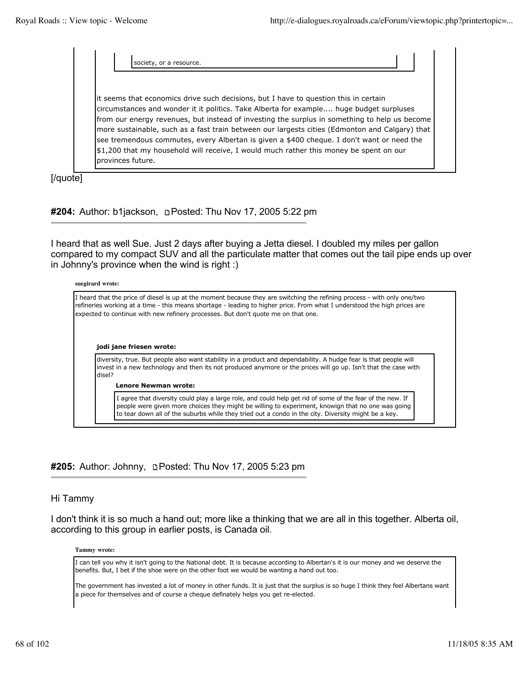society, or a resource

it seems that economics drive such decisions, but I have to question this in certain circumstances and wonder it it politics. Take Alberta for example.... huge budget surpluses from our energy revenues, but instead of investing the surplus in something to help us become more sustainable, such as a fast train between our largests cities (Edmonton and Calgary) that see tremendous commutes, every Albertan is given a \$400 cheque. I don't want or need the \$1,200 that my household will receive, I would much rather this money be spent on our provinces future.

[/quote]

**#204:** Author: b1jackson, Posted: Thu Nov 17, 2005 5:22 pm

I heard that as well Sue. Just 2 days after buying a Jetta diesel. I doubled my miles per gallon compared to my compact SUV and all the particulate matter that comes out the tail pipe ends up over in Johnny's province when the wind is right :)

### **suegirard wrote:**

|        | expected to continue with new refinery processes. But don't quote me on that one.                                                                                                                                                   |
|--------|-------------------------------------------------------------------------------------------------------------------------------------------------------------------------------------------------------------------------------------|
|        |                                                                                                                                                                                                                                     |
|        | jodi jane friesen wrote:                                                                                                                                                                                                            |
|        | diversity, true. But people also want stability in a product and dependability. A hudge fear is that people will<br>invest in a new technology and then its not produced anymore or the prices will go up. Isn't that the case with |
| disel? |                                                                                                                                                                                                                                     |
|        | <b>Lenore Newman wrote:</b>                                                                                                                                                                                                         |

# #205: Author: Johnny, **Depart of the Nov 17, 2005 5:23 pm**

### Hi Tammy

I don't think it is so much a hand out; more like a thinking that we are all in this together. Alberta oil, according to this group in earlier posts, is Canada oil.

**Tammy wrote:**

I can tell you why it isn't going to the National debt. It is because according to Albertan's it is our money and we deserve the benefits. But, I bet if the shoe were on the other foot we would be wanting a hand out too.

The government has invested a lot of money in other funds. It is just that the surplus is so huge I think they feel Albertans want a piece for themselves and of course a cheque definately helps you get re-elected.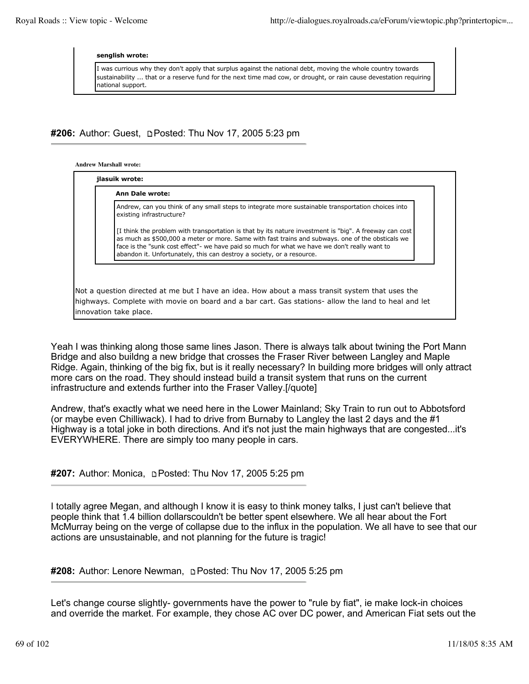#### **senglish wrote:**

I was currious why they don't apply that surplus against the national debt, moving the whole country towards sustainability ... that or a reserve fund for the next time mad cow, or drought, or rain cause devestation requiring national support.

### **#206:** Author: Guest, **pPosted: Thu Nov 17, 2005 5:23 pm**

#### **Andrew Marshall wrote:**

| <b>Ann Dale wrote:</b>                                                                                                                                                                                                                                                                                                                                                               |
|--------------------------------------------------------------------------------------------------------------------------------------------------------------------------------------------------------------------------------------------------------------------------------------------------------------------------------------------------------------------------------------|
| Andrew, can you think of any small steps to integrate more sustainable transportation choices into<br>existing infrastructure?                                                                                                                                                                                                                                                       |
| [I think the problem with transportation is that by its nature investment is "big". A freeway can cost<br>as much as \$500,000 a meter or more. Same with fast trains and subways, one of the obsticals we<br>face is the "sunk cost effect"- we have paid so much for what we have we don't really want to<br>abandon it. Unfortunately, this can destroy a society, or a resource. |
|                                                                                                                                                                                                                                                                                                                                                                                      |
| Not a question directed at me but I have an idea. How about a mass transit system that uses the                                                                                                                                                                                                                                                                                      |

Yeah I was thinking along those same lines Jason. There is always talk about twining the Port Mann Bridge and also buildng a new bridge that crosses the Fraser River between Langley and Maple Ridge. Again, thinking of the big fix, but is it really necessary? In building more bridges will only attract more cars on the road. They should instead build a transit system that runs on the current infrastructure and extends further into the Fraser Valley.[/quote]

Andrew, that's exactly what we need here in the Lower Mainland; Sky Train to run out to Abbotsford (or maybe even Chilliwack). I had to drive from Burnaby to Langley the last 2 days and the #1 Highway is a total joke in both directions. And it's not just the main highways that are congested...it's EVERYWHERE. There are simply too many people in cars.

### **#207:** Author: Monica, **Depart of the Nov 17, 2005 5:25 pm**

I totally agree Megan, and although I know it is easy to think money talks, I just can't believe that people think that 1.4 billion dollarscouldn't be better spent elsewhere. We all hear about the Fort McMurray being on the verge of collapse due to the influx in the population. We all have to see that our actions are unsustainable, and not planning for the future is tragic!

### **#208:** Author: Lenore Newman, Posted: Thu Nov 17, 2005 5:25 pm

Let's change course slightly- governments have the power to "rule by fiat", ie make lock-in choices and override the market. For example, they chose AC over DC power, and American Fiat sets out the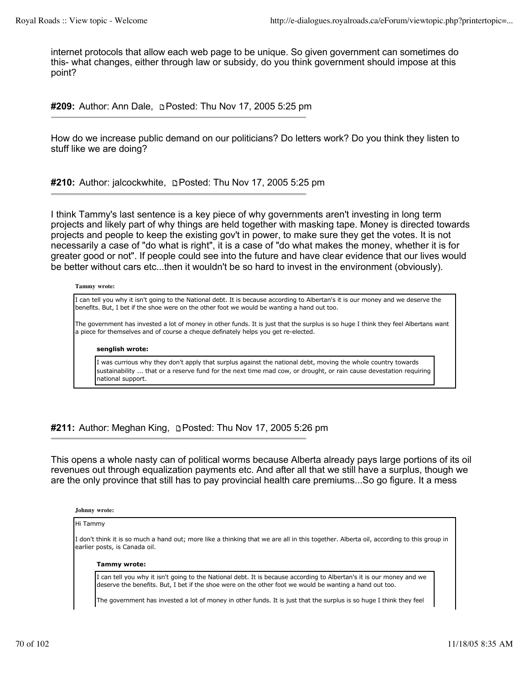internet protocols that allow each web page to be unique. So given government can sometimes do this- what changes, either through law or subsidy, do you think government should impose at this point?

**#209:** Author: Ann Dale, Posted: Thu Nov 17, 2005 5:25 pm

How do we increase public demand on our politicians? Do letters work? Do you think they listen to stuff like we are doing?

**#210:** Author: jalcockwhite, Posted: Thu Nov 17, 2005 5:25 pm

I think Tammy's last sentence is a key piece of why governments aren't investing in long term projects and likely part of why things are held together with masking tape. Money is directed towards projects and people to keep the existing gov't in power, to make sure they get the votes. It is not necessarily a case of "do what is right", it is a case of "do what makes the money, whether it is for greater good or not". If people could see into the future and have clear evidence that our lives would be better without cars etc...then it wouldn't be so hard to invest in the environment (obviously).

#### **Tammy wrote:**

I can tell you why it isn't going to the National debt. It is because according to Albertan's it is our money and we deserve the benefits. But, I bet if the shoe were on the other foot we would be wanting a hand out too.

The government has invested a lot of money in other funds. It is just that the surplus is so huge I think they feel Albertans want a piece for themselves and of course a cheque definately helps you get re-elected.

#### **senglish wrote:**

I was currious why they don't apply that surplus against the national debt, moving the whole country towards sustainability ... that or a reserve fund for the next time mad cow, or drought, or rain cause devestation requiring national support.

**#211:** Author: Meghan King, Posted: Thu Nov 17, 2005 5:26 pm

This opens a whole nasty can of political worms because Alberta already pays large portions of its oil revenues out through equalization payments etc. And after all that we still have a surplus, though we are the only province that still has to pay provincial health care premiums...So go figure. It a mess

#### **Johnny wrote:**

#### Hi Tammy

I don't think it is so much a hand out; more like a thinking that we are all in this together. Alberta oil, according to this group in earlier posts, is Canada oil.

#### **Tammy wrote:**

I can tell you why it isn't going to the National debt. It is because according to Albertan's it is our money and we deserve the benefits. But, I bet if the shoe were on the other foot we would be wanting a hand out too.

The government has invested a lot of money in other funds. It is just that the surplus is so huge I think they feel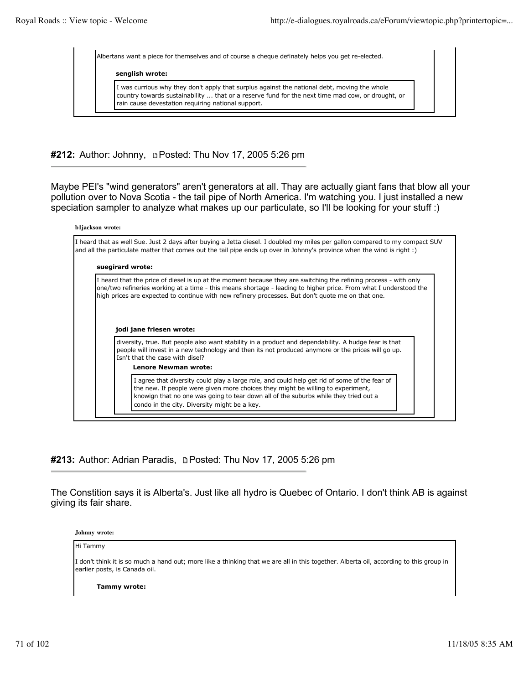Albertans want a piece for themselves and of course a cheque definately helps you get re-elected. **senglish wrote:** I was currious why they don't apply that surplus against the national debt, moving the whole country towards sustainability ... that or a reserve fund for the next time mad cow, or drought, or rain cause devestation requiring national support.

**#212:** Author: Johnny, Posted: Thu Nov 17, 2005 5:26 pm

Maybe PEI's "wind generators" aren't generators at all. Thay are actually giant fans that blow all your pollution over to Nova Scotia - the tail pipe of North America. I'm watching you. I just installed a new speciation sampler to analyze what makes up our particulate, so I'll be looking for your stuff :)

| I heard that as well Sue. Just 2 days after buying a Jetta diesel. I doubled my miles per gallon compared to my compact SUV<br>and all the particulate matter that comes out the tail pipe ends up over in Johnny's province when the wind is right :)                                                                                                                |
|-----------------------------------------------------------------------------------------------------------------------------------------------------------------------------------------------------------------------------------------------------------------------------------------------------------------------------------------------------------------------|
| suegirard wrote:                                                                                                                                                                                                                                                                                                                                                      |
| I heard that the price of diesel is up at the moment because they are switching the refining process - with only<br>one/two refineries working at a time - this means shortage - leading to higher price. From what I understood the<br>high prices are expected to continue with new refinery processes. But don't quote me on that one.<br>jodi jane friesen wrote: |
| diversity, true. But people also want stability in a product and dependability. A hudge fear is that                                                                                                                                                                                                                                                                  |
| people will invest in a new technology and then its not produced anymore or the prices will go up.<br>Isn't that the case with disel?<br>Lenore Newman wrote:                                                                                                                                                                                                         |

**#213:** Author: Adrian Paradis, p Posted: Thu Nov 17, 2005 5:26 pm

The Constition says it is Alberta's. Just like all hydro is Quebec of Ontario. I don't think AB is against giving its fair share.

**Johnny wrote:**

#### Hi Tammy

I don't think it is so much a hand out; more like a thinking that we are all in this together. Alberta oil, according to this group in earlier posts, is Canada oil.

**Tammy wrote:**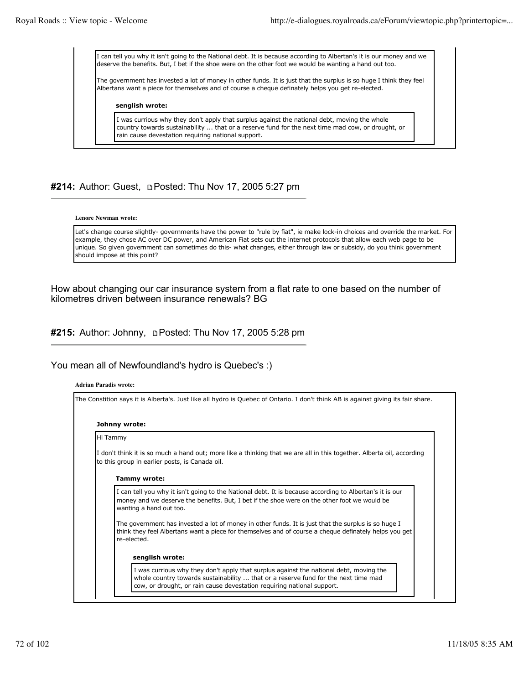I can tell you why it isn't going to the National debt. It is because according to Albertan's it is our money and we deserve the benefits. But, I bet if the shoe were on the other foot we would be wanting a hand out too.

The government has invested a lot of money in other funds. It is just that the surplus is so huge I think they feel Albertans want a piece for themselves and of course a cheque definately helps you get re-elected.

#### **senglish wrote:**

I was currious why they don't apply that surplus against the national debt, moving the whole country towards sustainability ... that or a reserve fund for the next time mad cow, or drought, or rain cause devestation requiring national support.

# #214: Author: Guest, **DPosted: Thu Nov 17, 2005 5:27 pm**

#### **Lenore Newman wrote:**

Let's change course slightly- governments have the power to "rule by fiat", ie make lock-in choices and override the market. For example, they chose AC over DC power, and American Fiat sets out the internet protocols that allow each web page to be unique. So given government can sometimes do this- what changes, either through law or subsidy, do you think government should impose at this point?

How about changing our car insurance system from a flat rate to one based on the number of kilometres driven between insurance renewals? BG

**#215:** Author: Johnny, Posted: Thu Nov 17, 2005 5:28 pm

### You mean all of Newfoundland's hydro is Quebec's :)

| Johnny wrote: |                                                                                                                                                                                                                                    |
|---------------|------------------------------------------------------------------------------------------------------------------------------------------------------------------------------------------------------------------------------------|
| Hi Tammy      |                                                                                                                                                                                                                                    |
|               | I don't think it is so much a hand out; more like a thinking that we are all in this together. Alberta oil, according<br>to this group in earlier posts, is Canada oil.                                                            |
|               | Tammy wrote:                                                                                                                                                                                                                       |
|               | I can tell you why it isn't going to the National debt. It is because according to Albertan's it is our<br>money and we deserve the benefits. But, I bet if the shoe were on the other foot we would be<br>wanting a hand out too. |
|               | The government has invested a lot of money in other funds. It is just that the surplus is so huge I<br>think they feel Albertans want a piece for themselves and of course a cheque definately helps you get<br>re-elected.        |
|               | senglish wrote:                                                                                                                                                                                                                    |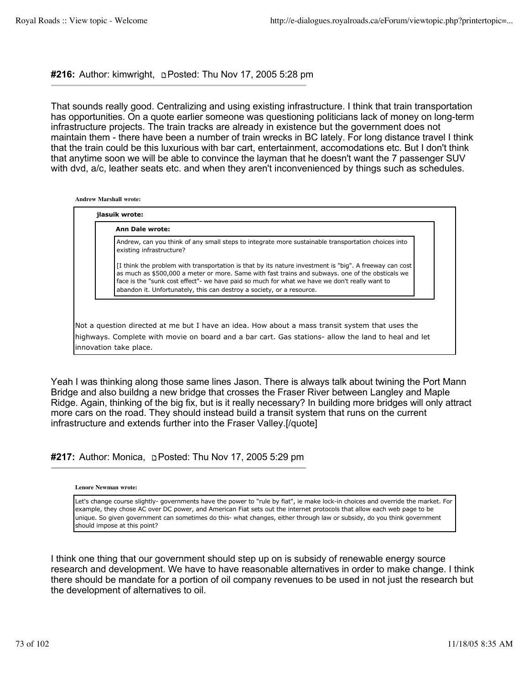**#216:** Author: kimwright, Posted: Thu Nov 17, 2005 5:28 pm

That sounds really good. Centralizing and using existing infrastructure. I think that train transportation has opportunities. On a quote earlier someone was questioning politicians lack of money on long-term infrastructure projects. The train tracks are already in existence but the government does not maintain them - there have been a number of train wrecks in BC lately. For long distance travel I think that the train could be this luxurious with bar cart, entertainment, accomodations etc. But I don't think that anytime soon we will be able to convince the layman that he doesn't want the 7 passenger SUV with dvd, a/c, leather seats etc. and when they aren't inconvenienced by things such as schedules.

**Andrew Marshall wrote:**

| Ann Dale wrote: |                                                                                                                                                                                                                                                                                                                                                                                      |
|-----------------|--------------------------------------------------------------------------------------------------------------------------------------------------------------------------------------------------------------------------------------------------------------------------------------------------------------------------------------------------------------------------------------|
|                 | Andrew, can you think of any small steps to integrate more sustainable transportation choices into<br>existing infrastructure?                                                                                                                                                                                                                                                       |
|                 | [I think the problem with transportation is that by its nature investment is "big". A freeway can cost<br>as much as \$500,000 a meter or more. Same with fast trains and subways, one of the obsticals we<br>face is the "sunk cost effect"- we have paid so much for what we have we don't really want to<br>abandon it. Unfortunately, this can destroy a society, or a resource. |

Not a question directed at me but I have an idea. How about a mass transit system that uses the highways. Complete with movie on board and a bar cart. Gas stations- allow the land to heal and let innovation take place.

Yeah I was thinking along those same lines Jason. There is always talk about twining the Port Mann Bridge and also buildng a new bridge that crosses the Fraser River between Langley and Maple Ridge. Again, thinking of the big fix, but is it really necessary? In building more bridges will only attract more cars on the road. They should instead build a transit system that runs on the current infrastructure and extends further into the Fraser Valley.[/quote]

**#217:** Author: Monica, **permit and Nov 17, 2005 5:29 pm** 

**Lenore Newman wrote:**

Let's change course slightly- governments have the power to "rule by fiat", ie make lock-in choices and override the market. For example, they chose AC over DC power, and American Fiat sets out the internet protocols that allow each web page to be unique. So given government can sometimes do this- what changes, either through law or subsidy, do you think government should impose at this point?

I think one thing that our government should step up on is subsidy of renewable energy source research and development. We have to have reasonable alternatives in order to make change. I think there should be mandate for a portion of oil company revenues to be used in not just the research but the development of alternatives to oil.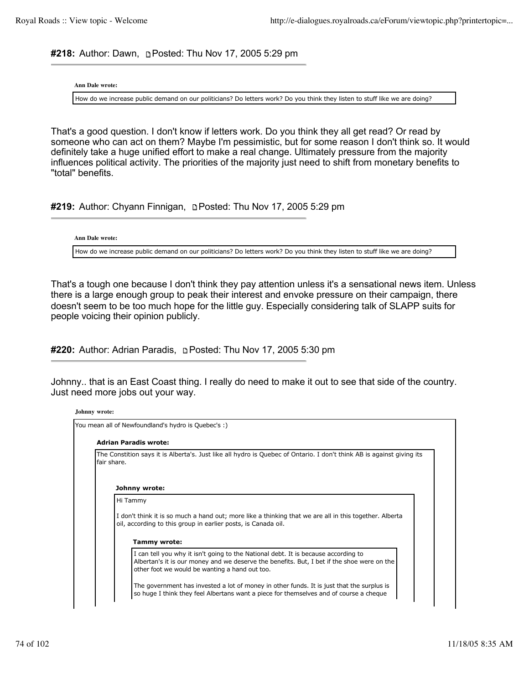#218: Author: Dawn, **pPosted: Thu Nov 17, 2005 5:29 pm** 

**Ann Dale wrote:**

How do we increase public demand on our politicians? Do letters work? Do you think they listen to stuff like we are doing?

That's a good question. I don't know if letters work. Do you think they all get read? Or read by someone who can act on them? Maybe I'm pessimistic, but for some reason I don't think so. It would definitely take a huge unified effort to make a real change. Ultimately pressure from the majority influences political activity. The priorities of the majority just need to shift from monetary benefits to "total" benefits.

**#219:** Author: Chyann Finnigan, **pPosted: Thu Nov 17, 2005 5:29 pm** 

**Ann Dale wrote:**

How do we increase public demand on our politicians? Do letters work? Do you think they listen to stuff like we are doing?

That's a tough one because I don't think they pay attention unless it's a sensational news item. Unless there is a large enough group to peak their interest and envoke pressure on their campaign, there doesn't seem to be too much hope for the little guy. Especially considering talk of SLAPP suits for people voicing their opinion publicly.

**#220:** Author: Adrian Paradis, **p Posted: Thu Nov 17, 2005 5:30 pm** 

Johnny.. that is an East Coast thing. I really do need to make it out to see that side of the country. Just need more jobs out your way.

|             | <b>Adrian Paradis wrote:</b>                                                                                                                                                     |  |
|-------------|----------------------------------------------------------------------------------------------------------------------------------------------------------------------------------|--|
| fair share. | The Constition says it is Alberta's. Just like all hydro is Quebec of Ontario. I don't think AB is against giving its                                                            |  |
|             | Johnny wrote:                                                                                                                                                                    |  |
|             | Hi Tammy                                                                                                                                                                         |  |
|             | I don't think it is so much a hand out; more like a thinking that we are all in this together. Alberta<br>oil, according to this group in earlier posts, is Canada oil.          |  |
|             | <b>Tammy wrote:</b>                                                                                                                                                              |  |
|             | I can tell you why it isn't going to the National debt. It is because according to<br>Albertan's it is our money and we deserve the benefits. But, I bet if the shoe were on the |  |
|             | other foot we would be wanting a hand out too.                                                                                                                                   |  |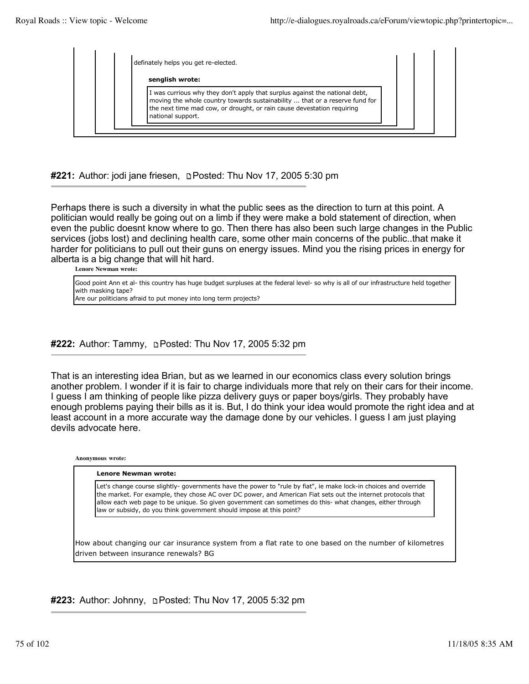| definately helps you get re-elected.                                                                                                                                                                                                                      |
|-----------------------------------------------------------------------------------------------------------------------------------------------------------------------------------------------------------------------------------------------------------|
| senglish wrote:                                                                                                                                                                                                                                           |
| I was currious why they don't apply that surplus against the national debt,<br>moving the whole country towards sustainability  that or a reserve fund for<br>the next time mad cow, or drought, or rain cause devestation requiring<br>national support. |

**#221:** Author: jodi jane friesen, **p**Posted: Thu Nov 17, 2005 5:30 pm

Perhaps there is such a diversity in what the public sees as the direction to turn at this point. A politician would really be going out on a limb if they were make a bold statement of direction, when even the public doesnt know where to go. Then there has also been such large changes in the Public services (jobs lost) and declining health care, some other main concerns of the public..that make it harder for politicians to pull out their guns on energy issues. Mind you the rising prices in energy for alberta is a big change that will hit hard.

**Lenore Newman wrote:**

| Good point Ann et al- this country has huge budget surpluses at the federal level- so why is all of our infrastructure held together |
|--------------------------------------------------------------------------------------------------------------------------------------|
| with masking tape?                                                                                                                   |
| Are our politicians afraid to put money into long term projects?                                                                     |

## **#222:** Author: Tammy, Posted: Thu Nov 17, 2005 5:32 pm

That is an interesting idea Brian, but as we learned in our economics class every solution brings another problem. I wonder if it is fair to charge individuals more that rely on their cars for their income. I guess I am thinking of people like pizza delivery guys or paper boys/girls. They probably have enough problems paying their bills as it is. But, I do think your idea would promote the right idea and at least account in a more accurate way the damage done by our vehicles. I guess I am just playing devils advocate here.

**Anonymous wrote:**

| Let's change course slightly- governments have the power to "rule by fiat", ie make lock-in choices and override<br>the market. For example, they chose AC over DC power, and American Fiat sets out the internet protocols that<br>allow each web page to be unique. So given government can sometimes do this- what changes, either through<br>law or subsidy, do you think government should impose at this point? |
|-----------------------------------------------------------------------------------------------------------------------------------------------------------------------------------------------------------------------------------------------------------------------------------------------------------------------------------------------------------------------------------------------------------------------|
|                                                                                                                                                                                                                                                                                                                                                                                                                       |

#223: Author: Johnny, **Depart Posted: Thu Nov 17, 2005 5:32 pm** 

driven between insurance renewals? BG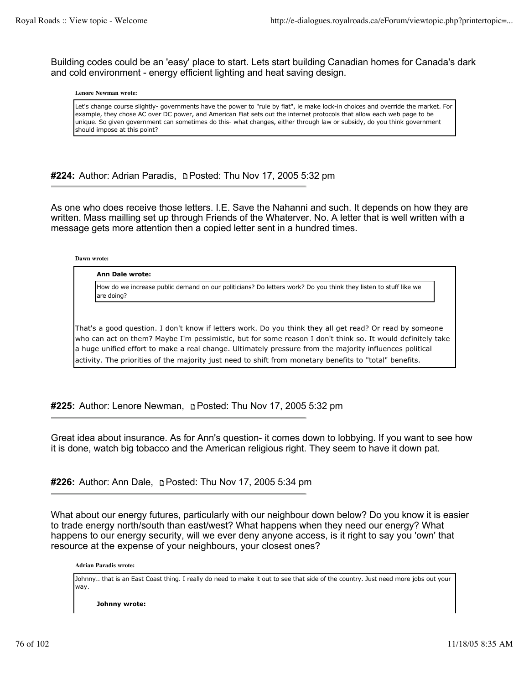Building codes could be an 'easy' place to start. Lets start building Canadian homes for Canada's dark and cold environment - energy efficient lighting and heat saving design.

#### **Lenore Newman wrote:**

Let's change course slightly- governments have the power to "rule by fiat", ie make lock-in choices and override the market. For example, they chose AC over DC power, and American Fiat sets out the internet protocols that allow each web page to be unique. So given government can sometimes do this- what changes, either through law or subsidy, do you think government should impose at this point?

**#224:** Author: Adrian Paradis, **p** Posted: Thu Nov 17, 2005 5:32 pm

As one who does receive those letters. I.E. Save the Nahanni and such. It depends on how they are written. Mass mailling set up through Friends of the Whaterver. No. A letter that is well written with a message gets more attention then a copied letter sent in a hundred times.

**Dawn wrote:**

#### **Ann Dale wrote:**

How do we increase public demand on our politicians? Do letters work? Do you think they listen to stuff like we are doing?

That's a good question. I don't know if letters work. Do you think they all get read? Or read by someone who can act on them? Maybe I'm pessimistic, but for some reason I don't think so. It would definitely take a huge unified effort to make a real change. Ultimately pressure from the majority influences political activity. The priorities of the majority just need to shift from monetary benefits to "total" benefits.

**#225:** Author: Lenore Newman, Posted: Thu Nov 17, 2005 5:32 pm

Great idea about insurance. As for Ann's question- it comes down to lobbying. If you want to see how it is done, watch big tobacco and the American religious right. They seem to have it down pat.

**#226:** Author: Ann Dale, Posted: Thu Nov 17, 2005 5:34 pm

What about our energy futures, particularly with our neighbour down below? Do you know it is easier to trade energy north/south than east/west? What happens when they need our energy? What happens to our energy security, will we ever deny anyone access, is it right to say you 'own' that resource at the expense of your neighbours, your closest ones?

**Adrian Paradis wrote:**

Johnny.. that is an East Coast thing. I really do need to make it out to see that side of the country. Just need more jobs out your way.

**Johnny wrote:**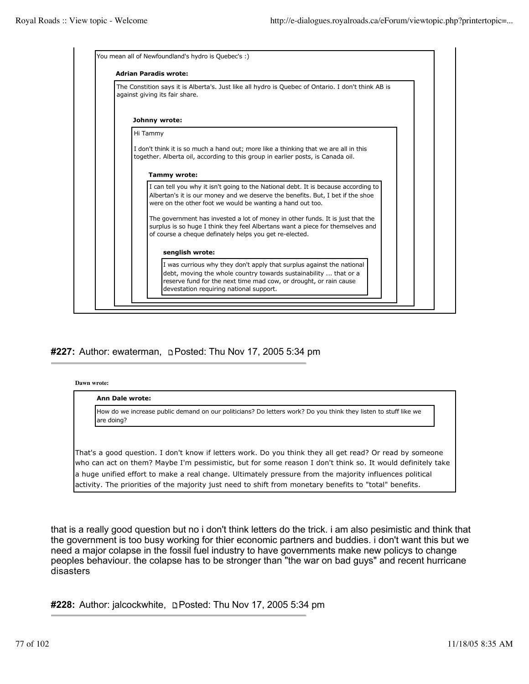| The Constition says it is Alberta's. Just like all hydro is Quebec of Ontario. I don't think AB is<br>against giving its fair share.                                                                                               |
|------------------------------------------------------------------------------------------------------------------------------------------------------------------------------------------------------------------------------------|
| Johnny wrote:                                                                                                                                                                                                                      |
| Hi Tammy                                                                                                                                                                                                                           |
| I don't think it is so much a hand out; more like a thinking that we are all in this<br>together. Alberta oil, according to this group in earlier posts, is Canada oil.                                                            |
| <b>Tammy wrote:</b>                                                                                                                                                                                                                |
| I can tell you why it isn't going to the National debt. It is because according to<br>Albertan's it is our money and we deserve the benefits. But, I bet if the shoe<br>were on the other foot we would be wanting a hand out too. |
| The government has invested a lot of money in other funds. It is just that the<br>surplus is so huge I think they feel Albertans want a piece for themselves and<br>of course a cheque definately helps you get re-elected.        |
| senglish wrote:                                                                                                                                                                                                                    |
| I was currious why they don't apply that surplus against the national<br>debt, moving the whole country towards sustainability  that or a<br>reserve fund for the next time mad cow, or drought, or rain cause                     |

## #227: Author: ewaterman, **pPosted: Thu Nov 17, 2005 5:34** pm

**Dawn wrote:**

#### **Ann Dale wrote:**

How do we increase public demand on our politicians? Do letters work? Do you think they listen to stuff like we are doing?

That's a good question. I don't know if letters work. Do you think they all get read? Or read by someone who can act on them? Maybe I'm pessimistic, but for some reason I don't think so. It would definitely take a huge unified effort to make a real change. Ultimately pressure from the majority influences political activity. The priorities of the majority just need to shift from monetary benefits to "total" benefits.

that is a really good question but no i don't think letters do the trick. i am also pesimistic and think that the government is too busy working for thier economic partners and buddies. i don't want this but we need a major colapse in the fossil fuel industry to have governments make new policys to change peoples behaviour. the colapse has to be stronger than "the war on bad guys" and recent hurricane disasters

**#228:** Author: jalcockwhite, Posted: Thu Nov 17, 2005 5:34 pm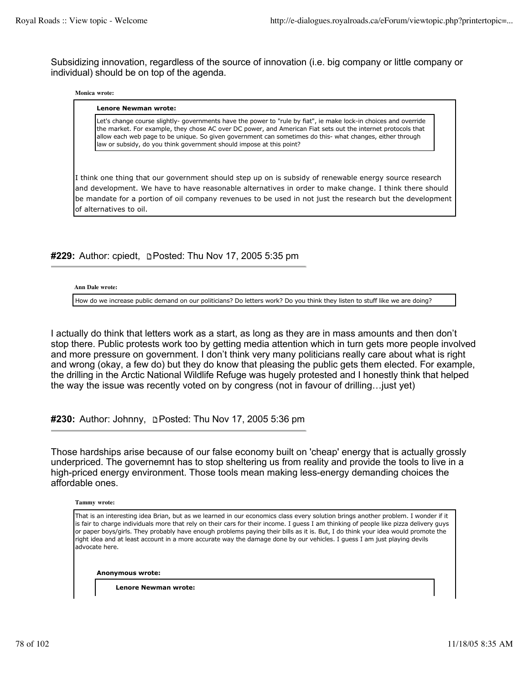Subsidizing innovation, regardless of the source of innovation (i.e. big company or little company or individual) should be on top of the agenda.

#### **Monica wrote:**

#### **Lenore Newman wrote:**

Let's change course slightly- governments have the power to "rule by fiat", ie make lock-in choices and override the market. For example, they chose AC over DC power, and American Fiat sets out the internet protocols that allow each web page to be unique. So given government can sometimes do this- what changes, either through law or subsidy, do you think government should impose at this point?

I think one thing that our government should step up on is subsidy of renewable energy source research and development. We have to have reasonable alternatives in order to make change. I think there should be mandate for a portion of oil company revenues to be used in not just the research but the development of alternatives to oil.

### **#229:** Author: cpiedt, Posted: Thu Nov 17, 2005 5:35 pm

**Ann Dale wrote:**

How do we increase public demand on our politicians? Do letters work? Do you think they listen to stuff like we are doing?

I actually do think that letters work as a start, as long as they are in mass amounts and then don't stop there. Public protests work too by getting media attention which in turn gets more people involved and more pressure on government. I don't think very many politicians really care about what is right and wrong (okay, a few do) but they do know that pleasing the public gets them elected. For example, the drilling in the Arctic National Wildlife Refuge was hugely protested and I honestly think that helped the way the issue was recently voted on by congress (not in favour of drilling…just yet)

**#230:** Author: Johnny, Posted: Thu Nov 17, 2005 5:36 pm

Those hardships arise because of our false economy built on 'cheap' energy that is actually grossly underpriced. The governemnt has to stop sheltering us from reality and provide the tools to live in a high-priced energy environment. Those tools mean making less-energy demanding choices the affordable ones.

**Tammy wrote:**

That is an interesting idea Brian, but as we learned in our economics class every solution brings another problem. I wonder if it is fair to charge individuals more that rely on their cars for their income. I guess I am thinking of people like pizza delivery guys or paper boys/girls. They probably have enough problems paying their bills as it is. But, I do think your idea would promote the right idea and at least account in a more accurate way the damage done by our vehicles. I guess I am just playing devils advocate here.

**Anonymous wrote:**

**Lenore Newman wrote:**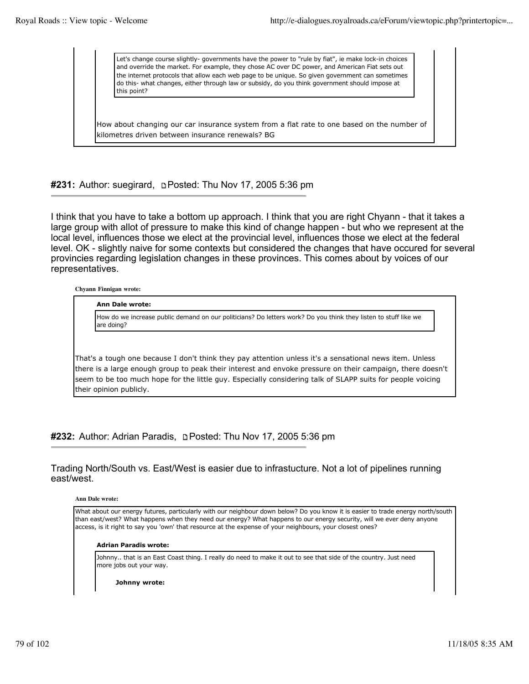Let's change course slightly- governments have the power to "rule by fiat", ie make lock-in choices and override the market. For example, they chose AC over DC power, and American Fiat sets out the internet protocols that allow each web page to be unique. So given government can sometimes do this- what changes, either through law or subsidy, do you think government should impose at this point?

How about changing our car insurance system from a flat rate to one based on the number of kilometres driven between insurance renewals? BG

**#231:** Author: suegirard, Posted: Thu Nov 17, 2005 5:36 pm

I think that you have to take a bottom up approach. I think that you are right Chyann - that it takes a large group with allot of pressure to make this kind of change happen - but who we represent at the local level, influences those we elect at the provincial level, influences those we elect at the federal level. OK - slightly naive for some contexts but considered the changes that have occured for several provincies regarding legislation changes in these provinces. This comes about by voices of our representatives.

**Chyann Finnigan wrote:**

**Ann Dale wrote:**

How do we increase public demand on our politicians? Do letters work? Do you think they listen to stuff like we are doing?

That's a tough one because I don't think they pay attention unless it's a sensational news item. Unless there is a large enough group to peak their interest and envoke pressure on their campaign, there doesn't seem to be too much hope for the little guy. Especially considering talk of SLAPP suits for people voicing their opinion publicly.

**#232:** Author: Adrian Paradis, Posted: Thu Nov 17, 2005 5:36 pm

Trading North/South vs. East/West is easier due to infrastucture. Not a lot of pipelines running east/west.

**Ann Dale wrote:**

What about our energy futures, particularly with our neighbour down below? Do you know it is easier to trade energy north/south than east/west? What happens when they need our energy? What happens to our energy security, will we ever deny anyone access, is it right to say you 'own' that resource at the expense of your neighbours, your closest ones?

#### **Adrian Paradis wrote:**

Johnny.. that is an East Coast thing. I really do need to make it out to see that side of the country. Just need more jobs out your way.

**Johnny wrote:**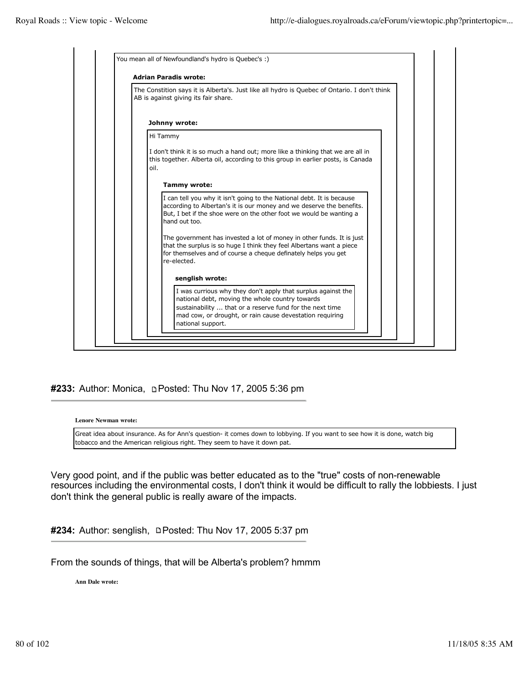

## #233: Author: Monica, **Depart 15 Posted:** Thu Nov 17, 2005 5:36 pm

**Lenore Newman wrote:**

Great idea about insurance. As for Ann's question- it comes down to lobbying. If you want to see how it is done, watch big tobacco and the American religious right. They seem to have it down pat.

Very good point, and if the public was better educated as to the "true" costs of non-renewable resources including the environmental costs, I don't think it would be difficult to rally the lobbiests. I just don't think the general public is really aware of the impacts.

**#234:** Author: senglish, □Posted: Thu Nov 17, 2005 5:37 pm

From the sounds of things, that will be Alberta's problem? hmmm

**Ann Dale wrote:**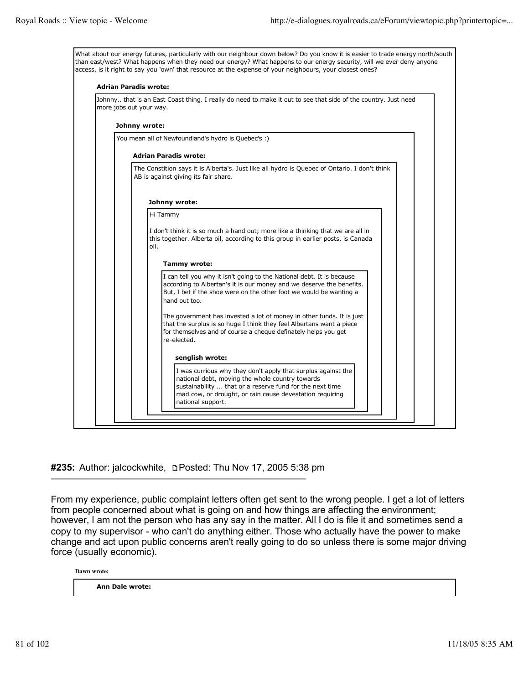

**#235:** Author: jalcockwhite, Posted: Thu Nov 17, 2005 5:38 pm

From my experience, public complaint letters often get sent to the wrong people. I get a lot of letters from people concerned about what is going on and how things are affecting the environment; however, I am not the person who has any say in the matter. All I do is file it and sometimes send a copy to my supervisor - who can't do anything either. Those who actually have the power to make change and act upon public concerns aren't really going to do so unless there is some major driving force (usually economic).

**Dawn wrote:**

**Ann Dale wrote:**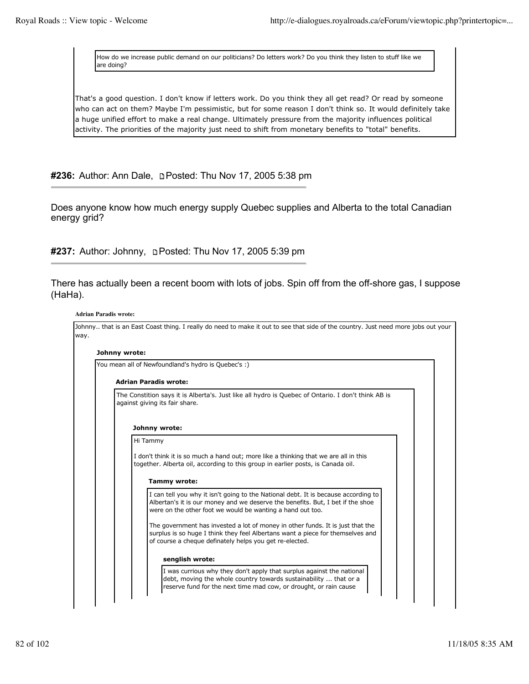How do we increase public demand on our politicians? Do letters work? Do you think they listen to stuff like we are doing?

That's a good question. I don't know if letters work. Do you think they all get read? Or read by someone who can act on them? Maybe I'm pessimistic, but for some reason I don't think so. It would definitely take a huge unified effort to make a real change. Ultimately pressure from the majority influences political activity. The priorities of the majority just need to shift from monetary benefits to "total" benefits.

**#236:** Author: Ann Dale, **p Posted: Thu Nov 17, 2005 5:38 pm** 

Does anyone know how much energy supply Quebec supplies and Alberta to the total Canadian energy grid?

#237: Author: Johnny, **DPosted: Thu Nov 17, 2005 5:39 pm** 

There has actually been a recent boom with lots of jobs. Spin off from the off-shore gas, I suppose (HaHa).

#### **Adrian Paradis wrote:**

| You mean all of Newfoundland's hydro is Quebec's :)                                                                                                                                                                                |
|------------------------------------------------------------------------------------------------------------------------------------------------------------------------------------------------------------------------------------|
| <b>Adrian Paradis wrote:</b>                                                                                                                                                                                                       |
| The Constition says it is Alberta's. Just like all hydro is Quebec of Ontario. I don't think AB is<br>against giving its fair share.                                                                                               |
| Johnny wrote:                                                                                                                                                                                                                      |
| Hi Tammy                                                                                                                                                                                                                           |
| I don't think it is so much a hand out; more like a thinking that we are all in this<br>together. Alberta oil, according to this group in earlier posts, is Canada oil.                                                            |
| Tammy wrote:                                                                                                                                                                                                                       |
| I can tell you why it isn't going to the National debt. It is because according to<br>Albertan's it is our money and we deserve the benefits. But, I bet if the shoe<br>were on the other foot we would be wanting a hand out too. |
| The government has invested a lot of money in other funds. It is just that the<br>surplus is so huge I think they feel Albertans want a piece for themselves and<br>of course a cheque definately helps you get re-elected.        |
| senglish wrote:                                                                                                                                                                                                                    |
|                                                                                                                                                                                                                                    |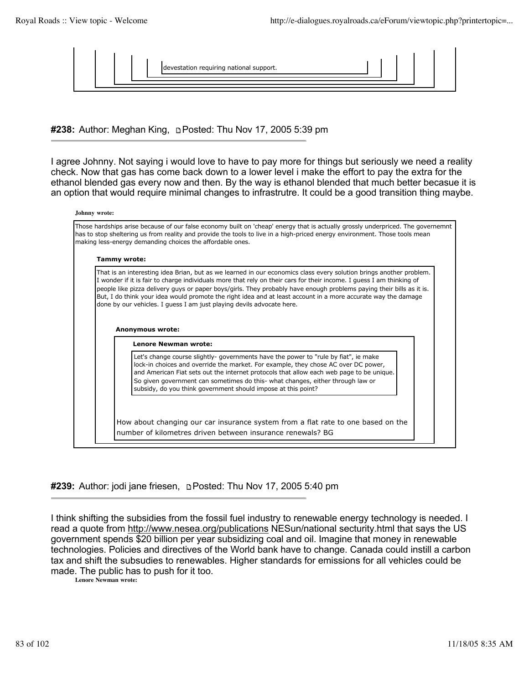

**#238:** Author: Meghan King, Posted: Thu Nov 17, 2005 5:39 pm

I agree Johnny. Not saying i would love to have to pay more for things but seriously we need a reality check. Now that gas has come back down to a lower level i make the effort to pay the extra for the ethanol blended gas every now and then. By the way is ethanol blended that much better becasue it is an option that would require minimal changes to infrastrutre. It could be a good transition thing maybe.

|                     | Those hardships arise because of our false economy built on 'cheap' energy that is actually grossly underpriced. The governemnt<br>has to stop sheltering us from reality and provide the tools to live in a high-priced energy environment. Those tools mean<br>making less-energy demanding choices the affordable ones.                                                                                                                                                                                                                                                                                             |
|---------------------|------------------------------------------------------------------------------------------------------------------------------------------------------------------------------------------------------------------------------------------------------------------------------------------------------------------------------------------------------------------------------------------------------------------------------------------------------------------------------------------------------------------------------------------------------------------------------------------------------------------------|
| <b>Tammy wrote:</b> |                                                                                                                                                                                                                                                                                                                                                                                                                                                                                                                                                                                                                        |
|                     | That is an interesting idea Brian, but as we learned in our economics class every solution brings another problem.<br>I wonder if it is fair to charge individuals more that rely on their cars for their income. I guess I am thinking of<br>people like pizza delivery guys or paper boys/girls. They probably have enough problems paying their bills as it is.<br>But, I do think your idea would promote the right idea and at least account in a more accurate way the damage<br>done by our vehicles. I guess I am just playing devils advocate here.<br><b>Anonymous wrote:</b><br><b>Lenore Newman wrote:</b> |
|                     | Let's change course slightly- governments have the power to "rule by fiat", ie make                                                                                                                                                                                                                                                                                                                                                                                                                                                                                                                                    |

**#239:** Author: jodi jane friesen, Posted: Thu Nov 17, 2005 5:40 pm

I think shifting the subsidies from the fossil fuel industry to renewable energy technology is needed. I read a quote from http://www.nesea.org/publications NESun/national secturity.html that says the US government spends \$20 billion per year subsidizing coal and oil. Imagine that money in renewable technologies. Policies and directives of the World bank have to change. Canada could instill a carbon tax and shift the subsudies to renewables. Higher standards for emissions for all vehicles could be made. The public has to push for it too.

**Lenore Newman wrote:**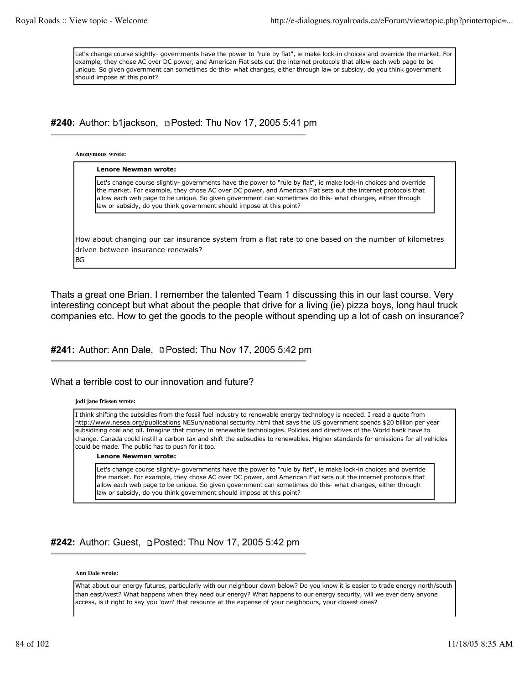Let's change course slightly- governments have the power to "rule by fiat", ie make lock-in choices and override the market. For example, they chose AC over DC power, and American Fiat sets out the internet protocols that allow each web page to be unique. So given government can sometimes do this- what changes, either through law or subsidy, do you think government should impose at this point?

**#240:** Author: b1jackson, Posted: Thu Nov 17, 2005 5:41 pm

**Anonymous wrote:**

| law or subsidy, do you think government should impose at this point? | Let's change course slightly- governments have the power to "rule by fiat", ie make lock-in choices and override<br>the market. For example, they chose AC over DC power, and American Fiat sets out the internet protocols that<br>allow each web page to be unique. So given government can sometimes do this- what changes, either through |
|----------------------------------------------------------------------|-----------------------------------------------------------------------------------------------------------------------------------------------------------------------------------------------------------------------------------------------------------------------------------------------------------------------------------------------|
|                                                                      |                                                                                                                                                                                                                                                                                                                                               |

BG

Thats a great one Brian. I remember the talented Team 1 discussing this in our last course. Very interesting concept but what about the people that drive for a living (ie) pizza boys, long haul truck companies etc. How to get the goods to the people without spending up a lot of cash on insurance?

#241: Author: Ann Dale, **DPosted: Thu Nov 17, 2005 5:42 pm** 

### What a terrible cost to our innovation and future?

### **jodi jane friesen wrote:**

I think shifting the subsidies from the fossil fuel industry to renewable energy technology is needed. I read a quote from http://www.nesea.org/publications NESun/national secturity.html that says the US government spends \$20 billion per year subsidizing coal and oil. Imagine that money in renewable technologies. Policies and directives of the World bank have to change. Canada could instill a carbon tax and shift the subsudies to renewables. Higher standards for emissions for all vehicles could be made. The public has to push for it too.

#### **Lenore Newman wrote:**

Let's change course slightly- governments have the power to "rule by fiat", ie make lock-in choices and override the market. For example, they chose AC over DC power, and American Fiat sets out the internet protocols that allow each web page to be unique. So given government can sometimes do this- what changes, either through law or subsidy, do you think government should impose at this point?

## **#242:** Author: Guest, Posted: Thu Nov 17, 2005 5:42 pm

#### **Ann Dale wrote:**

What about our energy futures, particularly with our neighbour down below? Do you know it is easier to trade energy north/south than east/west? What happens when they need our energy? What happens to our energy security, will we ever deny anyone access, is it right to say you 'own' that resource at the expense of your neighbours, your closest ones?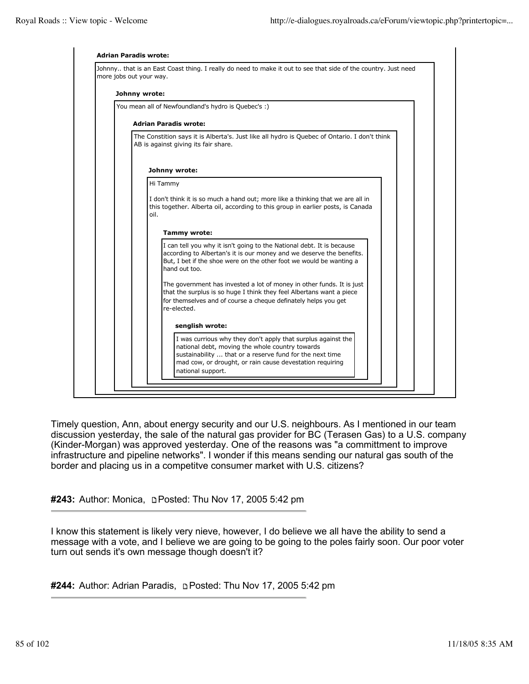

Timely question, Ann, about energy security and our U.S. neighbours. As I mentioned in our team discussion yesterday, the sale of the natural gas provider for BC (Terasen Gas) to a U.S. company (Kinder-Morgan) was approved yesterday. One of the reasons was "a committment to improve infrastructure and pipeline networks". I wonder if this means sending our natural gas south of the border and placing us in a competitve consumer market with U.S. citizens?

**#243:** Author: Monica, **pPosted: Thu Nov 17, 2005 5:42 pm** 

I know this statement is likely very nieve, however, I do believe we all have the ability to send a message with a vote, and I believe we are going to be going to the poles fairly soon. Our poor voter turn out sends it's own message though doesn't it?

**#244:** Author: Adrian Paradis, Posted: Thu Nov 17, 2005 5:42 pm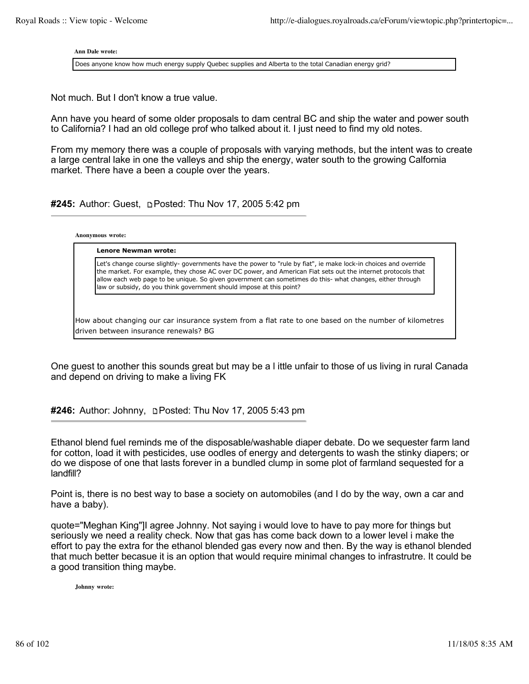**Ann Dale wrote:**

Does anyone know how much energy supply Quebec supplies and Alberta to the total Canadian energy grid?

Not much. But I don't know a true value.

Ann have you heard of some older proposals to dam central BC and ship the water and power south to California? I had an old college prof who talked about it. I just need to find my old notes.

From my memory there was a couple of proposals with varying methods, but the intent was to create a large central lake in one the valleys and ship the energy, water south to the growing Calfornia market. There have a been a couple over the years.

**#245:** Author: Guest, Posted: Thu Nov 17, 2005 5:42 pm

**Anonymous wrote:**

**Lenore Newman wrote:**

Let's change course slightly- governments have the power to "rule by fiat", ie make lock-in choices and override the market. For example, they chose AC over DC power, and American Fiat sets out the internet protocols that allow each web page to be unique. So given government can sometimes do this- what changes, either through law or subsidy, do you think government should impose at this point?

How about changing our car insurance system from a flat rate to one based on the number of kilometres driven between insurance renewals? BG

One guest to another this sounds great but may be a l ittle unfair to those of us living in rural Canada and depend on driving to make a living FK

**#246:** Author: Johnny, Posted: Thu Nov 17, 2005 5:43 pm

Ethanol blend fuel reminds me of the disposable/washable diaper debate. Do we sequester farm land for cotton, load it with pesticides, use oodles of energy and detergents to wash the stinky diapers; or do we dispose of one that lasts forever in a bundled clump in some plot of farmland sequested for a landfill?

Point is, there is no best way to base a society on automobiles (and I do by the way, own a car and have a baby).

quote="Meghan King"]I agree Johnny. Not saying i would love to have to pay more for things but seriously we need a reality check. Now that gas has come back down to a lower level i make the effort to pay the extra for the ethanol blended gas every now and then. By the way is ethanol blended that much better becasue it is an option that would require minimal changes to infrastrutre. It could be a good transition thing maybe.

**Johnny wrote:**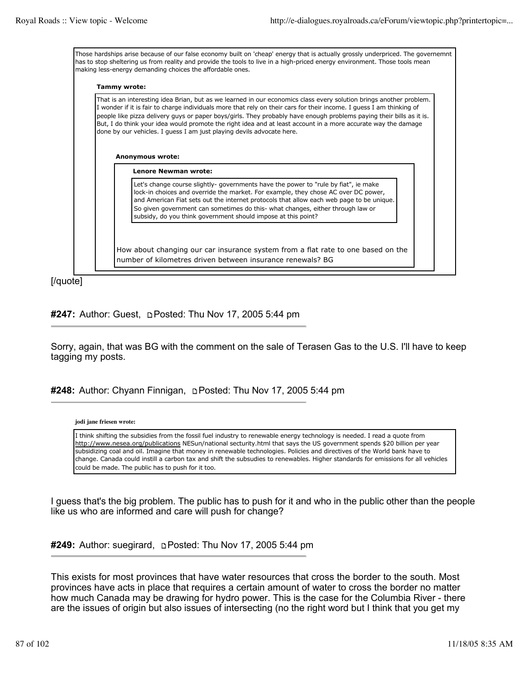Those hardships arise because of our false economy built on 'cheap' energy that is actually grossly underpriced. The governemnt has to stop sheltering us from reality and provide the tools to live in a high-priced energy environment. Those tools mean making less-energy demanding choices the affordable ones.

#### **Tammy wrote:**

That is an interesting idea Brian, but as we learned in our economics class every solution brings another problem. I wonder if it is fair to charge individuals more that rely on their cars for their income. I guess I am thinking of people like pizza delivery guys or paper boys/girls. They probably have enough problems paying their bills as it is. But, I do think your idea would promote the right idea and at least account in a more accurate way the damage done by our vehicles. I guess I am just playing devils advocate here.

#### **Anonymous wrote:**

**Lenore Newman wrote:** Let's change course slightly- governments have the power to "rule by fiat", ie make lock-in choices and override the market. For example, they chose AC over DC power, and American Fiat sets out the internet protocols that allow each web page to be unique. So given government can sometimes do this- what changes, either through law or subsidy, do you think government should impose at this point?

How about changing our car insurance system from a flat rate to one based on the number of kilometres driven between insurance renewals? BG

[/quote]

# **#247:** Author: Guest, **pPosted: Thu Nov 17, 2005 5:44 pm**

Sorry, again, that was BG with the comment on the sale of Terasen Gas to the U.S. I'll have to keep tagging my posts.

## **#248:** Author: Chyann Finnigan, Posted: Thu Nov 17, 2005 5:44 pm

**jodi jane friesen wrote:**

I think shifting the subsidies from the fossil fuel industry to renewable energy technology is needed. I read a quote from http://www.nesea.org/publications NESun/national secturity.html that says the US government spends \$20 billion per year subsidizing coal and oil. Imagine that money in renewable technologies. Policies and directives of the World bank have to change. Canada could instill a carbon tax and shift the subsudies to renewables. Higher standards for emissions for all vehicles could be made. The public has to push for it too.

I guess that's the big problem. The public has to push for it and who in the public other than the people like us who are informed and care will push for change?

**#249:** Author: suegirard, Posted: Thu Nov 17, 2005 5:44 pm

This exists for most provinces that have water resources that cross the border to the south. Most provinces have acts in place that requires a certain amount of water to cross the border no matter how much Canada may be drawing for hydro power. This is the case for the Columbia River - there are the issues of origin but also issues of intersecting (no the right word but I think that you get my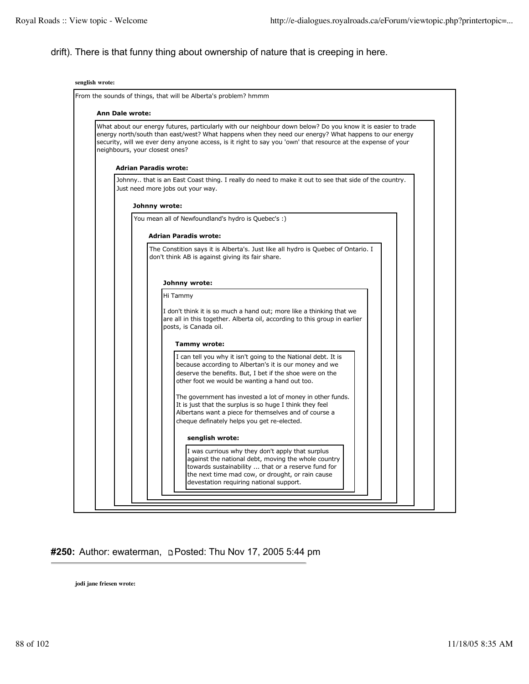# drift). There is that funny thing about ownership of nature that is creeping in here.

| <b>Ann Dale wrote:</b>                                                                                                                                                                                                                                                                                                                                                  |
|-------------------------------------------------------------------------------------------------------------------------------------------------------------------------------------------------------------------------------------------------------------------------------------------------------------------------------------------------------------------------|
| What about our energy futures, particularly with our neighbour down below? Do you know it is easier to trade<br>energy north/south than east/west? What happens when they need our energy? What happens to our energy<br>security, will we ever deny anyone access, is it right to say you 'own' that resource at the expense of your<br>neighbours, your closest ones? |
| <b>Adrian Paradis wrote:</b>                                                                                                                                                                                                                                                                                                                                            |
| Johnny that is an East Coast thing. I really do need to make it out to see that side of the country.<br>Just need more jobs out your way.                                                                                                                                                                                                                               |
|                                                                                                                                                                                                                                                                                                                                                                         |
| Johnny wrote:                                                                                                                                                                                                                                                                                                                                                           |
| You mean all of Newfoundland's hydro is Quebec's :)                                                                                                                                                                                                                                                                                                                     |
| <b>Adrian Paradis wrote:</b>                                                                                                                                                                                                                                                                                                                                            |
| The Constition says it is Alberta's. Just like all hydro is Quebec of Ontario. I<br>don't think AB is against giving its fair share.                                                                                                                                                                                                                                    |
|                                                                                                                                                                                                                                                                                                                                                                         |
| Johnny wrote:                                                                                                                                                                                                                                                                                                                                                           |
| Hi Tammy                                                                                                                                                                                                                                                                                                                                                                |
| I don't think it is so much a hand out; more like a thinking that we<br>are all in this together. Alberta oil, according to this group in earlier<br>posts, is Canada oil.                                                                                                                                                                                              |
| Tammy wrote:                                                                                                                                                                                                                                                                                                                                                            |
| I can tell you why it isn't going to the National debt. It is<br>because according to Albertan's it is our money and we<br>deserve the benefits. But, I bet if the shoe were on the<br>other foot we would be wanting a hand out too.                                                                                                                                   |
| The government has invested a lot of money in other funds.<br>It is just that the surplus is so huge I think they feel<br>Albertans want a piece for themselves and of course a<br>cheque definately helps you get re-elected.                                                                                                                                          |
| senglish wrote:                                                                                                                                                                                                                                                                                                                                                         |
| I was currious why they don't apply that surplus                                                                                                                                                                                                                                                                                                                        |
| against the national debt, moving the whole country                                                                                                                                                                                                                                                                                                                     |
| towards sustainability  that or a reserve fund for                                                                                                                                                                                                                                                                                                                      |

# #250: Author: ewaterman, **DPosted: Thu Nov 17, 2005 5:44** pm

**jodi jane friesen wrote:**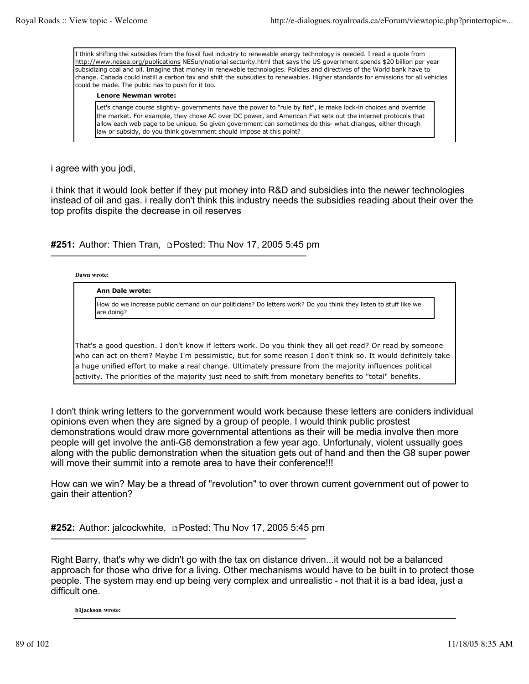I think shifting the subsidies from the fossil fuel industry to renewable energy technology is needed. I read a quote from http://www.nesea.org/publications NESun/national secturity.html that says the US government spends \$20 billion per year subsidizing coal and oil. Imagine that money in renewable technologies. Policies and directives of the World bank have to change. Canada could instill a carbon tax and shift the subsudies to renewables. Higher standards for emissions for all vehicles could be made. The public has to push for it too.

### **Lenore Newman wrote:**

Let's change course slightly- governments have the power to "rule by fiat", ie make lock-in choices and override the market. For example, they chose AC over DC power, and American Fiat sets out the internet protocols that allow each web page to be unique. So given government can sometimes do this- what changes, either through law or subsidy, do you think government should impose at this point?

# i agree with you jodi,

i think that it would look better if they put money into R&D and subsidies into the newer technologies instead of oil and gas. i really don't think this industry needs the subsidies reading about their over the top profits dispite the decrease in oil reserves

# **#251:** Author: Thien Tran, Posted: Thu Nov 17, 2005 5:45 pm

### **Dawn wrote:**

### **Ann Dale wrote:**

How do we increase public demand on our politicians? Do letters work? Do you think they listen to stuff like we are doing?

That's a good question. I don't know if letters work. Do you think they all get read? Or read by someone who can act on them? Maybe I'm pessimistic, but for some reason I don't think so. It would definitely take a huge unified effort to make a real change. Ultimately pressure from the majority influences political activity. The priorities of the majority just need to shift from monetary benefits to "total" benefits.

I don't think wring letters to the gorvernment would work because these letters are coniders individual opinions even when they are signed by a group of people. I would think public prostest demonstrations would draw more governmental attentions as their will be media involve then more people will get involve the anti-G8 demonstration a few year ago. Unfortunaly, violent ussually goes along with the public demonstration when the situation gets out of hand and then the G8 super power will move their summit into a remote area to have their conference!!!

How can we win? May be a thread of "revolution" to over thrown current government out of power to gain their attention?

**#252:** Author: jalcockwhite, Posted: Thu Nov 17, 2005 5:45 pm

Right Barry, that's why we didn't go with the tax on distance driven...it would not be a balanced approach for those who drive for a living. Other mechanisms would have to be built in to protect those people. The system may end up being very complex and unrealistic - not that it is a bad idea, just a difficult one.

**b1jackson wrote:**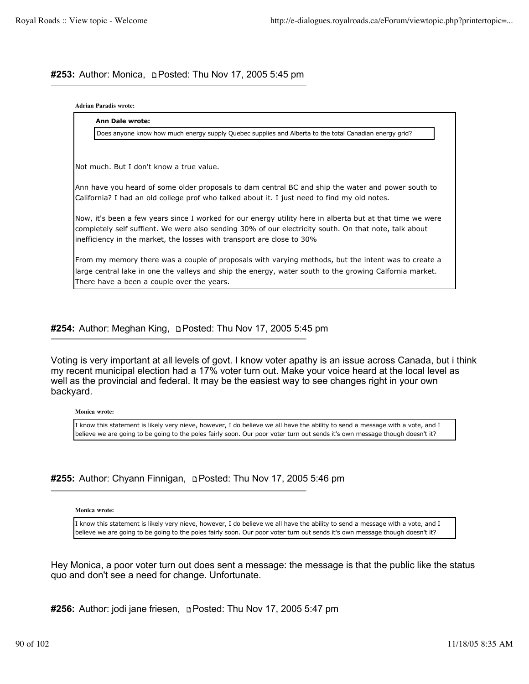# #253: Author: Monica, **pPosted: Thu Nov 17, 2005 5:45 pm**

### **Adrian Paradis wrote:**

| <b>Ann Dale wrote:</b>                                                                                                                                                                                                                                                                        |
|-----------------------------------------------------------------------------------------------------------------------------------------------------------------------------------------------------------------------------------------------------------------------------------------------|
| Does anyone know how much energy supply Quebec supplies and Alberta to the total Canadian energy grid?                                                                                                                                                                                        |
|                                                                                                                                                                                                                                                                                               |
| INot much. But I don't know a true value.                                                                                                                                                                                                                                                     |
| Ann have you heard of some older proposals to dam central BC and ship the water and power south to<br>California? I had an old college prof who talked about it. I just need to find my old notes.                                                                                            |
| Now, it's been a few years since I worked for our energy utility here in alberta but at that time we were<br>completely self suffient. We were also sending 30% of our electricity south. On that note, talk about<br>linefficiency in the market, the losses with transport are close to 30% |
| From my memory there was a couple of proposals with varying methods, but the intent was to create a<br>large central lake in one the valleys and ship the energy, water south to the growing Calfornia market.<br>There have a been a couple over the years.                                  |

## **#254:** Author: Meghan King, Posted: Thu Nov 17, 2005 5:45 pm

Voting is very important at all levels of govt. I know voter apathy is an issue across Canada, but i think my recent municipal election had a 17% voter turn out. Make your voice heard at the local level as well as the provincial and federal. It may be the easiest way to see changes right in your own backyard.

**Monica wrote:**

I know this statement is likely very nieve, however, I do believe we all have the ability to send a message with a vote, and I believe we are going to be going to the poles fairly soon. Our poor voter turn out sends it's own message though doesn't it?

## **#255:** Author: Chyann Finnigan, Posted: Thu Nov 17, 2005 5:46 pm

**Monica wrote:**

I know this statement is likely very nieve, however, I do believe we all have the ability to send a message with a vote, and I believe we are going to be going to the poles fairly soon. Our poor voter turn out sends it's own message though doesn't it?

Hey Monica, a poor voter turn out does sent a message: the message is that the public like the status quo and don't see a need for change. Unfortunate.

**#256:** Author: jodi jane friesen, **Posted: Thu Nov 17, 2005 5:47 pm**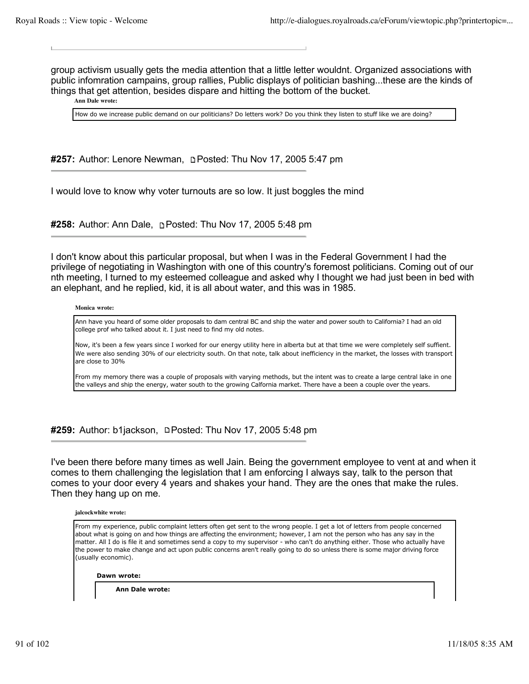group activism usually gets the media attention that a little letter wouldnt. Organized associations with public infomration campains, group rallies, Public displays of politician bashing...these are the kinds of things that get attention, besides dispare and hitting the bottom of the bucket.

**Ann Dale wrote:**

How do we increase public demand on our politicians? Do letters work? Do you think they listen to stuff like we are doing?

**#257:** Author: Lenore Newman, Posted: Thu Nov 17, 2005 5:47 pm

I would love to know why voter turnouts are so low. It just boggles the mind

**#258:** Author: Ann Dale, Posted: Thu Nov 17, 2005 5:48 pm

I don't know about this particular proposal, but when I was in the Federal Government I had the privilege of negotiating in Washington with one of this country's foremost politicians. Coming out of our nth meeting, I turned to my esteemed colleague and asked why I thought we had just been in bed with an elephant, and he replied, kid, it is all about water, and this was in 1985.

#### **Monica wrote:**

Ann have you heard of some older proposals to dam central BC and ship the water and power south to California? I had an old college prof who talked about it. I just need to find my old notes.

Now, it's been a few years since I worked for our energy utility here in alberta but at that time we were completely self suffient. We were also sending 30% of our electricity south. On that note, talk about inefficiency in the market, the losses with transport are close to 30%

From my memory there was a couple of proposals with varying methods, but the intent was to create a large central lake in one the valleys and ship the energy, water south to the growing Calfornia market. There have a been a couple over the years.

**#259:** Author: b1jackson, □Posted: Thu Nov 17, 2005 5:48 pm

I've been there before many times as well Jain. Being the government employee to vent at and when it comes to them challenging the legislation that I am enforcing I always say, talk to the person that comes to your door every 4 years and shakes your hand. They are the ones that make the rules. Then they hang up on me.



From my experience, public complaint letters often get sent to the wrong people. I get a lot of letters from people concerned about what is going on and how things are affecting the environment; however, I am not the person who has any say in the matter. All I do is file it and sometimes send a copy to my supervisor - who can't do anything either. Those who actually have the power to make change and act upon public concerns aren't really going to do so unless there is some major driving force (usually economic).

**Dawn wrote:**

**Ann Dale wrote:**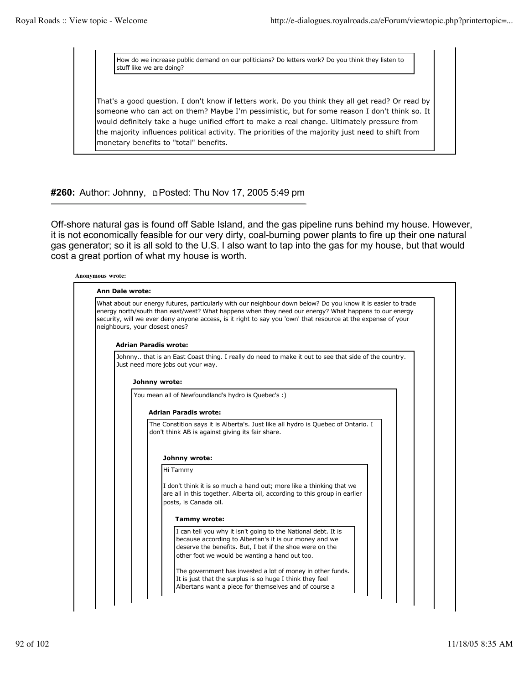How do we increase public demand on our politicians? Do letters work? Do you think they listen to stuff like we are doing?

That's a good question. I don't know if letters work. Do you think they all get read? Or read by someone who can act on them? Maybe I'm pessimistic, but for some reason I don't think so. It would definitely take a huge unified effort to make a real change. Ultimately pressure from the majority influences political activity. The priorities of the majority just need to shift from monetary benefits to "total" benefits.

**#260:** Author: Johnny, Posted: Thu Nov 17, 2005 5:49 pm

Off-shore natural gas is found off Sable Island, and the gas pipeline runs behind my house. However, it is not economically feasible for our very dirty, coal-burning power plants to fire up their one natural gas generator; so it is all sold to the U.S. I also want to tap into the gas for my house, but that would cost a great portion of what my house is worth.

| What about our energy futures, particularly with our neighbour down below? Do you know it is easier to trade<br>energy north/south than east/west? What happens when they need our energy? What happens to our energy<br>security, will we ever deny anyone access, is it right to say you 'own' that resource at the expense of your |
|---------------------------------------------------------------------------------------------------------------------------------------------------------------------------------------------------------------------------------------------------------------------------------------------------------------------------------------|
| neighbours, your closest ones?                                                                                                                                                                                                                                                                                                        |
|                                                                                                                                                                                                                                                                                                                                       |
| <b>Adrian Paradis wrote:</b>                                                                                                                                                                                                                                                                                                          |
| Johnny that is an East Coast thing. I really do need to make it out to see that side of the country.<br>Just need more jobs out your way.                                                                                                                                                                                             |
|                                                                                                                                                                                                                                                                                                                                       |
| Johnny wrote:                                                                                                                                                                                                                                                                                                                         |
| You mean all of Newfoundland's hydro is Quebec's :)                                                                                                                                                                                                                                                                                   |
| <b>Adrian Paradis wrote:</b>                                                                                                                                                                                                                                                                                                          |
| The Constition says it is Alberta's. Just like all hydro is Quebec of Ontario. I<br>don't think AB is against giving its fair share.                                                                                                                                                                                                  |
| Johnny wrote:                                                                                                                                                                                                                                                                                                                         |
| Hi Tammy                                                                                                                                                                                                                                                                                                                              |
| I don't think it is so much a hand out; more like a thinking that we<br>are all in this together. Alberta oil, according to this group in earlier<br>posts, is Canada oil.                                                                                                                                                            |
| <b>Tammy wrote:</b>                                                                                                                                                                                                                                                                                                                   |
| I can tell you why it isn't going to the National debt. It is<br>because according to Albertan's it is our money and we<br>deserve the benefits. But, I bet if the shoe were on the<br>other foot we would be wanting a hand out too.                                                                                                 |
| The government has invested a lot of money in other funds.                                                                                                                                                                                                                                                                            |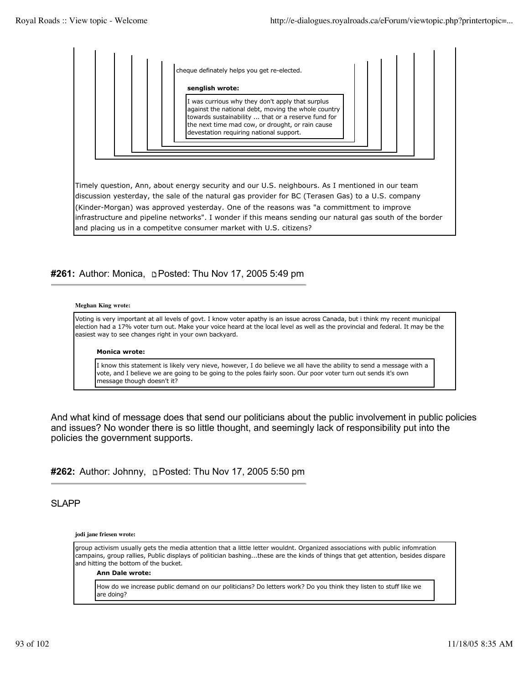

## **#261:** Author: Monica, **Depart of the Nov 17, 2005 5:49 pm**

#### **Meghan King wrote:**

Voting is very important at all levels of govt. I know voter apathy is an issue across Canada, but i think my recent municipal election had a 17% voter turn out. Make your voice heard at the local level as well as the provincial and federal. It may be the easiest way to see changes right in your own backyard.

### **Monica wrote:**

I know this statement is likely very nieve, however, I do believe we all have the ability to send a message with a vote, and I believe we are going to be going to the poles fairly soon. Our poor voter turn out sends it's own message though doesn't it?

And what kind of message does that send our politicians about the public involvement in public policies and issues? No wonder there is so little thought, and seemingly lack of responsibility put into the policies the government supports.

**#262:** Author: Johnny, **p. Posted: Thu Nov 17, 2005 5:50 pm** 

SLAPP

**jodi jane friesen wrote:**

group activism usually gets the media attention that a little letter wouldnt. Organized associations with public infomration campains, group rallies, Public displays of politician bashing...these are the kinds of things that get attention, besides dispare and hitting the bottom of the bucket.

#### **Ann Dale wrote:**

How do we increase public demand on our politicians? Do letters work? Do you think they listen to stuff like we are doing?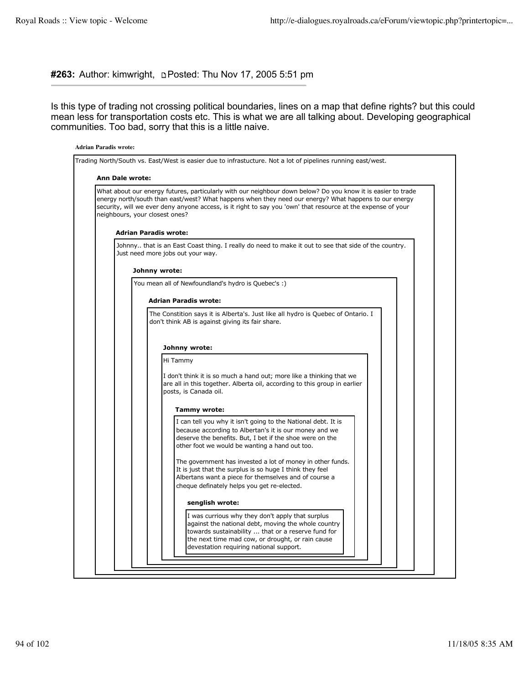### **#263:** Author: kimwright, Posted: Thu Nov 17, 2005 5:51 pm

Is this type of trading not crossing political boundaries, lines on a map that define rights? but this could mean less for transportation costs etc. This is what we are all talking about. Developing geographical communities. Too bad, sorry that this is a little naive.

# **Adrian Paradis wrote:** Trading North/South vs. East/West is easier due to infrastucture. Not a lot of pipelines running east/west. **Ann Dale wrote:** What about our energy futures, particularly with our neighbour down below? Do you know it is easier to trade energy north/south than east/west? What happens when they need our energy? What happens to our energy security, will we ever deny anyone access, is it right to say you 'own' that resource at the expense of your neighbours, your closest ones? **Adrian Paradis wrote:** Johnny.. that is an East Coast thing. I really do need to make it out to see that side of the country. Just need more jobs out your way. **Johnny wrote:** You mean all of Newfoundland's hydro is Quebec's :) **Adrian Paradis wrote:** The Constition says it is Alberta's. Just like all hydro is Quebec of Ontario. I don't think AB is against giving its fair share. **Johnny wrote:** Hi Tammy I don't think it is so much a hand out; more like a thinking that we are all in this together. Alberta oil, according to this group in earlier posts, is Canada oil. **Tammy wrote:** I can tell you why it isn't going to the National debt. It is because according to Albertan's it is our money and we deserve the benefits. But, I bet if the shoe were on the other foot we would be wanting a hand out too. The government has invested a lot of money in other funds. It is just that the surplus is so huge I think they feel Albertans want a piece for themselves and of course a cheque definately helps you get re-elected. **senglish wrote:** I was currious why they don't apply that surplus against the national debt, moving the whole country towards sustainability ... that or a reserve fund for the next time mad cow, or drought, or rain cause devestation requiring national support.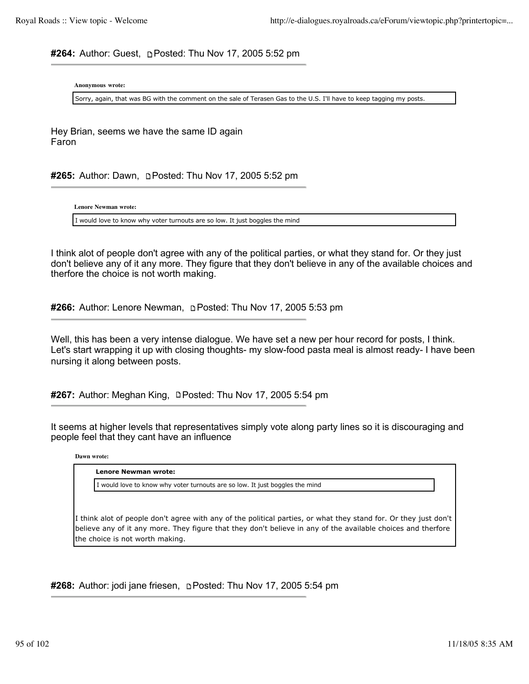**#264:** Author: Guest, Posted: Thu Nov 17, 2005 5:52 pm

**Anonymous wrote:**

Sorry, again, that was BG with the comment on the sale of Terasen Gas to the U.S. I'll have to keep tagging my posts.

Hey Brian, seems we have the same ID again Faron

#265: Author: Dawn, **pPosted: Thu Nov 17, 2005 5:52 pm** 

**Lenore Newman wrote:**

I would love to know why voter turnouts are so low. It just boggles the mind

I think alot of people don't agree with any of the political parties, or what they stand for. Or they just don't believe any of it any more. They figure that they don't believe in any of the available choices and therfore the choice is not worth making.

**#266:** Author: Lenore Newman, Posted: Thu Nov 17, 2005 5:53 pm

Well, this has been a very intense dialogue. We have set a new per hour record for posts, I think. Let's start wrapping it up with closing thoughts- my slow-food pasta meal is almost ready- I have been nursing it along between posts.

#267: Author: Meghan King, **DPosted: Thu Nov 17, 2005 5:54 pm** 

It seems at higher levels that representatives simply vote along party lines so it is discouraging and people feel that they cant have an influence

**Dawn wrote:**

| Lenore Newman wrote:                                                                                             |  |
|------------------------------------------------------------------------------------------------------------------|--|
| I would love to know why voter turnouts are so low. It just boggles the mind                                     |  |
| I think alot of people don't agree with any of the political parties, or what they stand for. Or they just don't |  |
| believe any of it any more. They figure that they don't believe in any of the available choices and therfore     |  |
| the choice is not worth making.                                                                                  |  |

**#268:** Author: jodi jane friesen, **p. Posted: Thu Nov 17, 2005 5:54 pm**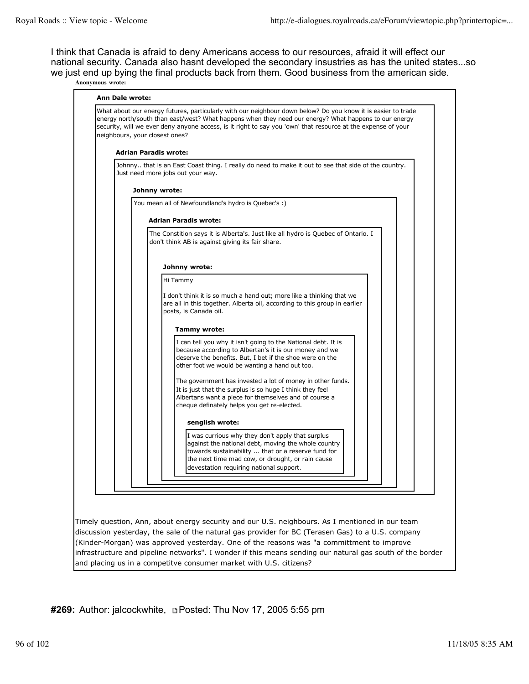I think that Canada is afraid to deny Americans access to our resources, afraid it will effect our national security. Canada also hasnt developed the secondary insustries as has the united states...so we just end up bying the final products back from them. Good business from the american side. **Anonymous wrote:**

| What about our energy futures, particularly with our neighbour down below? Do you know it is easier to trade<br>energy north/south than east/west? What happens when they need our energy? What happens to our energy<br>security, will we ever deny anyone access, is it right to say you 'own' that resource at the expense of your<br>neighbours, your closest ones? |
|-------------------------------------------------------------------------------------------------------------------------------------------------------------------------------------------------------------------------------------------------------------------------------------------------------------------------------------------------------------------------|
| <b>Adrian Paradis wrote:</b>                                                                                                                                                                                                                                                                                                                                            |
| Johnny that is an East Coast thing. I really do need to make it out to see that side of the country.<br>Just need more jobs out your way.                                                                                                                                                                                                                               |
| Johnny wrote:                                                                                                                                                                                                                                                                                                                                                           |
| You mean all of Newfoundland's hydro is Quebec's :)                                                                                                                                                                                                                                                                                                                     |
| <b>Adrian Paradis wrote:</b>                                                                                                                                                                                                                                                                                                                                            |
| The Constition says it is Alberta's. Just like all hydro is Quebec of Ontario. I<br>don't think AB is against giving its fair share.                                                                                                                                                                                                                                    |
| Johnny wrote:                                                                                                                                                                                                                                                                                                                                                           |
| Hi Tammy<br>I don't think it is so much a hand out; more like a thinking that we<br>are all in this together. Alberta oil, according to this group in earlier<br>posts, is Canada oil.                                                                                                                                                                                  |
| Tammy wrote:                                                                                                                                                                                                                                                                                                                                                            |
| I can tell you why it isn't going to the National debt. It is<br>because according to Albertan's it is our money and we<br>deserve the benefits. But, I bet if the shoe were on the<br>other foot we would be wanting a hand out too.                                                                                                                                   |
| The government has invested a lot of money in other funds.<br>It is just that the surplus is so huge I think they feel<br>Albertans want a piece for themselves and of course a<br>cheque definately helps you get re-elected.                                                                                                                                          |
| senglish wrote:                                                                                                                                                                                                                                                                                                                                                         |
| I was currious why they don't apply that surplus<br>against the national debt, moving the whole country<br>towards sustainability  that or a reserve fund for<br>the next time mad cow, or drought, or rain cause<br>devestation requiring national support.                                                                                                            |

Timely question, Ann, about energy security and our U.S. neighbours. As I mentioned in our team discussion yesterday, the sale of the natural gas provider for BC (Terasen Gas) to a U.S. company (Kinder-Morgan) was approved yesterday. One of the reasons was "a committment to improve infrastructure and pipeline networks". I wonder if this means sending our natural gas south of the border and placing us in a competitve consumer market with U.S. citizens?

**#269:** Author: jalcockwhite, Posted: Thu Nov 17, 2005 5:55 pm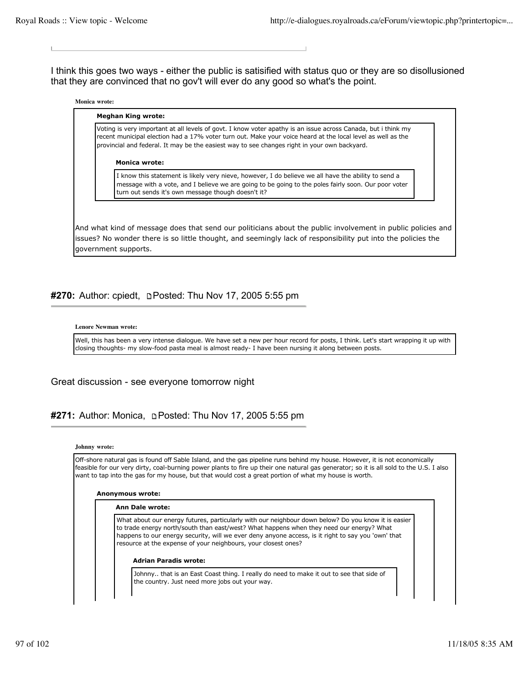I think this goes two ways - either the public is satisified with status quo or they are so disollusioned that they are convinced that no gov't will ever do any good so what's the point.

#### **Monica wrote:**

### Voting is very important at all levels of govt. I know voter apathy is an issue across Canada, but i think my recent municipal election had a 17% voter turn out. Make your voice heard at the local level as well as the provincial and federal. It may be the easiest way to see changes right in your own backyard.

#### **Monica wrote:**

**Meghan King wrote:**

I know this statement is likely very nieve, however, I do believe we all have the ability to send a message with a vote, and I believe we are going to be going to the poles fairly soon. Our poor voter turn out sends it's own message though doesn't it?

And what kind of message does that send our politicians about the public involvement in public policies and issues? No wonder there is so little thought, and seemingly lack of responsibility put into the policies the government supports.

### **#270:** Author: cpiedt, **p. Posted: Thu Nov 17, 2005 5:55 pm**

#### **Lenore Newman wrote:**

Well, this has been a very intense dialogue. We have set a new per hour record for posts, I think. Let's start wrapping it up with closing thoughts- my slow-food pasta meal is almost ready- I have been nursing it along between posts.

### Great discussion - see everyone tomorrow night

## **#271:** Author: Monica, Posted: Thu Nov 17, 2005 5:55 pm

#### **Johnny wrote:**

Off-shore natural gas is found off Sable Island, and the gas pipeline runs behind my house. However, it is not economically feasible for our very dirty, coal-burning power plants to fire up their one natural gas generator; so it is all sold to the U.S. I also want to tap into the gas for my house, but that would cost a great portion of what my house is worth.

#### **Anonymous wrote:**

#### **Ann Dale wrote:**

What about our energy futures, particularly with our neighbour down below? Do you know it is easier to trade energy north/south than east/west? What happens when they need our energy? What happens to our energy security, will we ever deny anyone access, is it right to say you 'own' that resource at the expense of your neighbours, your closest ones?

#### **Adrian Paradis wrote:**

Johnny.. that is an East Coast thing. I really do need to make it out to see that side of the country. Just need more jobs out your way.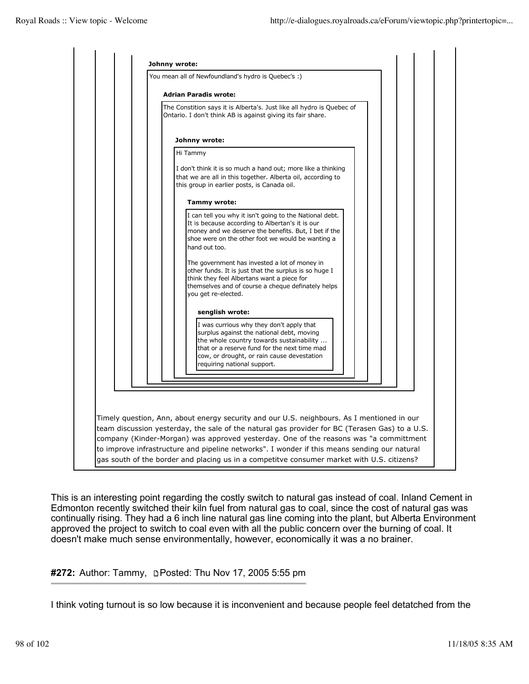

This is an interesting point regarding the costly switch to natural gas instead of coal. Inland Cement in Edmonton recently switched their kiln fuel from natural gas to coal, since the cost of natural gas was continually rising. They had a 6 inch line natural gas line coming into the plant, but Alberta Environment approved the project to switch to coal even with all the public concern over the burning of coal. It doesn't make much sense environmentally, however, economically it was a no brainer.

# **#272:** Author: Tammy, Posted: Thu Nov 17, 2005 5:55 pm

I think voting turnout is so low because it is inconvenient and because people feel detatched from the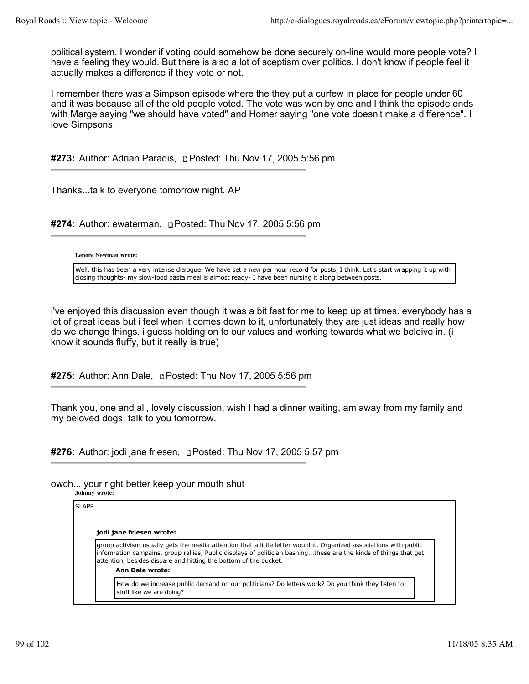political system. I wonder if voting could somehow be done securely on-line would more people vote? I have a feeling they would. But there is also a lot of sceptism over politics. I don't know if people feel it actually makes a difference if they vote or not.

I remember there was a Simpson episode where the they put a curfew in place for people under 60 and it was because all of the old people voted. The vote was won by one and I think the episode ends with Marge saying "we should have voted" and Homer saying "one vote doesn't make a difference". I love Simpsons.

**#273:** Author: Adrian Paradis, Posted: Thu Nov 17, 2005 5:56 pm

Thanks...talk to everyone tomorrow night. AP

**#274:** Author: ewaterman, Posted: Thu Nov 17, 2005 5:56 pm

### **Lenore Newman wrote:**

Well, this has been a very intense dialogue. We have set a new per hour record for posts, I think. Let's start wrapping it up with closing thoughts- my slow-food pasta meal is almost ready- I have been nursing it along between posts.

i've enjoyed this discussion even though it was a bit fast for me to keep up at times. everybody has a lot of great ideas but i feel when it comes down to it, unfortunately they are just ideas and really how do we change things. i guess holding on to our values and working towards what we beleive in. (i know it sounds fluffy, but it really is true)

**#275:** Author: Ann Dale, Posted: Thu Nov 17, 2005 5:56 pm

Thank you, one and all, lovely discussion, wish I had a dinner waiting, am away from my family and my beloved dogs, talk to you tomorrow.

**#276:** Author: jodi jane friesen, **p**Posted: Thu Nov 17, 2005 5:57 pm

### owch... your right better keep your mouth shut

**Johnny wrote:**

SLAPP **jodi jane friesen wrote:** group activism usually gets the media attention that a little letter wouldnt. Organized associations with public infomration campains, group rallies, Public displays of politician bashing...these are the kinds of things that get attention, besides dispare and hitting the bottom of the bucket. **Ann Dale wrote:** How do we increase public demand on our politicians? Do letters work? Do you think they listen to stuff like we are doing?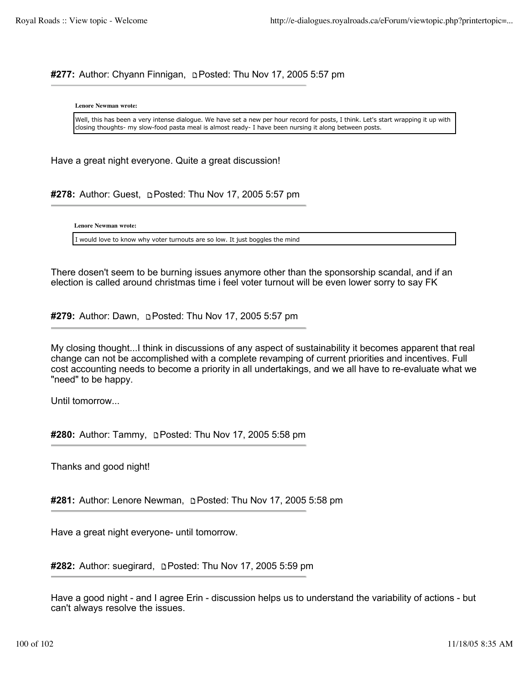# **#277:** Author: Chyann Finnigan, Posted: Thu Nov 17, 2005 5:57 pm

**Lenore Newman wrote:**

Well, this has been a very intense dialogue. We have set a new per hour record for posts, I think. Let's start wrapping it up with closing thoughts- my slow-food pasta meal is almost ready- I have been nursing it along between posts.

Have a great night everyone. Quite a great discussion!

#278: Author: Guest, **DPosted: Thu Nov 17, 2005 5:57 pm** 

**Lenore Newman wrote:**

I would love to know why voter turnouts are so low. It just boggles the mind

There dosen't seem to be burning issues anymore other than the sponsorship scandal, and if an election is called around christmas time i feel voter turnout will be even lower sorry to say FK

#279: Author: Dawn, **pPosted: Thu Nov 17, 2005 5:57 pm** 

My closing thought...I think in discussions of any aspect of sustainability it becomes apparent that real change can not be accomplished with a complete revamping of current priorities and incentives. Full cost accounting needs to become a priority in all undertakings, and we all have to re-evaluate what we "need" to be happy.

Until tomorrow...

**#280:** Author: Tammy, **pPosted: Thu Nov 17, 2005 5:58 pm** 

Thanks and good night!

**#281:** Author: Lenore Newman, Posted: Thu Nov 17, 2005 5:58 pm

Have a great night everyone- until tomorrow.

**#282:** Author: suegirard, Posted: Thu Nov 17, 2005 5:59 pm

Have a good night - and I agree Erin - discussion helps us to understand the variability of actions - but can't always resolve the issues.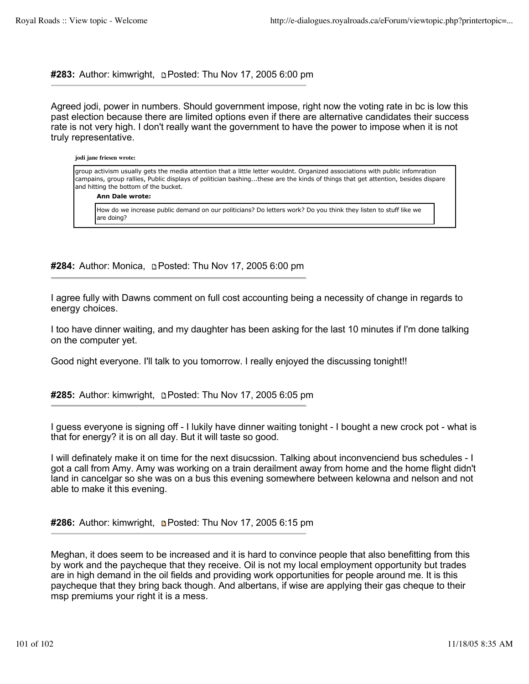**#283:** Author: kimwright, Posted: Thu Nov 17, 2005 6:00 pm

Agreed jodi, power in numbers. Should government impose, right now the voting rate in bc is low this past election because there are limited options even if there are alternative candidates their success rate is not very high. I don't really want the government to have the power to impose when it is not truly representative.

### **jodi jane friesen wrote:** group activism usually gets the media attention that a little letter wouldnt. Organized associations with public infomration campains, group rallies, Public displays of politician bashing...these are the kinds of things that get attention, besides dispare and hitting the bottom of the bucket.

### **Ann Dale wrote:**

How do we increase public demand on our politicians? Do letters work? Do you think they listen to stuff like we are doing?

**#284:** Author: Monica, Posted: Thu Nov 17, 2005 6:00 pm

I agree fully with Dawns comment on full cost accounting being a necessity of change in regards to energy choices.

I too have dinner waiting, and my daughter has been asking for the last 10 minutes if I'm done talking on the computer yet.

Good night everyone. I'll talk to you tomorrow. I really enjoyed the discussing tonight!!

**#285:** Author: kimwright, Posted: Thu Nov 17, 2005 6:05 pm

I guess everyone is signing off - I lukily have dinner waiting tonight - I bought a new crock pot - what is that for energy? it is on all day. But it will taste so good.

I will definately make it on time for the next disucssion. Talking about inconvenciend bus schedules - I got a call from Amy. Amy was working on a train derailment away from home and the home flight didn't land in cancelgar so she was on a bus this evening somewhere between kelowna and nelson and not able to make it this evening.

**#286:** Author: kimwright, Posted: Thu Nov 17, 2005 6:15 pm

Meghan, it does seem to be increased and it is hard to convince people that also benefitting from this by work and the paycheque that they receive. Oil is not my local employment opportunity but trades are in high demand in the oil fields and providing work opportunities for people around me. It is this paycheque that they bring back though. And albertans, if wise are applying their gas cheque to their msp premiums your right it is a mess.